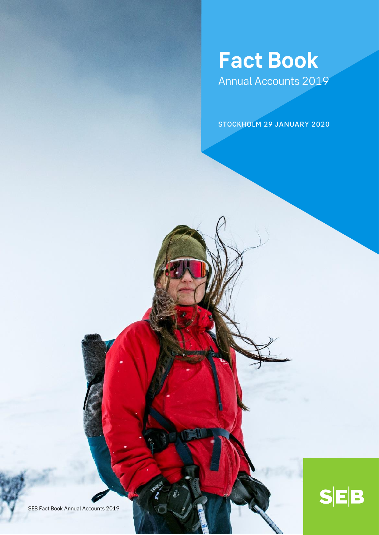# **Fact Book**  Annual Accounts 2019

STOCKHOLM 29 JANUARY 2020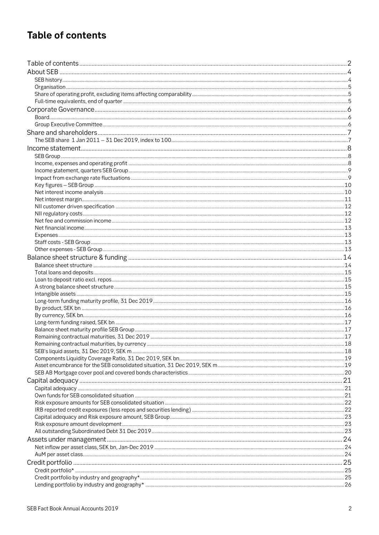# **Table of contents**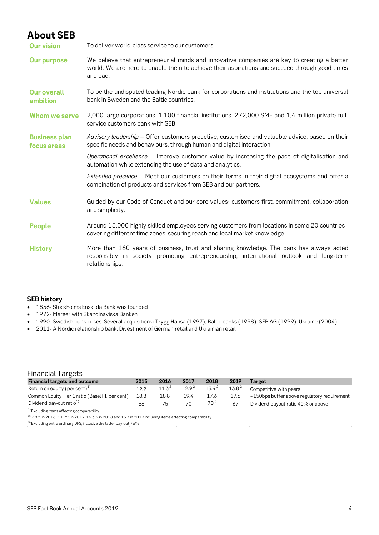## **About SEB**

**Our vision** To deliver world-class service to our customers.

- **Our purpose** We believe that entrepreneurial minds and innovative companies are key to creating a better world. We are here to enable them to achieve their aspirations and succeed through good times and bad.
- **Our overall ambition** To be the undisputed leading Nordic bank for corporations and institutions and the top universal bank in Sweden and the Baltic countries.
- **Whom we serve** 2,000 large corporations, 1,100 financial institutions, 272,000 SME and 1,4 million private fullservice customers bank with SEB.
- **Business plan focus areas** *Advisory leadership* – Offer customers proactive, customised and valuable advice, based on their specific needs and behaviours, through human and digital interaction.
	- *Operational excellence* Improve customer value by increasing the pace of digitalisation and automation while extending the use of data and analytics.

*Extended presence* – Meet our customers on their terms in their digital ecosystems and offer a combination of products and services from SEB and our partners.

- **Values** Guided by our Code of Conduct and our core values: customers first, commitment, collaboration and simplicity.
- People Around 15,000 highly skilled employees serving customers from locations in some 20 countries covering different time zones, securing reach and local market knowledge.
- History **More than 160 years of business, trust and sharing knowledge. The bank has always acted** responsibly in society promoting entrepreneurship, international outlook and long-term relationships.

### **SEB history**

- 1856- Stockholms Enskilda Bank was founded
- 1972- Merger with Skandinaviska Banken
- 1990- Swedish bank crises. Several acquisitions: Trygg Hansa (1997), Baltic banks (1998), SEB AG (1999), Ukraine (2004)
- 2011- A Nordic relationship bank. Divestment of German retail and Ukrainian retail

## Financial Targets

| <b>Financial targets and outcome</b>             | 2015 | 2016     | 2017       | 2018     | 2019              | Target                                            |
|--------------------------------------------------|------|----------|------------|----------|-------------------|---------------------------------------------------|
| Return on equity (per cent) $^{1)}$              | 12.2 | $11.3^2$ | $12.9^{2}$ | $13.4^2$ | 13.8 <sup>2</sup> | Competitive with peers                            |
| Common Equity Tier 1 ratio (Basel III, per cent) | 18.8 | 18.8     | 19.4       | 17.6     | 17.6              | $\sim$ 150bps buffer above regulatory requirement |
| Dividend pay-out ratio <sup>1)</sup>             | 66   | 75       | 70         | $70^3$   | 67                | Dividend payout ratio 40% or above                |
| $^{11}$ Eveluding itoms offecting comparability  |      |          |            |          |                   |                                                   |

items affecting comparab

 $^{2)}$  7.8% in 2016, 11.7% in 2017, 16.3% in 2018 and 13.7 in 2019 including items affecting comparability

3) Excluding extra ordinary DPS, inclusive the latter pay-out 76%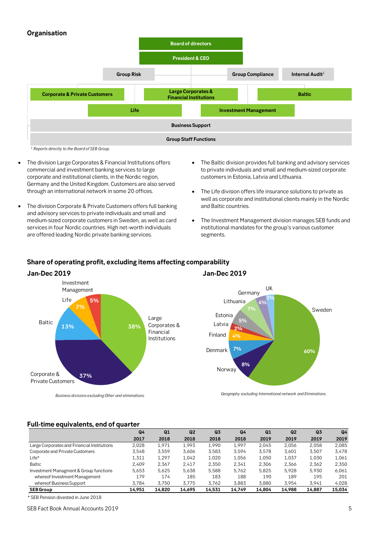## **Organisation**



- The division Large Corporates & Financial Institutions offers commercial and investment banking services to large corporate and institutional clients, in the Nordic region, Germany and the United Kingdom. Customers are also served through an international network in some 20 offices.
- The division Corporate & Private Customers offers full banking and advisory services to private individuals and small and medium-sized corporate customers in Sweden, as well as card services in four Nordic countries. High net-worth individuals are offered leading Nordic private banking services.
- The Baltic division provides full banking and advisory services to private individuals and small and medium-sized corporate customers in Estonia, Latvia and Lithuania.
- The Life division offers life insurance solutions to private as well as corporate and institutional clients mainly in the Nordic and Baltic countries.
- The Investment Management division manages SEB funds and institutional mandates for the group's various customer segments.



## **Share of operating profit, excluding items affecting comparability**

*Geography excluding International network and Eliminations.*

**8%**

**5%**

Germany

**4% 3%**

UK

**60%**

Sweden

*Business divisions excludingOther and eliminations.*

### **Full-time equivalents, end of quarter**

|                                             | Q4     | Q1     | Q <sub>2</sub> | Q <sub>3</sub> | Q4     | Q1     | Q <sub>2</sub> | Q <sub>3</sub> | Q <sub>4</sub> |
|---------------------------------------------|--------|--------|----------------|----------------|--------|--------|----------------|----------------|----------------|
|                                             | 2017   | 2018   | 2018           | 2018           | 2018   | 2019   | 2019           | 2019           | 2019           |
| Large Corporates and Financial Institutions | 2.028  | 1.971  | 1.993          | 1.990          | 1.997  | 2.045  | 2.056          | 2.058          | 2,085          |
| Corporate and Private Customers             | 3.548  | 3,559  | 3.606          | 3,583          | 3.594  | 3.578  | 3,601          | 3,507          | 3,478          |
| Life*                                       | 1,311  | 1.297  | 1.042          | 1.020          | 1.056  | 1.050  | 1.037          | 1.030          | 1,061          |
| <b>Baltic</b>                               | 2.409  | 2.367  | 2.417          | 2.350          | 2.341  | 2.306  | 2.366          | 2.362          | 2.350          |
| Investment Managment & Group functions      | 5.653  | 5.625  | 5.638          | 5.588          | 5.762  | 5.825  | 5.928          | 5.930          | 6,061          |
| whereof Investment Management               | 179    | 174    | 185            | 183            | 188    | 190    | 189            | 195            | 201            |
| whereof Business Support                    | 3.784  | 3.750  | 3.775          | 3.762          | 3.883  | 3.880  | 3.954          | 3.941          | 4,028          |
| <b>SEBGroup</b>                             | 14.951 | 14.820 | 14.695         | 14.531         | 14.749 | 14.804 | 14.988         | 14.887         | 15,034         |

\* SEB Pension divested in June 2018

SEB Fact Book Annual Accounts 2019 5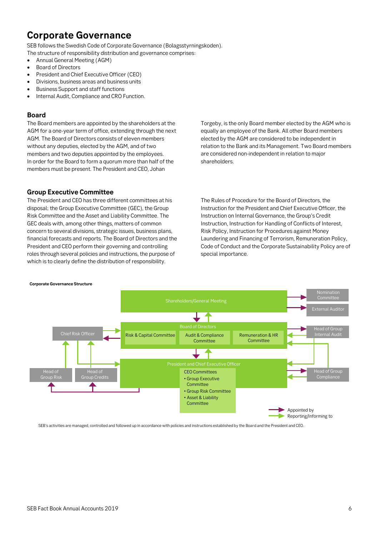## **Corporate Governance**

SEB follows the Swedish Code of Corporate Governance (Bolagsstyrningskoden).

The structure of responsibility distribution and governance comprises:

- Annual General Meeting (AGM)
- Board of Directors
- President and Chief Executive Officer (CEO)
- Divisions, business areas and business units
- Business Support and staff functions
- Internal Audit, Compliance and CRO Function.

### **Board**

The Board members are appointed by the shareholders at the AGM for a one-year term of office, extending through the next AGM. The Board of Directors consists of eleven members without any deputies, elected by the AGM, and of two members and two deputies appointed by the employees. In order for the Board to form a quorum more than half of the members must be present. The President and CEO, Johan

Torgeby, is the only Board member elected by the AGM who is equally an employee of the Bank. All other Board members elected by the AGM are considered to be independent in relation to the Bank and its Management. Two Board members are considered non-independent in relation to major shareholders.

### **Group Executive Committee**

The President and CEO has three different committees at his disposal; the Group Executive Committee (GEC), the Group Risk Committee and the Asset and Liability Committee. The GEC deals with, among other things, matters of common concern to several divisions, strategic issues, business plans, financial forecasts and reports. The Board of Directors and the President and CEO perform their governing and controlling roles through several policies and instructions, the purpose of which is to clearly define the distribution of responsibility.

The Rules of Procedure for the Board of Directors, the Instruction for the President and Chief Executive Officer, the Instruction on Internal Governance, the Group's Credit Instruction, Instruction for Handling of Conflicts of Interest, Risk Policy, Instruction for Procedures against Money Laundering and Financing of Terrorism, Remuneration Policy, Code of Conduct and the Corporate Sustainability Policy are of special importance.

#### **Corporate Governance Structure**



SEB's activities are managed, controlled and followed up in accordance with policies and instructions established by the Board and the President and CEO.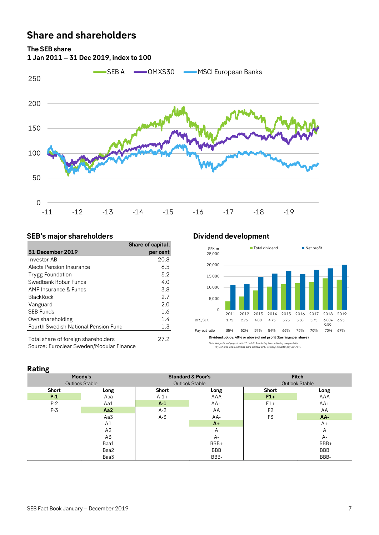## **Share and shareholders**

**The SEB share**



## **SEB's major shareholders Dividend development**

|                                                                                 | Share of capital, |
|---------------------------------------------------------------------------------|-------------------|
| <b>31 December 2019</b>                                                         | per cent          |
| Investor AB                                                                     | 20.8              |
| Alecta Pension Insurance                                                        | 6.5               |
| <b>Trygg Foundation</b>                                                         | 5.2               |
| Swedbank Robur Funds                                                            | 4.0               |
| AMF Insurance & Funds                                                           | 3.8               |
| <b>BlackRock</b>                                                                | 2.7               |
| Vanguard                                                                        | 2.0               |
| <b>SEB Funds</b>                                                                | 1.6               |
| Own shareholding                                                                | 1.4               |
| Fourth Swedish National Pension Fund                                            | 1.3               |
| Total share of foreign shareholders<br>Source: Euroclear Sweden/Modular Finance | 27.2              |



*Note: Net profit and pay-out ratio 2014-2019 excluding items affecting comparability. Pay-out ratio 2018 excluding extra ordinary DPS, including the latter pay-out 76%.*

## **Rating**

| ັ     | Moody's<br><b>Outlook Stable</b> |        | <b>Standard &amp; Poor's</b><br><b>Outlook Stable</b> | <b>Fitch</b><br><b>Outlook Stable</b> |            |  |  |
|-------|----------------------------------|--------|-------------------------------------------------------|---------------------------------------|------------|--|--|
| Short | Long                             | Short  | Long                                                  | <b>Short</b>                          | Long       |  |  |
| $P-1$ | Aaa                              | $A-1+$ | AAA                                                   | $F1+$                                 | AAA        |  |  |
| $P-2$ | Aa1                              | $A-1$  | $AA+$                                                 | $F1+$                                 | $AA+$      |  |  |
| $P-3$ | Aa2                              | $A-2$  | AA                                                    | F <sub>2</sub>                        | AA         |  |  |
|       | Aa3                              | $A-3$  | AA-                                                   | F3                                    | AA-        |  |  |
|       | A1                               |        | $A+$                                                  |                                       | A+         |  |  |
|       | A2                               |        | A                                                     |                                       | Α          |  |  |
|       | A3                               |        | A-                                                    |                                       | A-         |  |  |
|       | Baa1                             |        | BBB+                                                  |                                       | BBB+       |  |  |
|       | Baa2                             |        | <b>BBB</b>                                            |                                       | <b>BBB</b> |  |  |
|       | Baa3                             |        | BBB-                                                  |                                       | BBB-       |  |  |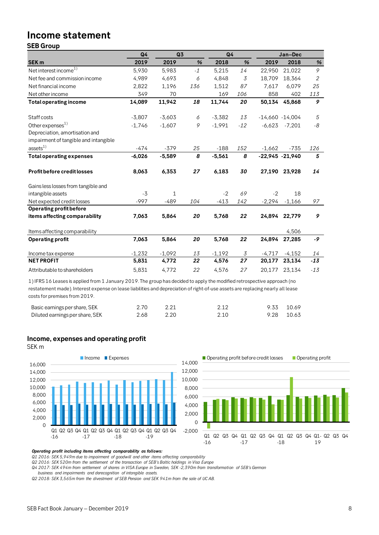# **Income statement**

## **SEB Group**

| <b>SEB Group</b>                      |                |              |      |          |       |                    |                   |                |
|---------------------------------------|----------------|--------------|------|----------|-------|--------------------|-------------------|----------------|
|                                       | Q <sub>4</sub> | Q3           |      | Q4       |       |                    | Jan-Dec           |                |
| SEK <sub>m</sub>                      | 2019           | 2019         | $\%$ | 2018     | %     | 2019               | 2018              | $\%$           |
| Net interest income <sup>1)</sup>     | 5,930          | 5,983        | $-1$ | 5,215    | 14    | 22,950             | 21,022            | 9              |
| Net fee and commission income         | 4,989          | 4,693        | 6    | 4,848    | 3     | 18,709             | 18,364            | $\overline{2}$ |
| Net financial income                  | 2,822          | 1,196        | 136  | 1,512    | 87    | 7,617              | 6,079             | 25             |
| Net other income                      | 349            | 70           |      | 169      | 106   | 858                | 402               | 113            |
| <b>Total operating income</b>         | 14,089         | 11,942       | 18   | 11,744   | 20    | 50,134             | 45,868            | 9              |
| Staff costs                           | $-3,807$       | $-3,603$     | 6    | $-3,382$ | 13    | $-14,660 - 14,004$ |                   | 5              |
| Other expenses <sup>1)</sup>          | $-1,746$       | $-1,607$     | 9    | $-1,991$ | $-12$ |                    | $-6,623$ $-7,201$ | -8             |
| Depreciation, amortisation and        |                |              |      |          |       |                    |                   |                |
| impairment of tangible and intangible |                |              |      |          |       |                    |                   |                |
| assets <sup>1</sup>                   | $-474$         | $-379$       | 25   | $-188$   | 152   | $-1,662$           | $-735$            | 126            |
| <b>Total operating expenses</b>       | $-6,026$       | $-5,589$     | 8    | $-5,561$ | 8     | $-22,945 -21,940$  |                   | 5              |
| Profit before credit losses           | 8,063          | 6,353        | 27   | 6,183    | 30    | 27,190             | 23,928            | 14             |
| Gains less losses from tangible and   |                |              |      |          |       |                    |                   |                |
| intangible assets                     | $-3$           | $\mathbf{1}$ |      | $-2$     | 69    | $-2$               | 18                |                |
| Net expected credit losses            | $-997$         | $-489$       | 104  | $-413$   | 142   | $-2,294$           | $-1,166$          | 97             |
| <b>Operating profit before</b>        |                |              |      |          |       |                    |                   |                |
| items affecting comparability         | 7,063          | 5,864        | 20   | 5,768    | 22    | 24,894             | 22,779            | 9              |
| Items affecting comparability         |                |              |      |          |       |                    | 4,506             |                |
| <b>Operating profit</b>               | 7,063          | 5,864        | 20   | 5,768    | 22    | 24,894             | 27,285            | -9             |
| Income tax expense                    | $-1,232$       | $-1,092$     | 13   | $-1,192$ | 3     | $-4,717$           | $-4,152$          | 14             |
| <b>NET PROFIT</b>                     | 5,831          | 4,772        | 22   | 4,576    | 27    | 20,177             | 23,134            | $-13$          |
| Attributable to shareholders          | 5,831          | 4,772        | 22   | 4,576    | 27    | 20,177             | 23,134            | $-13$          |

1) IFRS 16 Leases is applied from 1 January 2019. The group has decided to apply the modified retrospective approach (no restatement made). Interest expense on lease liabilities and depreciation of right-of-use assets are replacing nearly all lease costs for premises from 2019.

| Basic earnings per share, SEK   |      |  | 9.33 10.69 |  |
|---------------------------------|------|--|------------|--|
| Diluted earnings per share, SEK | 2.68 |  | 9.28 10.63 |  |

### **Income, expenses and operating profit**

SEK m





### *Operating profit including items affecting comparability as follows:*

*Q1 2016: SEK 5,949m due to impairment of goodwill and other items affecting comparability*

*Q2 2016: SEK 520m from the settlement of the transaction of SEB's Baltic holdings in Visa Europe*

*Q4 2017: SEK 494m from settlement of shares in VISA Europe in Sweden, SEK -2,390m from transformation of SEB's German* 

*business and impairments and derecognition of intangible assets.*

*Q2 2018: SEK 3,565m from the divestment of SEB Pension and SEK 941m from the sale of UC AB.*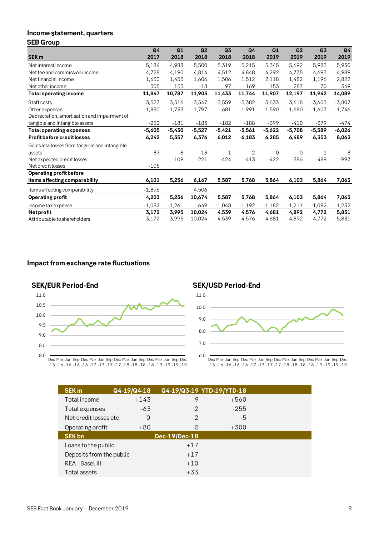#### **Income tatement, quarters SEB Group**

| Q4       | Q1       | Q <sub>2</sub> | Q3       | Q4       | Q1       | Q <sub>2</sub> | Q <sub>3</sub> | Q <sub>4</sub> |
|----------|----------|----------------|----------|----------|----------|----------------|----------------|----------------|
| 2017     | 2018     | 2018           | 2018     | 2018     | 2019     | 2019           | 2019           | 2019           |
| 5,184    | 4,988    | 5,500          | 5,319    | 5,215    | 5,345    | 5,692          | 5,983          | 5,930          |
| 4,728    | 4,190    | 4,814          | 4,512    | 4,848    | 4,292    | 4,735          | 4,693          | 4,989          |
| 1,630    | 1,455    | 1,606          | 1,506    | 1,512    | 2,118    | 1,482          | 1,196          | 2,822          |
| 305      | 153      | $-18$          | 97       | 169      | 153      | 287            | 70             | 349            |
| 11,847   | 10,787   | 11,903         | 11,433   | 11,744   | 11,907   | 12,197         | 11,942         | 14,089         |
| $-3,523$ | $-3,516$ | $-3,547$       | $-3,559$ | $-3,382$ | $-3,633$ | $-3,618$       | $-3,603$       | $-3,807$       |
| $-1,830$ | $-1,733$ | $-1,797$       | $-1,681$ | $-1,991$ | $-1,590$ | $-1,680$       | $-1,607$       | $-1,746$       |
|          |          |                |          |          |          |                |                |                |
| $-252$   | $-181$   | $-183$         | $-182$   | $-188$   | $-399$   | $-410$         | $-379$         | -474           |
| $-5,605$ | $-5,430$ | $-5,527$       | $-5,421$ | $-5,561$ | $-5,622$ | $-5,708$       | $-5,589$       | $-6,026$       |
| 6,242    | 5,357    | 6,376          | 6,012    | 6,183    | 6,285    | 6,489          | 6,353          | 8,063          |
|          |          |                |          |          |          |                |                |                |
| $-37$    | 8        | 13             | $-1$     | $-2$     | 0        | 0              | 1              | $-3$           |
|          | $-109$   | $-221$         | $-424$   | $-413$   | $-422$   | $-386$         | $-489$         | $-997$         |
| $-105$   |          |                |          |          |          |                |                |                |
|          |          |                |          |          |          |                |                |                |
| 6,101    | 5,256    | 6,167          | 5,587    | 5,768    | 5,864    | 6,103          | 5,864          | 7,063          |
| $-1,896$ |          | 4,506          |          |          |          |                |                |                |
| 4,203    | 5,256    | 10,674         | 5,587    | 5,768    | 5,864    | 6,103          | 5,864          | 7,063          |
| $-1,032$ | $-1,261$ | $-649$         | $-1,048$ | $-1,192$ | $-1,182$ | $-1,211$       | $-1,092$       | $-1,232$       |
| 3,172    | 3,995    | 10,024         | 4,539    | 4,576    | 4,681    | 4,892          | 4,772          | 5,831          |
| 3,172    | 3,995    | 10,024         | 4,539    | 4,576    | 4,681    | 4,892          | 4,772          | 5,831          |
|          |          |                |          |          |          |                |                |                |

## **Impact from exchange rate fluctuations**







<sup>-15</sup> Mar -16 Jun -16 Sep -16 Dec -16 Mar -17 Jun -17 Sep -17 Dec -17 Mar -18 Jun -18 Sep -18 Dec -18 Mar -19 Jun -19 Sep -19 Dec -19

| Mar Jun Sep Dec Mar Jun Sep Dec Mar Jun Sep Dec Mar Jun Sep Dec<br>-16 -16 -16 -16 -17 -17 -17 -17 -18 -18 -18 -18 -19 -19 -19 -19 |             |                           | 6.0 |        | Dec Mar Jun Sep Dec Mar Jun Sep Dec Mar Jun Sep De<br>-15 -16 -16 -16 -16 -17 -17 -17 -17 -18 -18 -18 -1 |
|------------------------------------------------------------------------------------------------------------------------------------|-------------|---------------------------|-----|--------|----------------------------------------------------------------------------------------------------------|
| <b>SEK m</b>                                                                                                                       | Q4-19/Q4-18 | Q4-19/Q3-19 YTD-19/YTD-18 |     |        |                                                                                                          |
| Total income                                                                                                                       | $+143$      | -9                        |     | +560   |                                                                                                          |
| Total expenses                                                                                                                     | $-63$       | $\mathcal{P}$             |     | $-255$ |                                                                                                          |
| Net credit losses etc.                                                                                                             | 0           | $\mathcal{P}$             |     | -5     |                                                                                                          |
| Operating profit                                                                                                                   | $+80$       | -5                        |     | $+300$ |                                                                                                          |
| <b>SEK bn</b>                                                                                                                      |             | Dec-19/Dec-18             |     |        |                                                                                                          |
| Loans to the public                                                                                                                |             | $+17$                     |     |        |                                                                                                          |
| Deposits from the public                                                                                                           |             | $+17$                     |     |        |                                                                                                          |
| REA - Basel III                                                                                                                    |             | $+10$                     |     |        |                                                                                                          |
| Total assets                                                                                                                       |             | $+33$                     |     |        |                                                                                                          |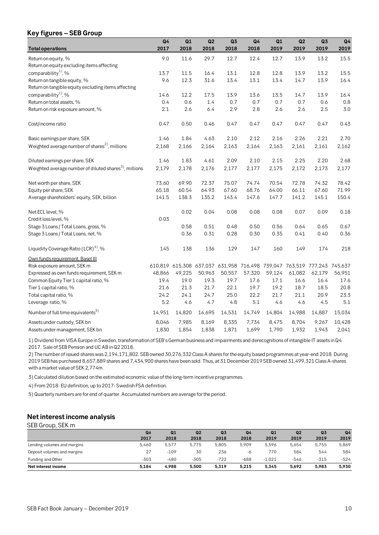## **Key figures – SEB Group**

|                                                             | Q <sub>4</sub> | Q1     | Q2     | Q3                                                                      | Q <sub>4</sub> | Q1     | Q2     | Q <sub>3</sub> | Q <sub>4</sub> |
|-------------------------------------------------------------|----------------|--------|--------|-------------------------------------------------------------------------|----------------|--------|--------|----------------|----------------|
| <b>Total operations</b>                                     | 2017           | 2018   | 2018   | 2018                                                                    | 2018           | 2019   | 2019   | 2019           | 2019           |
| Return on equity, %                                         | 9.0            | 11.6   | 29.7   | 12.7                                                                    | 12.4           | 12.7   | 13.9   | 13.2           | 15.5           |
| Return on equity excluding items affecting                  |                |        |        |                                                                         |                |        |        |                |                |
| comparability <sup>1</sup> , %                              | 13.7           | 11.5   | 16.4   | 13.1                                                                    | 12.8           | 12.8   | 13.9   | 13.2           | 15.5           |
| Return on tangible equity, %                                | 9.6            | 12.3   | 31.6   | 13.4                                                                    | 13.1           | 13.4   | 14.7   | 13.9           | 16.4           |
| Return on tangible equity excluding items affecting         |                |        |        |                                                                         |                |        |        |                |                |
| comparability <sup>1</sup> , %                              | 14.6           | 12.2   | 17.5   | 13.9                                                                    | 13.6           | 13.5   | 14.7   | 13.9           | 16.4           |
| Return on total assets, %                                   | 0.4            | 0.6    | 1.4    | 0.7                                                                     | 0.7            | 0.7    | 0.7    | 0.6            | 0.8            |
| Return on risk exposure amount, %                           | 2.1            | 2.6    | 6.4    | 2.9                                                                     | 2.8            | 2.6    | 2.6    | 2.5            | 3.0            |
| Cost/income ratio                                           | 0.47           | 0.50   | 0.46   | 0.47                                                                    | 0.47           | 0.47   | 0.47   | 0.47           | 0.43           |
| Basic earnings per share, SEK                               | 1.46           | 1.84   | 4.63   | 2.10                                                                    | 2.12           | 2.16   | 2.26   | 2.21           | 2.70           |
| Weighted average number of shares <sup>2)</sup> , millions  | 2,168          | 2,166  | 2,164  | 2,163                                                                   | 2,164          | 2,163  | 2,161  | 2,161          | 2,162          |
| Diluted earnings per share, SEK                             | 1.46           | 1.83   | 4.61   | 2.09                                                                    | 2.10           | 2.15   | 2.25   | 2.20           | 2.68           |
| Weighted average number of diluted shares $^{3}$ , millions | 2,179          | 2,178  | 2,176  | 2,177                                                                   | 2,177          | 2,175  | 2,172  | 2,173          | 2,177          |
| Net worth per share, SEK                                    | 73.60          | 69.90  | 72.37  | 75.07                                                                   | 74.74          | 70.54  | 72.78  | 74.32          | 78.42          |
| Equity per share, SEK                                       | 65.18          | 60.54  | 64.93  | 67.60                                                                   | 68.76          | 64.00  | 66.11  | 67.60          | 71.99          |
| Average shareholders' equity, SEK, billion                  | 141.5          | 138.3  | 135.2  | 143.4                                                                   | 147.6          | 147.7  | 141.2  | 145.1          | 150.4          |
| Net ECL level, %                                            |                | 0.02   | 0.04   | 0.08                                                                    | 0.08           | 0.08   | 0.07   | 0.09           | 0.18           |
| Credit loss level, %                                        | 0.03           |        |        |                                                                         |                |        |        |                |                |
| Stage 3 Loans / Total Loans, gross, %                       |                | 0.58   | 0.51   | 0.48                                                                    | 0.50           | 0.56   | 0.64   | 0.65           | 0.67           |
| Stage 3 Loans / Total Loans, net, %                         |                | 0.36   | 0.31   | 0.28                                                                    | 0.30           | 0.35   | 0.41   | 0.40           | 0.36           |
| Liquidity Coverage Ratio (LCR) <sup>4)</sup> , %            | 145            | 138    | 136    | 129                                                                     | 147            | 160    | 149    | 174            | 218            |
| Own funds requirement, Basel III                            |                |        |        |                                                                         |                |        |        |                |                |
| Risk exposure amount, SEK m                                 |                |        |        | 610,819 615,308 637,037 631,958 716,498 739,047 763,519 777,243 745,637 |                |        |        |                |                |
| Expressed as own funds requirement, SEK m                   | 48,866         | 49,225 | 50,963 | 50,557                                                                  | 57,320         | 59,124 | 61,082 | 62,179         | 56,951         |
| Common Equity Tier 1 capital ratio, %                       | 19.4           | 19.0   | 19.3   | 19.7                                                                    | 17.6           | 17.1   | 16.6   | 16.4           | 17.6           |
| Tier 1 capital ratio, %                                     | 21.6           | 21.3   | 21.7   | 22.1                                                                    | 19.7           | 19.2   | 18.7   | 18.5           | 20.8           |
| Total capital ratio, %                                      | 24.2           | 24.1   | 24.7   | 25.0                                                                    | 22.2           | 21.7   | 21.1   | 20.9           | 23.3           |
| Leverage ratio, %                                           | 5.2            | 4.6    | 4.7    | 4.8                                                                     | 5.1            | 4.6    | 4.6    | 4.5            | 5.1            |
| Number of full time equivalents <sup>5)</sup>               | 14,951         | 14,820 | 14,695 | 14,531                                                                  | 14,749         | 14,804 | 14,988 | 14,887         | 15,034         |
| Assets under custody, SEK bn                                | 8,046          | 7,985  | 8,169  | 8,335                                                                   | 7,734          | 8,475  | 8,704  | 9,267          | 10,428         |
| Assets under management, SEK bn                             | 1,830          | 1,854  | 1,838  | 1,871                                                                   | 1,699          | 1,790  | 1,932  | 1,943          | 2,041          |

1) Dividend from VISA Europe in Sweden, transformation of SEB's German business and impairments and derecognitions of intangible IT assets in Q4 2017. Sale of SEB Pension and UC AB in Q2 2018.

2) The number of issued shares was 2,194,171,802. SEB owned 30,276,332 Class A shares for the equity based programmes at year-end 2018. During 2019 SEB has purchased 8,657,889 shares and 7,434,900 shares have been sold. Thus, at 31 December 2019 SEB owned 31,499,321 Class A-shares with a market value of SEK 2,774m.

3) Calculated dilution based on the estimated economic value of the long-term incentive programmes.

4) From 2018: EU definition, up to 2017: Swedish FSA definition.

5) Quarterly numbers are for end of quarter. Accumulated numbers are average for the period.

## **Net interest income analysis**

| Net interest income analysis |                        |            |            |                        |            |                        |            |                        |                        |  |  |  |
|------------------------------|------------------------|------------|------------|------------------------|------------|------------------------|------------|------------------------|------------------------|--|--|--|
| SEB Group, SEK m             |                        |            |            |                        |            |                        |            |                        |                        |  |  |  |
|                              | Q <sub>4</sub><br>2017 | Q1<br>2018 | Q2<br>2018 | Q <sub>3</sub><br>2018 | Q4<br>2018 | Q <sub>1</sub><br>2019 | Q2<br>2019 | Q <sub>3</sub><br>2019 | Q <sub>4</sub><br>2019 |  |  |  |
| Lending volumes and margins  | 5,460                  | 5,577      | 5.775      | 5,805                  | 5.909      | 5.596                  | 5.654      | 5.755                  | 5,869                  |  |  |  |
| Deposit volumes and margins  | 27                     | $-109$     | 30         | 236                    | $-6$       | 770                    | 584        | 544                    | 584                    |  |  |  |
| Funding and Other            | $-303$                 | $-480$     | $-305$     | $-722$                 | $-688$     | $-1,021$               | -546       | $-315$                 | $-524$                 |  |  |  |
| Net interest income          | 5.184                  | 4.988      | 5.500      | 5.319                  | 5.215      | 5.345                  | 5.692      | 5.983                  | 5.930                  |  |  |  |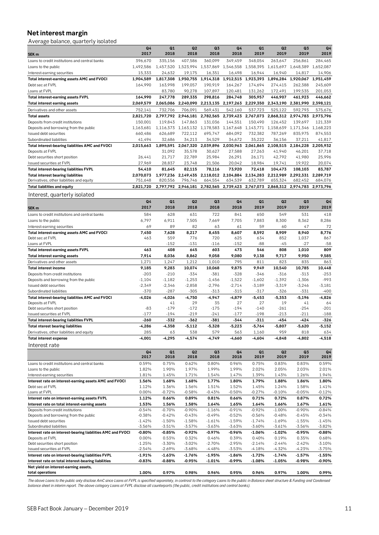## **Net interest margin**

| Net interest margin<br>Average balance, quarterly isolated                              |                        |                      |                                                   |                        |                        |                                |                                                   |                                          |                      |
|-----------------------------------------------------------------------------------------|------------------------|----------------------|---------------------------------------------------|------------------------|------------------------|--------------------------------|---------------------------------------------------|------------------------------------------|----------------------|
|                                                                                         | Q <sub>4</sub><br>2017 | Q1<br>2018           | Q2<br>2018                                        | Q <sub>3</sub><br>2018 | Q <sub>4</sub><br>2018 | Q1<br>2019                     | Q2<br>2019                                        | Q3<br>2019                               | Q4<br>2019           |
| SEK <sub>m</sub><br>Loans to credit institutions and central banks                      | 396,670                | 335,156              | 407.586                                           | 360,099                | 349,459                | 348,054                        | 263,647                                           | 256,861                                  | 284,465              |
| Loans to the public                                                                     | 1,492,586              |                      | 1,457,520 1,523,994                               |                        |                        | 1,537,869 1,546,558 1,558,395  | 1,615,697                                         | 1,648,389                                | 1,652,087            |
| Interest-earning securities                                                             | 15,333                 | 24,632               | 19,175                                            | 16,351                 | 16,498                 | 16,944                         | 16,940                                            | 14,817                                   | 14,906               |
| Total interest-earning assets AMC and FVOCI                                             | 1,904,589              | 1,817,308            | 1,950,755                                         |                        |                        | 1,914,318 1,912,515 1,923,393  |                                                   | 1,896,284 1,920,067 1,951,459            |                      |
| Debt sec at FVPL                                                                        | 164,990                | 163,998              | 199,057                                           | 190,919                | 164,267                | 174,694                        | 274,415                                           | 262,388                                  | 245,609              |
| Loans at FVPL                                                                           |                        | 83,780               | 90,278                                            | 107,897                | 120,481                | 131,262                        | 172,491                                           | 199,535                                  | 201,053              |
| Total interest-earning assets FVPL                                                      | 164,990                | 247,778              | 289,335                                           | 298,816                | 284.748                | 305,957                        | 446.907                                           | 461,923                                  | 446,662              |
| Total interest earning assets                                                           | 2,069,579              | 2,065,086            | 2,240,090                                         | 2,213,135              | 2,197,263              | 2,229,350                      | 2,343,190                                         | 2,381,990                                | 2,398,121            |
| Derivatives and other assets<br><b>Total assets</b>                                     | 752,141<br>2,821,720   | 732,706              | 706,091<br>2,797,792 2,946,181 2,782,565          | 569,431                | 542,160                | 537,723<br>2,739,423 2,767,073 | 525,122                                           | 592,793<br>2,868,312 2,974,783 2,973,796 | 575,676              |
| Deposits from credit institutions                                                       | 150,001                | 119,843              | 147,863                                           | 131,036                | 144,551                | 150,490                        | 126,452                                           | 139,697                                  | 121,339              |
| Deposits and borrowing from the public                                                  | 1,163,681              |                      | 1,116,373 1,163,132 1,178,583                     |                        |                        |                                | 1,167,648 1,143,771 1,158,639 1,171,346 1,168,223 |                                          |                      |
| Issued debt securities                                                                  | 660,486                | 626,689              | 722,112                                           | 695,747                | 684,092                | 732,382                        | 787,269                                           | 835,975                                  | 874,553              |
| Subordinated liabilities                                                                | 41,494                 | 32,686               | 34,213                                            | 34,529                 | 34,672                 | 35,222                         | 36,156                                            | 37,211                                   | 41,817               |
| Total interest-bearing liabilities AMC and FVOCI                                        | 2,015,663              |                      | 1,895,591 2,067,320 2,039,896                     |                        |                        |                                | 2,030,963 2,061,865 2,108,515 2,184,228 2,205,932 |                                          |                      |
| Deposits at FVPL                                                                        |                        | 31,092               | 35,578                                            | 30,627                 | 27,588                 | 27,263                         | 41,940                                            | 46,201                                   | 37,718               |
| Debt securities short position                                                          | 26,441                 | 21,717               | 22,789                                            | 25,984                 | 26,291                 | 26,171                         | 42,792                                            | 41,980                                   | 25,996               |
| Issued securities at FVPL<br>Total interest-bearing liabilities FVPL                    | 27,969<br>54,410       | 28,837<br>81,645     | 23,748<br>82,115                                  | 21,506<br>78,116       | 20,042<br>73,920       | 18,984<br>72,418               | 19,741<br>104,473                                 | 19,922<br>108,103                        | 20,074<br>83,787     |
| <b>Total interest bearing liabilities</b>                                               | 2,070,073              |                      | 1,977,236 2,149,435 2,118,012 2,104,884 2,134,283 |                        |                        |                                | 2,212,989 2,292,331 2,289,719                     |                                          |                      |
| Derivatives, other liabilities and equity                                               | 751,648                | 820,556              | 796,746                                           | 664,554                | 634,539                | 632,789                        | 655,324                                           | 682,452                                  | 684,076              |
| Total liabilities and equity                                                            | 2,821,720              | 2,797,792            | 2,946,181                                         | 2,782,565              | 2,739,423              | 2,767,073                      | 2,868,312                                         | 2,974,783                                | 2,973,796            |
| Interest, quarterly isolated                                                            |                        |                      |                                                   |                        |                        |                                |                                                   |                                          |                      |
|                                                                                         | Q <sub>4</sub>         | Q1                   | Q2                                                | Q3                     | Q <sub>4</sub>         | Q1                             | Q <sub>2</sub>                                    | Q3                                       | Q4                   |
| SEK <sub>m</sub>                                                                        | 2017                   | 2018                 | 2018                                              | 2018                   | 2018                   | 2019                           | 2019                                              | 2019                                     | 2019                 |
| Loans to credit institutions and central banks                                          | 584                    | 628                  | 631                                               | 722                    | 841                    | 650                            | 549                                               | 531                                      | 418                  |
| Loans to the public                                                                     | 6,797                  | 6,911                | 7,505                                             | 7,669                  | 7,705                  | 7,883                          | 8,300                                             | 8,362                                    | 8,286                |
| Interest-earning securities                                                             | 69                     | 89                   | 82                                                | 63                     | 61                     | 59                             | 60                                                | 47                                       | 72                   |
| Total interest-earning assets AMC and FVOCI                                             | 7,450                  | 7,628                | 8,217                                             | 8,455                  | 8,607                  | 8,592                          | 8,909                                             | 8,940                                    | 8,776                |
| Debt sec at FVPL                                                                        | 463                    | 559                  | 776                                               | 720                    | 625                    | 634                            | 852                                               | 1,037                                    | 867                  |
| Loans at FVPL<br>Total interest-earning assets FVPL                                     | 463                    | $-152$<br>408        | -131<br>645                                       | $-116$<br>603          | $-152$<br>473          | -88<br>546                     | -45<br>808                                        | -27<br>1,010                             | $-58$<br>809         |
| Total interest earning assets                                                           | 7,914                  | 8,036                | 8,862                                             | 9,058                  | 9,080                  | 9,138                          | 9,717                                             | 9,950                                    | 9,585                |
| Derivatives and other assets                                                            | 1,271                  | 1,247                | 1,212                                             | 1,010                  | 795                    | 811                            | 823                                               | 835                                      | 863                  |
| Total interest income                                                                   | 9,185                  | 9,283                | 10,074                                            | 10,068                 | 9,875                  | 9,949                          | 10,540                                            | 10,785                                   | 10,448               |
| Deposits from credit institutions                                                       | $-203$                 | $-210$               | $-334$                                            | $-381$                 | $-328$                 | $-346$                         | $-316$                                            | $-313$                                   | $-253$               |
| Deposits and borrowing from the public                                                  | $-1,104$               | $-1,182$             |                                                   |                        | $-1,522$               | $-1,602$                       | $-1,392$                                          | $-1,306$                                 | $-993$               |
|                                                                                         |                        |                      | $-1,253$                                          | $-1,456$               |                        |                                |                                                   |                                          |                      |
| Issued debt securities                                                                  | $-2,349$               | $-2,346$             | $-2,858$                                          | $-2,796$               | $-2,714$               | $-3,189$                       | $-3,319$                                          | $-3,246$                                 | $-3,181$             |
| Subordinated liabilities                                                                | -370                   | $-287$               | -305                                              | $-313$                 | $-315$                 | $-317$                         | $-326$                                            | -331                                     | $-400$               |
| Total interest-bearing liabilities AMC and FVOCI                                        | -4,026                 | -4,026               | $-4,750$                                          | $-4,947$               | $-4,879$               | $-5,453$                       | $-5,353$                                          | $-5,196$                                 | $-4,826$             |
| Deposits at FVPL<br>Debt securities short position                                      | $-83$                  | 41<br>$-179$         | 29<br>$-172$                                      | 35<br>$-175$           | 27<br>-194             | 27<br>$-140$                   | 19<br>-261                                        | 41<br>-254                               | 64<br>$-201$         |
| Issued securities at FVPL                                                               | $-177$                 | $-194$               | -219                                              | -241                   | $-177$                 | $-198$                         | -213                                              | $-211$                                   | $-188$               |
| <b>Total interest-bearing liabilities FVPL</b>                                          | $-260$                 | $-332$               | -362                                              | $-381$                 | -344                   | $-311$                         | -454                                              | -424                                     | -326                 |
| <b>Total nterest bearing liabilities</b>                                                | -4,286                 | -4,358               | -5,112                                            | $-5,328$               | -5,223                 | -5,764                         | $-5,807$                                          | $-5,620$                                 | -5,152               |
| Derivatives, other liabilities and equity                                               | 285                    | 63                   | 538                                               | 579                    | 563                    | 1,160                          | 959                                               | 818                                      | 634                  |
| <b>Total interest expense</b>                                                           | -4,001                 | -4,295               | -4,574                                            | $-4,749$               | $-4,660$               | -4,604                         | $-4,848$                                          | $-4,802$                                 | -4,518               |
| Interest rate                                                                           |                        |                      |                                                   |                        |                        |                                |                                                   |                                          |                      |
|                                                                                         | Q4                     | Q1                   | Q <sub>2</sub>                                    | Q3                     | Q <sub>4</sub>         | Q1                             | Q2                                                | Q3                                       | Q <sub>4</sub>       |
|                                                                                         | 2017                   | 2018                 | 2018                                              | 2018                   | 2018                   | 2019                           | 2019                                              | 2019                                     | 2019                 |
| Loans to credit institutions and central banks<br>Loans to the public                   | 0.59%<br>1.82%         | 0.75%<br>1.90%       | 0.62%<br>1.97%                                    | 0.80%<br>1.99%         | 0.96%<br>1.99%         | 0.75%<br>2.02%                 | 0.83%<br>2.05%                                    | 0.83%<br>2.03%                           | 0.59%<br>2.01%       |
| Interest-earning securities                                                             | 1.81%                  | 1.45%                | 1.71%                                             | 1.54%                  | 1.47%                  | 1.39%                          | 1.43%                                             | 1.26%                                    | 1.94%                |
| Interest rate on interest-earning assets AMC and FVOCI                                  | 1.56%                  | 1.68%                | 1.68%                                             | 1.77%                  | 1.80%                  | 1.79%                          | 1.88%                                             | 1.86%                                    | 1.80%                |
| Debt sec at FVPL                                                                        | 1.12%                  | 1.36%                | 1.56%                                             | 1.51%                  | 1.52%                  | 1.45%                          | 1.24%                                             | 1.58%                                    | 1.41%                |
| Loans at FVPL                                                                           | 0.00%                  | $-0.72%$             | $-0.58%$                                          | $-0.43%$               | $-0.50%$               | -0.27%                         | $-0.10%$                                          | $-0.05%$                                 | -0.12%               |
| Interest rate on interest-earning assets FVPL                                           | 1.12%                  | 0.66%                | 0.89%                                             | 0.81%                  | 0.66%                  | 0.71%                          | 0.72%                                             | 0.87%                                    | 0.72%                |
| Interest rate on total interest-earning assets                                          | 1.53%                  | 1.56%                | 1.58%                                             | 1.64%                  | 1.65%                  | 1.64%                          | 1.66%                                             | 1.67%                                    | 1.61%                |
| Deposits from credit institutions<br>Deposits and borrowing from the public             | $-0.54%$<br>$-0.38%$   | $-0.70%$<br>$-0.42%$ | $-0.90%$<br>$-0.43%$                              | $-1.16%$<br>$-0.49%$   | $-0.91%$<br>$-0.52%$   | $-0.92%$<br>$-0.56%$           | $-1.00%$<br>$-0.48%$                              | $-0.90%$<br>$-0.45%$                     | $-0.84%$<br>$-0.34%$ |
| Issued debt securities                                                                  | $-1.42%$               | $-1.50%$             | $-1.58%$                                          | $-1.61%$               | $-1.59%$               | $-1.74%$                       | $-1.69%$                                          | $-1.55%$                                 | $-1.45%$             |
| Subordinated liabilities<br>Interest rate on interest-bearing liabilities AMC and FVOCI | -3.56%<br>-0.80%       | $-3.51%$<br>-0.85%   | $-3.57%$<br>$-0.92%$                              | $-3.63%$<br>$-0.97%$   | -3.63%<br>-0.96%       | $-3.60%$<br>$-1.06%$           | -3.61%<br>$-1.02%$                                | $-3.56%$<br>$-0.95%$                     | -3.82%<br>-0.88%     |

Deposits at FVPL 0.00% 0.53% 0.32% 0.46% 0.39% 0.40% 0.19% 0.35% 0.68% Debt securities short position -1.25% -3.30% -3.02% -2.70% -2.95% -2.14% -2.44% -2.42% -3.10% Issued securities at FVPL -2.54% -2.69% -3.68% -4.48% -3.53% -4.18% -4.32% -4.23% -3.75%  $\overline{1}$  **Interest rate on interest-bearing liabilities FVPL Interest rate on total interest-bearing liabilities -0.83% -0.88% -0.95% -1.01% -0.99% -1.08% -1.05% -0.98% -0.90% Net yield on interest-earning assets, total operations 1.00% 0.97% 0.98% 0.96% 0.95% 0.96% 0.97% 1.00% 0.99%**

*The above Loans to the public only disclose AmC since Loans at FVPL is specified separately, in contrast to the category Loans to the public in Balance sheet structure & Funding and Condensed balance sheet in interim report. The above category Loans at FVPL disclose all counterparts (the public, credit institutions and central banks).*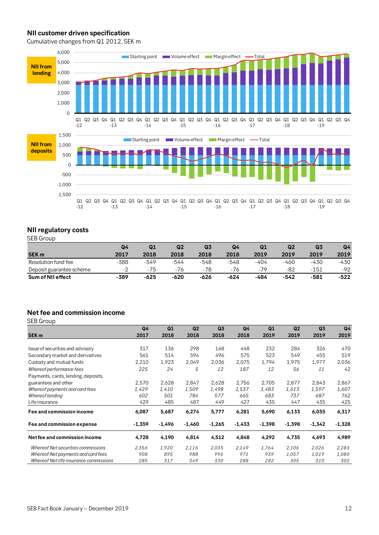### **NII customer driven specification**

Cumulative changes from Q1 2012, SEK m



## **NII regulatory costs**

SEB Group

| JLD UI VUD               |      |        |      |                |      |      |      |                |                |
|--------------------------|------|--------|------|----------------|------|------|------|----------------|----------------|
|                          | Q4   | Q1     | Q2   | Q <sub>3</sub> | Q4   | Q1   | Q2   | Q <sub>3</sub> | Q <sub>4</sub> |
| <b>SEK m</b>             | 2017 | 2018   | 2018 | 2018           | 2018 | 2019 | 2019 | 2019           | 2019           |
| Resolution fund fee      | -388 | -549   | -544 | -548           | -548 | -404 | -460 | -430           | -430           |
| Deposit guarantee scheme | -2   | -75    | -76  | -78            | -76  | -79  | -82  | $-151$         | -92            |
| Sum of NII effect        | -389 | $-625$ | -620 | -626           | -624 | -484 | -542 | -581           | $-522$         |

## **Net fee and commission income**

SEB Group

|                                        | Q <sub>4</sub> | Q1       | Q <sub>2</sub> | Q <sub>3</sub> | Q <sub>4</sub> | Q1       | Q <sub>2</sub> | Q <sub>3</sub> | Q <sub>4</sub> |
|----------------------------------------|----------------|----------|----------------|----------------|----------------|----------|----------------|----------------|----------------|
| SEK <sub>m</sub>                       | 2017           | 2018     | 2018           | 2018           | 2018           | 2019     | 2019           | 2019           | 2019           |
|                                        |                |          |                |                |                |          |                |                |                |
| Issue of securities and advisory       | 317            | 136      | 298            | 168            | 448            | 232      | 284            | 326            | 470            |
| Secondary market and derivatives       | 561            | 514      | 594            | 496            | 575            | 523      | 549            | 455            | 519            |
| Custody and mutual funds               | 2,210          | 1,923    | 2,049          | 2,036          | 2,075          | 1,794    | 1,975          | 1,977          | 2,036          |
| Whereof performance fees               | 225            | 24       | 5              | 12             | 187            | 12       | 56             | 11             | 42             |
| Payments, cards, lending, deposits,    |                |          |                |                |                |          |                |                |                |
| guarantees and other                   | 2,570          | 2,628    | 2,847          | 2,628          | 2,756          | 2,705    | 2,877          | 2,843          | 2,867          |
| Whereof payments and card fees         | 1,429          | 1,410    | 1,509          | 1,498          | 1.537          | 1,483    | 1,613          | 1,597          | 1,607          |
| Whereof lending                        | 602            | 501      | 784            | 577            | 665            | 683      | 737            | 687            | 762            |
| Life insurance                         | 429            | 485      | 487            | 449            | 427            | 435      | 447            | 435            | 425            |
| Fee and commission income              | 6,087          | 5,687    | 6,274          | 5,777          | 6,281          | 5,690    | 6,133          | 6,035          | 6,317          |
| Fee and commission expense             | $-1,359$       | $-1,496$ | $-1,460$       | $-1,265$       | $-1,433$       | $-1,398$ | $-1,398$       | $-1,342$       | $-1,328$       |
| Net fee and commission income          | 4.728          | 4,190    | 4,814          | 4,512          | 4,848          | 4,292    | 4,735          | 4,693          | 4,989          |
| Whereof Net securities commissions     | 2,356          | 1,920    | 2,116          | 2,035          | 2.149          | 1,764    | 2.106          | 2,026          | 2,283          |
| Whereof Net payments and card fees     | 908            | 895      | 988            | 996            | 971            | 939      | 1,057          | 1,019          | 1,080          |
| Whereof Net life insurance commissions | 285            | 317      | 349            | 330            | 288            | 282      | 305            | 310            | 302            |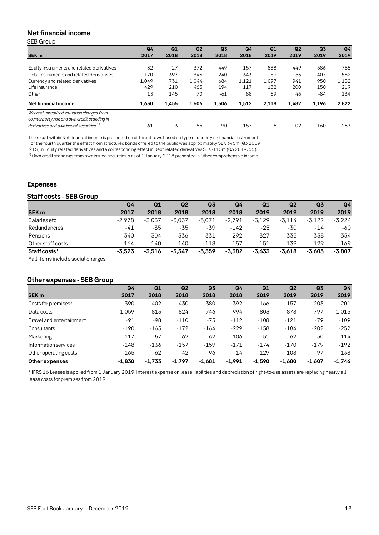## **Net financial income**

SEB Group

|                                               | Q <sub>4</sub> | Q1    | Q <sub>2</sub> | Q <sub>3</sub> | Q <sub>4</sub> | Q1    | Q <sub>2</sub> | Q <sub>3</sub> | Q <sub>4</sub> |
|-----------------------------------------------|----------------|-------|----------------|----------------|----------------|-------|----------------|----------------|----------------|
| <b>SEK m</b>                                  | 2017           | 2018  | 2018           | 2018           | 2018           | 2019  | 2019           | 2019           | 2019           |
|                                               |                |       |                |                |                |       |                |                |                |
| Equity instruments and related derivatives    | $-32$          | $-27$ | 372            | 449            | $-157$         | 838   | 449            | 586            | 755            |
| Debt instruments and related derivatives      | 170            | 397   | $-343$         | 240            | 343            | -59   | $-153$         | $-407$         | 582            |
| Currency and related derivatives              | 1.049          | 731   | 1.044          | 684            | 1,121          | 1.097 | 941            | 950            | 1,132          |
| Life insurance                                | 429            | 210   | 463            | 194            | 117            | 152   | 200            | 150            | 219            |
| Other                                         | 13             | 145   | 70             | -61            | 88             | 89    | 46             | -84            | 134            |
| <b>Net financial income</b>                   | 1.630          | 1,455 | 1.606          | 1.506          | 1.512          | 2.118 | 1.482          | 1,196          | 2.822          |
| Whereof unrealized valuation changes from     |                |       |                |                |                |       |                |                |                |
| counterparty risk and own credit standing in  |                |       |                |                |                |       |                |                |                |
| derivatives and own issued securities $^{1)}$ | 61             | 3     | -55            | 90             | $-157$         | -6    | $-102$         | $-160$         | 267            |
|                                               |                |       |                |                |                |       |                |                |                |

The result within Net financial income is presented on different rows based on type of underlying financial instrument.

For the fourth quarter the effect from structured bonds offered to the public was approximately SEK 345m (Q3 2019:

215) in Equity related derivatives and a corresponding effect in Debt related derivatives SEK -115m (Q3 2019: 65).

<sup>1)</sup> Own credit standings from own issued securities is as of 1 January 2018 presented in Other comprehensive income.

### **Expenses**

### **Staff costs - SEB Group**

|                                                    | Q <sub>4</sub> | Q1       | Q <sub>2</sub> | Q <sub>3</sub> | Q4       | Q1       | Q2       | Q <sub>3</sub> | Q <sub>4</sub> |
|----------------------------------------------------|----------------|----------|----------------|----------------|----------|----------|----------|----------------|----------------|
| <b>SEK m</b>                                       | 2017           | 2018     | 2018           | 2018           | 2018     | 2019     | 2019     | 2019           | 2019           |
| <b>Salaries etc</b>                                | $-2.978$       | $-3.037$ | $-3.037$       | $-3,071$       | $-2,791$ | $-3,129$ | $-3.114$ | $-3.122$       | $-3,224$       |
| Redundancies                                       | -41            | -35      | -35            | -39            | $-142$   | $-25$    | -30      | $-14$          | -60            |
| Pensions                                           | $-340$         | $-304$   | -336           | $-331$         | $-292$   | $-327$   | $-335$   | $-338$         | $-354$         |
| Other staff costs                                  | $-164$         | $-140$   | $-140$         | $-118$         | $-157$   | $-151$   | $-139$   | $-129$         | $-169$         |
| Staff costs*<br>* all items include social charges | $-3.523$       | $-3.516$ | $-3.547$       | $-3.559$       | $-3,382$ | $-3,633$ | $-3.618$ | $-3.603$       | $-3,807$       |

### **Other expenses - SEB Group**

|                          | Q <sub>4</sub> | Q1       | Q <sub>2</sub> | Q <sub>3</sub> | Q <sub>4</sub> | Q1       | Q <sub>2</sub> | Q <sub>3</sub> | Q <sub>4</sub> |
|--------------------------|----------------|----------|----------------|----------------|----------------|----------|----------------|----------------|----------------|
| SEK <sub>m</sub>         | 2017           | 2018     | 2018           | 2018           | 2018           | 2019     | 2019           | 2019           | 2019           |
| Costs for premises*      | $-390$         | $-402$   | $-430$         | $-380$         | $-392$         | $-166$   | $-157$         | $-203$         | $-201$         |
| Data costs               | $-1,059$       | $-813$   | $-824$         | $-746$         | $-994$         | $-803$   | $-878$         | $-797$         | $-1,015$       |
| Travel and entertainment | $-91$          | $-98$    | $-110$         | $-75$          | $-112$         | $-108$   | $-121$         | $-79$          | $-109$         |
| Consultants              | $-190$         | $-165$   | $-172$         | $-164$         | $-229$         | $-158$   | $-184$         | $-202$         | $-252$         |
| Marketing                | $-117$         | $-57$    | $-62$          | $-62$          | $-106$         | $-51$    | $-62$          | $-50$          | $-114$         |
| Information services     | $-148$         | $-136$   | $-157$         | $-159$         | $-171$         | $-174$   | $-170$         | $-179$         | $-192$         |
| Other operating costs    | 165            | $-62$    | $-42$          | -96            | 14             | $-129$   | $-108$         | $-97$          | 138            |
| <b>Other expenses</b>    | $-1.830$       | $-1.733$ | $-1.797$       | $-1.681$       | $-1.991$       | $-1.590$ | $-1.680$       | $-1.607$       | $-1,746$       |

\* IFRS 16 Leases is applied from 1 January 2019. Interest expense on lease liabilities and depreciation of right-to-use assets are replacing nearly all lease costs for premises from 2019.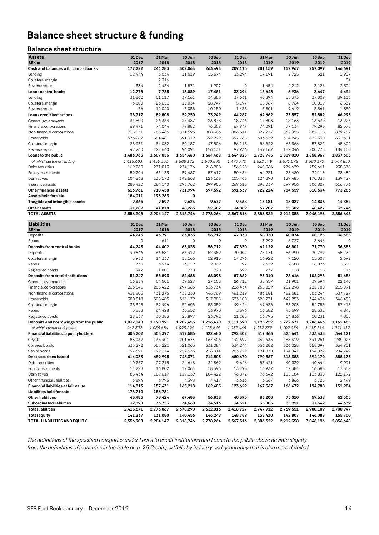# **Balance sheet structure & funding**

## **Balance sheet structure**

| <b>Assets</b>                                         | 31 Dec            | 31 Mar           | 30 Jun            | 30 Sep            | 31 Dec            | 31 Mar            | 30 Jun           | 30 Sep         | 31 Dec           |
|-------------------------------------------------------|-------------------|------------------|-------------------|-------------------|-------------------|-------------------|------------------|----------------|------------------|
| SEK <sub>m</sub>                                      | 2017              | 2018             | 2018              | 2018              | 2018              | 2019              | 2019             | 2019           | 2019             |
| Cash and balances with central banks<br>Lending       | 177,222<br>12,444 | 244,283<br>3,034 | 302,064<br>11,519 | 263,494<br>15,574 | 209,115<br>33,294 | 281,159<br>17,191 | 157,967<br>2,725 | 257,099<br>521 | 146,691<br>1,907 |
| Collateral margin                                     |                   | 2,316            |                   |                   |                   |                   |                  |                | 84               |
| Reverse repos                                         | 334               | 2,434            | 1,571             | 1,907             | 0                 | 1,454             | 4,212            | 3,126          | 2,504            |
| Loans central banks                                   | 12,778            | 7,785            | 13,089            | 17,481            | 33,294            | 18,645            | 6,936            | 3,647          | 4,494            |
| Lending                                               | 31,862            | 51,117           | 39,161            | 34,353            | 37,631            | 40,894            | 55,373           | 37,009         | 39,113           |
| Collateral margin                                     | 6,800             | 26,651           | 15,034            | 28,747            | 5,197             | 15,967            | 8,764            | 10,019         | 6,532            |
| Reverse repos                                         | 56                | 12,040           | 5,055             | 10,150            | 1,458             | 5,801             | 9,419            | 5,561          | 1,350            |
| Loans credit institutions                             | 38,717            | 89,808           | 59,250            | 73,249            | 44,287            | 62,662            | 73,557           | 52,589         | 46,995           |
| General governments                                   | 34,500            | 26,363           | 25,387            | 23,878            | 18,746            | 17,803            | 18,163           | 16,570         | 13,923           |
| Financial corporations                                | 69,471            | 74,044           | 79,882            | 76,359            | 67,947            | 74,091            | 77,134           | 79,293         | 82,578           |
| Non-financial corporations                            | 735,351           | 765,466          | 811,593           | 808,366           | 806,311           | 827,217           | 862,055          | 882,118        | 879,752          |
| Households                                            | 576,282           | 584,461          | 591,319           | 592,229           | 597,768           | 603,639           | 614,245          | 622,390        | 631,601          |
| Collateral margin                                     | 28,931            | 34,082           | 50,187            | 47,506            | 56,118            | 56,829            | 65,366           | 57,822         | 45,602           |
| Reverse repos                                         | 42,230            | 122,640          | 96,091            | 116,131           | 97,936            | 149,167           | 182,046          | 200,775        | 184,150          |
| Loans to the public                                   | 1,486,765         | 1,607,055        | 1,654,460         | 1,664,468         | 1,644,825         | 1,728,745         | 1,819,010        | 1,858,967      | 1,837,605        |
| of which customer lending                             | 1,415,603         | 1,450,333        | 1,508,182         | 1,500,832         | 1,490,771         | 1,522,749         | 1,571,598        | 1,600,370      | 1,607,853        |
| Debt securities                                       | 169,269           | 231,013          | 234,176           | 216,908           | 156,128           | 240,566           | 279,639          | 259,661        | 238,578          |
| Equity instruments                                    | 59,204            | 65,133           | 59,487            | 57,617            | 50,434            | 64,231            | 75,480           | 74,113         | 78,482           |
| Derivatives                                           | 104,868           | 130,172          | 142,568           | 123,163           | 115,463           | 124,390           | 129,485          | 170,033        | 139,427          |
| Insurance assets                                      | 283,420           | 284,140          | 295,762           | 299,905           | 269,613           | 293,037           | 299,956          | 306,827        | 316,776          |
| Other financial assets                                | 616,761           | 710,458          | 731,994           | 697,592           | 591,639           | 722,224           | 784,559          | 810,634        | 773,263          |
| Assets held for sale                                  | 184,011           | 193,283          | 0                 |                   |                   |                   |                  |                |                  |
| Tangible and intangible assets                        | 9,364             | 9,597            | 9,624             | 9,677             | 9,468             | 15,181            | 15,027           | 14,833         | 14,852           |
| Other assets                                          | 31,289            | 41,878           | 48,265            | 52,302            | 34,889            | 57,707            | 55,302           | 48,427         | 32,746           |
| <b>TOTAL ASSETS</b>                                   | 2,556,908         | 2,904,147        | 2,818,746         | 2,778,264         | 2,567,516         | 2,886,322         | 2,912,358        | 3,046,196      | 2,856,648        |
| Liabilities                                           | 31 Dec            | 31 Mar           | 30 Jun            | 30 Sep            | 31 Dec            | 31 Mar            | 30 Jun           | 30 Sep         | 31 Dec           |
| SEK <sub>m</sub>                                      | 2017              | 2018             | 2018              | 2018              | 2018              | 2019              | 2019             | 2019           | 2019             |
| Deposits                                              | 44,243            | 43,791           | 63,035            | 56,712            | 47,830            | 58,830            | 40,074           | 68,125         | 36,385           |
| Repos                                                 | 0                 | 611              | 0                 | 0                 | $\mathbf 0$       | 3,299             | 6,727            | 3,646          | $\Omega$         |
| Deposits from central banks                           | 44,243            | 44,402           | 63,035            | 56,712            | 47,830            | 62,129            | 46,801           | 71,770         | 36,385           |
| Deposits                                              | 40,646            | 66,581           | 63,412            | 52,389            | 70,002            | 75,171            | 66,990           | 70,799         | 45,272           |
| Collateral margin                                     | 8,930<br>730      | 14,337           | 15,166            | 12,915<br>2,069   | 17,296<br>192     | 16,922            | 9,120            | 15,308         | 2,692<br>3,580   |
| Repos                                                 | 942               | 3,974<br>1,001   | 3,129<br>778      | 720               | 399               | 2,639<br>277      | 2,388<br>118     | 16,073<br>118  | 113              |
| Registered bonds<br>Deposits from credit institutions | 51,247            | 85,893           | 82,485            | 68,093            | 87,889            | 95,010            | 78,616           | 102,298        | 51,656           |
| General governments                                   | 16,834            | 54,501           | 39,527            | 27,158            | 26,712            | 35,457            | 31,901           | 39,594         | 22,140           |
| Financial corporations                                | 213,345           | 265,422          | 297,363           | 333,734           | 226,434           | 265,829           | 252,298          | 225,780        | 215,091          |
| Non-financial corporations                            | 431,805           | 431,276          | 438,230           | 446,769           | 461,219           | 483,181           | 482,581          | 503,244        | 507,727          |
| Households                                            | 300,318           | 305,485          | 318,179           | 317,988           | 323,100           | 328,271           | 342,253          | 344,496        | 346,455          |
| Collateral margin                                     | 35,325            | 39,496           | 52,605            | 53,059            | 49,424            | 49,636            | 53,203           | 54,785         | 57,418           |
| Repos                                                 | 5,883             | 64,428           | 30,652            | 13,970            | 3,396             | 16,582            | 45,599           | 28,332         | 4,848            |
| Registered bonds                                      | 28,537            | 30,383           | 25,897            | 23,792            | 21,103            | 16,795            | 14,836           | 10,231         | 7,808            |
| Deposits and borrowings from the public               | 1,032,048         | 1,190,991        | 1,202,453         | 1,216,470         | 1,111,390         | 1,195,752         | 1,222,671        | 1,206,463      | 1,161,485        |
| of which customer deposits                            | 962,302           | 1,056,684        | 1,093,299         | 1,125,649         | 1,037,466         | 1,112,739         | 1,109,034        | 1,113,114      | 1,091,412        |
| <b>Financial liabilities to policyholders</b>         | 303,202           | 305,397          | 317,586           | 322,480           | 292,402           | 317,863           | 325,641          | 333,438        | 344,121          |
| CP/CD                                                 | 83,069            | 135,401          | 201,674           | 167,406           | 142,697           | 242,435           | 288,319          | 341,251        | 289,023          |
| Covered bonds                                         | 333,272           | 355,221          | 321,063           | 331,084           | 334,244           | 356,282           | 336,028          | 358,097        | 364,901          |
| Senior bonds                                          | 197,691           | 199,374          | 222,633           | 216,014           | 203,729           | 191,870           | 194,041          | 194,822        | 204,249          |
| Debt securities issued                                | 614,033           | 689,995          | 745,371           | 714,503           | 680,670           | 790,587           | 818,388          | 894,170        | 858,173          |
| Debt securities                                       | 10,757            | 27,215           | 24,618            | 34,869            | 9,646             | 53,421            | 40,039           | 40,644         | 9,991            |
| Equity instruments                                    | 14,228            | 16,802           | 17,064            | 18,696            | 13,498            | 13,937            | 17,384           | 16,588         | 17,352           |
| Derivatives                                           | 85,434            | 109,619          | 119,139           | 104,422           | 96,872            | 96,642            | 105,184          | 133,830        | 122,192          |
| Other financial liabilities                           | 3,894             | 3,795            | 4,398             | 4,417             | 3,613             | 3,567             | 3,866            | 3,725          | 2,449            |
| Financial liabilities at fair value                   | 114,313           | 157,431          | 165,218           | 162,405           | 123,629           | 167,567           | 166,472          | 194,788        | 151,984          |
| Liabilities held for sale                             | 178,710           | 186,781          |                   |                   |                   |                   |                  |                |                  |
| Other liabilities                                     | 45,485            | 78,424           | 67,483            | 56,838            | 40,395            | 83,200            | 75,010           | 59,638         | 52,505           |
| <b>Subordinated liabilities</b>                       | 32,390            | 33,753           | 34,660            | 34,516            | 34,521            | 35,805            | 35,951           | 37,542         | 44,639           |
| <b>Total liabilities</b>                              | 2,415,671         | 2,773,067        | 2,678,290         | 2,632,016         | 2,418,727         | 2,747,912         | 2,769,551        | 2,900,109      | 2,700,947        |
| <b>Total equity</b>                                   | 141,237           | 131,080          | 140,456           | 146,248           | 148,789           | 138,410           | 142,807          | 146,088        | 155,700          |
| TOTAL LIABILITIES AND EQUITY                          | 2,556,908         | 2,904,147        | 2,818,746         | 2,778,264         | 2,567,516         | 2,886,322         | 2,912,358        | 3,046,196      | 2,856,648        |

*The definitions of the specified categories under Loans to credit institutions and Loans to the public above deviate slightly from the definitions of industries in the table on p. 25 Credit portfolio by industry and geography that is also more detailed.*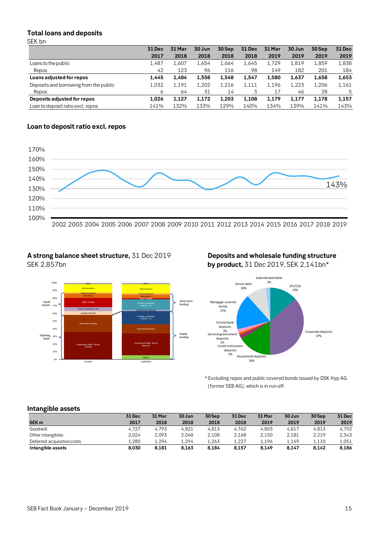### **Total loans and deposits** SEK bn

| – – – – – – – – –                      |        |        |        |        |               |        |        |        |               |
|----------------------------------------|--------|--------|--------|--------|---------------|--------|--------|--------|---------------|
|                                        | 31 Dec | 31 Mar | 30 Jun | 30 Sep | <b>31 Dec</b> | 31 Mar | 30 Jun | 30 Sep | <b>31 Dec</b> |
|                                        | 2017   | 2018   | 2018   | 2018   | 2018          | 2019   | 2019   | 2019   | 2019          |
| Loans to the public                    | 1.487  | 1.607  | 1.654  | 1.664  | 1,645         | 1.729  | 1,819  | 1.859  | 1,838         |
| Repos                                  | 42     | 123    | 96     | 116    | 98            | 149    | 182    | 201    | 184           |
| Loans adjusted for repos               | 1.445  | 1.484  | 1.558  | 1.548  | 1.547         | 1.580  | 1.637  | 1.658  | 1,653         |
| Deposits and borrowing from the public | 1.032  | 1,191  | 1,202  | 1,216  | 1,111         | 1,196  | 1,223  | 1.206  | 1,161         |
| Repos                                  | 6      | 64     | 31     | 14     |               | 17     | 46     | 28     | 5             |
| Deposits adjusted for repos            | 1.026  | 1.127  | 1.172  | 1.203  | 1,108         | 1.179  | 1.177  | 1.178  | 1,157         |
| Loan to deposit ratio excl. repos      | 141%   | 132%   | 133%   | 129%   | 140%          | 134%   | 139%   | 141%   | 143%          |

## **Loan to deposit ratio excl. repos**



Short-term funding

Stable funding

## **A strong balance sheet structure,** 31 Dec 2019 **Deposits and wholesale funding structure** SEK 2,857bn **by product,** 31 Dec 2019, SEK 2,141bn\*

Cash & Deposits in CB Central Bank Deposits

Assets **Liabilities** 

Derivatives Derivatives Derivatives **Credit Institutions Credit Institutions Life Insurance** Life Insurance Life Insurance Other Cuber Cuber Cuber Cuber Cuber Cuber

Corporate & Public Sector **Lending** 

Household Lending

Liquidity Portfolio

Client Trading



\* Excluding repos and public covered bonds issued by DSK Hyp AG (former SEB AG), which is in run-off.

### **Intangible assets**

0% 10% 20% 30% 40% 50% 60% 70% 80% 90% 100%

Liquid assets

"Banking book"

|                            | 31 Dec | 31 Mar | 30 Jun | 30Sep | <b>31 Dec</b> | 31 Mar | 30 Jun | 30 Sep | 31 Dec |
|----------------------------|--------|--------|--------|-------|---------------|--------|--------|--------|--------|
| SEK <sub>m</sub>           | 2017   | 2018   | 2018   | 2018  | 2018          | 2019   | 2019   | 2019   | 2019   |
| Goodwill                   | 4.727  | 4.793  | 4.821  | 4.813 | 4.762         | 4.803  | 4.817  | 4.813  | 4.792  |
| Other intangibles          | 2.024  | 2.093  | 2.048  | 2.108 | 2.168         | 2.150  | 2.181  | 2.219  | 2.343  |
| Deferred acquisition costs | 1.280  | 1.294  | 1.294  | 1.263 | 1.227         | 1.196  | 1.149  | 1.110  | 1,051  |
| Intangible assets          | 8.030  | 8.181  | 8.163  | 8.184 | 8,157         | 8.149  | 8.147  | 8.142  | 8,186  |

**Equity** 

Corporate & Public Sector **Deposits** 

Household Deposits

Funding, remaining maturity >1y

Funding, remaining maturity <1y

**Client Trading**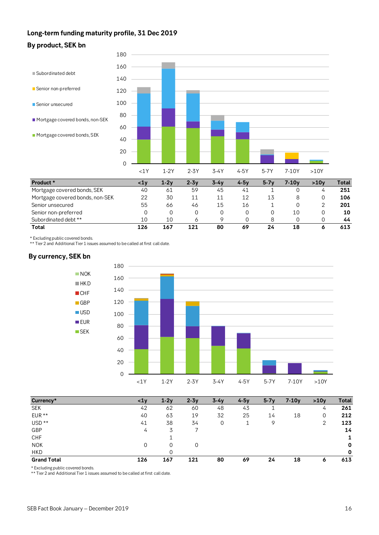## **Long-term funding maturity profile, 31 Dec 2019**





| Product *                       | <1v | $1 - 2v$ | 2-3v | $3 - 4v$ | $4 - 5v$ | $5 - 7v$ | 7-10v | >10v | Total |
|---------------------------------|-----|----------|------|----------|----------|----------|-------|------|-------|
| Mortgage covered bonds, SEK     | 40  | 61       | 59   | 45       | 41       |          |       | 4    | 251   |
| Mortgage covered bonds, non-SEK | 22  | 30       |      | 11       | 12       | 13       |       |      | 106   |
| Senior unsecured                | 55  | 66       | 46   | 15       | 16       |          |       |      | 201   |
| Senior non-preferred            |     |          |      |          |          |          | 10    |      | 10    |
| Subordinated debt **            | 10  | 10       | O    |          |          |          |       |      | 44    |
| Total                           | 126 | 167      | 121  | 80       | 69       | 24       | 18    | ۰    | 613   |

\* Excluding public covered bonds.

\*\* Tier 2 and Additional Tier 1 issues assumed to be called at first call date.

## **By currency, SEK bn**



| Currency*          | $1y$ | $1-2v$ | $2 - 3v$ | $3-4v$ | $4-5v$ | $5-7v$ | $7-10y$ | >10v    | Total       |
|--------------------|------|--------|----------|--------|--------|--------|---------|---------|-------------|
| <b>SEK</b>         | 42   | 62     | 60       | 48     | 43     |        |         | 4       | 261         |
| $EUR**$            | 40   | 63     | 19       | 32     | 25     | 14     | 18      | 0       | 212         |
| USD <sup>**</sup>  | 41   | 38     | 34       | 0      |        | 9      |         | 2       | 123         |
| GBP                | 4    | 3      |          |        |        |        |         |         | 14          |
| <b>CHF</b>         |      |        |          |        |        |        |         |         |             |
| <b>NOK</b>         | 0    | 0      | 0        |        |        |        |         |         | $\mathbf 0$ |
| <b>HKD</b>         |      | 0      |          |        |        |        |         |         | $\mathbf 0$ |
| <b>Grand Total</b> | 126  | 167    | 121      | 80     | 69     | 24     | 18      | $\circ$ | 613         |

\* Excluding public covered bonds.

\*\* Tier 2 and Additional Tier 1 issues assumed to be called at first call date.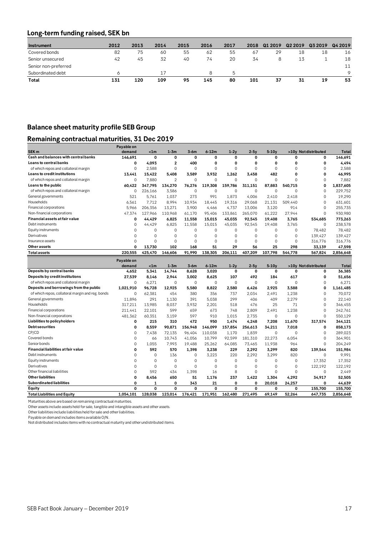## **Long-term funding raised, SEK bn**

| Instrument           | 2012 | 2013 | 2014 | 2015 | 2016 | 2017 | 2018 | Q1 2019 | Q <sub>2</sub> 2019 | Q3 2019 | Q4 2019 |
|----------------------|------|------|------|------|------|------|------|---------|---------------------|---------|---------|
| Covered bonds        | 82   | 75   | 60   | 55   | 62   | 55   | 67   | 29      | 18                  | 18      | 16      |
| Senior unsecured     | 42   | 45   | 32   | 40   | 74   | 20   | 34   | 8       | 13                  |         | 18      |
| Senior non-preferred |      |      |      |      |      |      |      |         |                     |         | 11      |
| Subordinated debt    |      |      | 17   |      | 8    | .מ   |      |         |                     |         | $\circ$ |
| Total                | 131  | 120  | 109  | 95   | 145  | 80   | 101  | 37      | 31                  | 19      | 53      |

## **Balance sheet maturity profile SEB Group**

## **Remaining contractual maturities, 31 Dec 2019**

|                                                  | Payable on |             |                |             |             |             |             |             |             |                      |           |
|--------------------------------------------------|------------|-------------|----------------|-------------|-------------|-------------|-------------|-------------|-------------|----------------------|-----------|
| SEK <sub>m</sub>                                 | demand     | < 1m        | $1-3m$         | $3-6m$      | $6-12m$     | $1-2v$      | $2-5v$      | $5-10y$     |             | >10y Not distributed | Total     |
| Cash and balances with central banks             | 146,691    | $\mathbf 0$ | 0              | $\mathbf 0$ | $\mathbf 0$ | 0           | 0           | 0           | 0           | 0                    | 146,691   |
| Loans to central banks                           | 0          | 4,093       | $\overline{2}$ | 400         | 0           | 0           | 0           | $\mathbf 0$ | 0           | 0                    | 4,494     |
| of which repos and collateral margin             | 0          | 2.588       | $\mathbf 0$    | $\mathbf 0$ | $\mathbf 0$ | $\mathbf 0$ | $\mathbf 0$ | $\mathbf 0$ | $\Omega$    | 0                    | 2,588     |
| Loans to credit institutions                     | 13.441     | 15.422      | 5.408          | 3.589       | 3.932       | 1.262       | 3.458       | 482         | 0           | 0                    | 46,995    |
| of which repos and collateral margin             | $\Omega$   | 7.880       | $\overline{2}$ | $\Omega$    | $\Omega$    | $\Omega$    | $\Omega$    | $\Omega$    | $\Omega$    | $\Omega$             | 7.882     |
| Loans to the public                              | 60.422     | 347,795     | 134,270        | 76.276      | 119.308     | 159,786     | 311.151     | 87,883      | 540,715     | 0                    | 1,837,605 |
| of which repos and collateral margin             | $\Omega$   | 226,166     | 3.586          | $\mathbf 0$ | $\mathbf 0$ | $\mathbf 0$ | $\mathbf 0$ | $\Omega$    | $\Omega$    | $\Omega$             | 229,752   |
| General governments                              | 521        | 5,761       | 1,037          | 273         | 991         | 1,873       | 4,006       | 2,410       | 2.418       | $\Omega$             | 19,290    |
| Households                                       | 6.561      | 7,712       | 8,994          | 10,934      | 18,445      | 19,316      | 29,068      | 21,131      | 509,440     | 0                    | 631,601   |
| Financial corporations                           | 5.966      | 206,356     | 13,271         | 3,900       | 4,466       | 4,737       | 13,006      | 3,120       | 914         | $\Omega$             | 255,735   |
| Non-financial corporations                       | 47,374     | 127,966     | 110,968        | 61,170      | 95,406      | 133,861     | 265,070     | 61,222      | 27.944      | $\Omega$             | 930,980   |
| Financial assets at fair value                   | 0          | 44,429      | 6,825          | 11,558      | 15,015      | 45,035      | 92,545      | 19,408      | 3,765       | 534,685              | 773,263   |
| Debt instruments                                 | $\Omega$   | 44,429      | 6,825          | 11,558      | 15,015      | 45,035      | 92,545      | 19,408      | 3.765       | $\mathbf 0$          | 238,578   |
| Equity instruments                               | 0          | 0           | $\mathbf 0$    | $\mathbf 0$ | 0           | $\mathbf 0$ | $\mathbf 0$ | 0           | $\mathbf 0$ | 78,482               | 78,482    |
| Derivatives                                      | 0          | $\Omega$    | $\mathbf 0$    | $\mathbf 0$ | $\Omega$    | $\Omega$    | $\mathbf 0$ | $\mathbf 0$ | $\Omega$    | 139,427              | 139,427   |
| Insurance assets                                 | 0          | $\Omega$    | $\mathbf 0$    | $\mathbf 0$ | $\Omega$    | $\Omega$    | $\mathbf 0$ | $\mathbf 0$ | $\Omega$    | 316,776              | 316,776   |
| Other assets                                     | 0          | 13,730      | 102            | 168         | 51          | 29          | 56          | 25          | 298         | 33,139               | 47,598    |
| <b>Total assets</b>                              | 220,555    | 425,470     | 146,606        | 91,990      | 138,305     | 206,111     | 407,209     | 107,798     | 544,778     | 567,824              | 2,856,648 |
|                                                  | Payable on |             |                |             |             |             |             |             |             |                      |           |
|                                                  | demand     | < 1m        | $1 - 3m$       | $3-6m$      | $6-12m$     | $1-2y$      | $2-5v$      | $5-10y$     |             | >10y Not distributed | Total     |
| Deposits by central banks                        | 4.652      | 5.341       | 14.744         | 8.628       | 3.020       | $\mathbf 0$ | $\mathbf 0$ | 0           | $\mathbf 0$ | 0                    | 36.385    |
| Deposits by credit institutions                  | 27.539     | 8,146       | 2.944          | 3.002       | 8,625       | 107         | 492         | 184         | 617         | 0                    | 51,656    |
| of which repos and collateral margin             | $\Omega$   | 6,271       | $\Omega$       | $\mathbf 0$ | $\Omega$    | $\Omega$    | $\Omega$    | $\Omega$    | $\Omega$    | $\Omega$             | 6,271     |
| Deposits and borrowings from the public          | 1,021,910  | 96,728      | 12.925         | 5.580       | 8,822       | 2.580       | 6,426       | 2,925       | 3.588       | $\mathbf 0$          | 1,161,485 |
| of which repos, collateral margin and reg. bonds | $\Omega$   | 62,381      | 454            | 380         | 356         | 737         | 2,034       | 2,491       | 1.238       | $\mathbf 0$          | 70,072    |
| General governments                              | 11,896     | 291         | 1,130          | 391         | 5.038       | 299         | 406         | 409         | 2,279       | $\Omega$             | 22,140    |
| Households                                       | 317,211    | 13,985      | 8.037          | 3,932       | 2,201       | 518         | 476         | 25          | 71          | $\Omega$             | 346,455   |
| Financial corporations                           | 211,441    | 22,101      | 599            | 659         | 673         | 748         | 2,809       | 2.491       | 1.238       | 0                    | 242,761   |
| Non-financial corporations                       | 481,362    | 60,351      | 3,159          | 597         | 910         | 1,015       | 2,735       | $\mathbf 0$ | $\Omega$    | $\Omega$             | 550,129   |
| Liabilities to policyholders                     | 0          | 215         | 310            | 472         | 950         | 1,474       | 4,248       | 7,208       | 11,670      | 317,574              | 344,121   |
| <b>Debtsecurities</b>                            | 0          | 8.559       | 90,871         | 156,948     | 146,099     | 157,854     | 256,613     | 34,211      | 7,018       | 0                    | 858,173   |
| CP/CD                                            | 0          | 7,438       | 72,135         | 96,404      | 110,038     | 1,170       | 1,839       | $\mathbf 0$ | $\Omega$    | $\mathbf 0$          | 289,023   |
| Covered bonds                                    | $\Omega$   | 66          | 10,743         | 41,056      | 10,799      | 92,599      | 181,310     | 22,273      | 6,054       | $\Omega$             | 364,901   |
| Senior bonds                                     | 0          | 1,055       | 7,993          | 19,488      | 25,262      | 64,085      | 73,465      | 11,938      | 964         | $\mathbf 0$          | 204,249   |
| Financial liabilities at fair value              | 0          | 592         | 570            | 1,398       | 3,238       | 229         | 2,292       | 3,299       | 820         | 139,544              | 151,984   |
| Debt instruments                                 | $\Omega$   | $\mathbf 0$ | 136            | $\mathbf 0$ | 3,223       | 220         | 2,292       | 3,299       | 820         | $\mathbf 0$          | 9,991     |
| Equity instruments                               | $\Omega$   | 0           | $\mathbf 0$    | $\mathbf 0$ | $\mathbf 0$ | $\mathbf 0$ | $\mathbf 0$ | $\mathbf 0$ | $\mathbf 0$ | 17,352               | 17,352    |
| Derivatives                                      | $\Omega$   | $\mathbf 0$ | $\mathbf 0$    | $\mathbf 0$ | $\mathbf 0$ | $\mathbf 0$ | $\mathbf 0$ | $\mathbf 0$ | $\Omega$    | 122,192              | 122,192   |
| Other financial liabilities                      | 0          | 592         | 434            | 1,398       | 16          | 8           | $\mathbf 0$ | $\mathbf 0$ | $\Omega$    | $\mathbf 0$          | 2,449     |
| <b>Other liabilities</b>                         | 0          | 8,456       | 650            | 51          | 1,176       | 237         | 1,422       | 1,304       | 4,292       | 34,917               | 52,505    |
| <b>Subordinated liabilities</b>                  | 0          | 1           | 0              | 343         | 21          | $\mathbf 0$ | 0           | 20,018      | 24,257      | 0                    | 44,639    |
| Equity                                           | 0          | 0           | 0              | $\mathbf 0$ | 0           | 0           | 0           | 0           | 0           | 155,700              | 155,700   |
| <b>Total Liabilities and Equity</b>              | 1.054.101  | 128.038     | 123.014        | 176,421     | 171,951     | 162.480     | 271.495     | 69.149      | 52,264      | 647,735              | 2,856,648 |
|                                                  |            |             |                |             |             |             |             |             |             |                      |           |

Maturities above are based on remaining contractual maturities.

Other assets include assets held for sale, tangible and intangible assets and other assets.

Other liabilities include liabilities held for sale and other liabilities.

Payable on demand includes items available O/N.

Not distributed includes items with no contractual maturity and other undistributed items.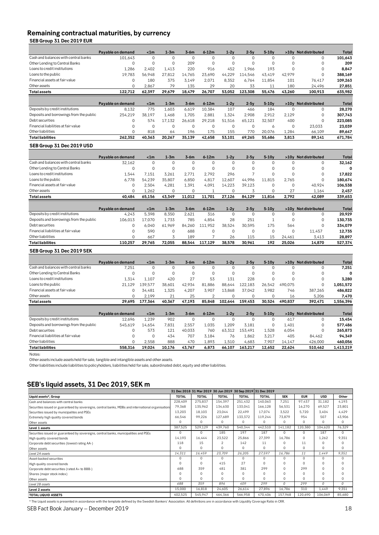## **Remaining contractual maturities, by currency**

**SEB Group 31 Dec 2019 EUR**

|                                         | Payable on demand | < 1m     | $1-3m$   | $3-6m$   | $6-12m$  | $1-2y$ | $2-5y$   | $5-10y$  | >10v     | Not distributed        | Total        |
|-----------------------------------------|-------------------|----------|----------|----------|----------|--------|----------|----------|----------|------------------------|--------------|
| Cash and balances with central banks    | 101.643           | $\Omega$ | $\Omega$ | $\Omega$ | $\Omega$ | O      | $\Omega$ | $\Omega$ |          | 0                      | 101,643      |
| Other Lending to Central Banks          | ი                 | 0        | $\Omega$ | 209      | 0        | O      | 0        | $\Omega$ |          | 0                      | 209          |
| Loans to credit institutions            | 1,286             | 2,402    | 1,413    | 220      | 916      | 452    | 1,966    | 193      |          | $\Omega$               | 8,847        |
| Loans to the public                     | 19,783            | 56,948   | 27,812   | 14,765   | 23,690   | 44,229 | 114.546  | 43,419   | 42,979   | 0                      | 388,169      |
| Financial assets at fair value          | O                 | 180      | 375      | 3,149    | 2,071    | 8,352  | 6,764    | 11,854   | 101      | 76,417                 | 109,263      |
| Other assets                            | 0                 | 2.867    | 79       | 135      | 29       | 20     | 33       | 11       | 180      | 24,496                 | 27,851       |
| <b>Total assets</b>                     | 122,712           | 62,397   | 29,679   | 18,479   | 26,707   | 53,052 | 123,308  | 55,476   | 43,260   | 100,913                | 635,982      |
|                                         |                   |          |          |          |          |        |          |          |          |                        |              |
|                                         | Payable on demand | < 1m     | $1-3m$   | $3-6m$   | $6-12m$  | $1-2y$ | $2-5y$   | $5-10v$  | >10v     | <b>Not distributed</b> | Total        |
| Deposits by credit institutions         | 8,132             | 775      | 1,603    | 6,619    | 10,384   | 107    | 466      | 184      |          | $\Omega$               | 28,270       |
| Deposits and borrowings from the public | 254,219           | 38,197   | 1.468    | 1.705    | 2.881    | 1,324  | 2.908    | 2.912    | 2,129    | 0                      | 307,743      |
| Debt securities                         | O                 | 574      | 17,132   | 26,618   | 29,218   | 51,516 | 65,121   | 32,507   | 400      | 0                      | 223,085      |
| Financial liabilities at fair value     | O                 | $\Omega$ | $\Omega$ | $\Omega$ | 0        | 0      | $\Omega$ | 6        | $\Omega$ | 23,033                 | 23,039       |
| Other liabilities                       | O                 | 818      | 64       | 196      | 175      | 155    | 770      | 20,076   | 1,284    | 66,109                 | 89,647       |
| <b>Total liabilities</b>                | 262,352           | 40.363   | 20,267   | 35,139   | 42,658   | 53,101 | 69,265   | 55.686   | 3.813    | 89,141                 | 671,784      |
| SEB Group 31 Dec 2019 USD               |                   |          |          |          |          |        |          |          |          |                        |              |
|                                         | Payable on demand | < 1m     | $1-3m$   | $3-6m$   | $6-12m$  | $1-2y$ | $2-5y$   | $5-10v$  |          | >10v Not distributed   | Total        |
| Coop and bolongoo with oontrol bonks    | 70110             | $\sim$   | $\sim$   | $\sim$   | $\sim$   | $\sim$ | $\sim$   | $\sim$   | $\sim$   | $\sim$                 | <b>704/0</b> |

| Cash and balances with central banks    | 32,162            | $\Omega$ | $\Omega$ |        | 0        |        | $\Omega$ | $\Omega$ |        | $\Omega$               | 32,162  |
|-----------------------------------------|-------------------|----------|----------|--------|----------|--------|----------|----------|--------|------------------------|---------|
| Other Lending to Central Banks          |                   | $\Omega$ | $\Omega$ |        | $\Omega$ |        | $\Omega$ | 0        |        | $\Omega$               | 0       |
| Loans to credit institutions            | 1.544             | 7.151    | 3,261    | 2.771  | 2.792    | 296    |          | 0        |        | $\Omega$               | 17,822  |
| Loans to the public                     | 6,778             | 54.239   | 35.807   | 6.850  | 4,817    | 12.607 | 44.996   | 11,815   | 2.765  | 0                      | 180,674 |
| Financial assets at fair value          |                   | 2.504    | 4,281    | 1,391  | 4,091    | 14,223 | 39,123   | $\Omega$ |        | 40.924                 | 106,538 |
| Other assets                            |                   | 1.262    | $\Omega$ |        |          |        | 3        | $\Omega$ | 27     | 1,164                  | 2,457   |
| <b>Total assets</b>                     | 40,484            | 65,156   | 43,349   | 11,012 | 11,701   | 27,126 | 84,129   | 11,816   | 2,792  | 42,089                 | 339,653 |
|                                         |                   |          |          |        |          |        |          |          |        |                        |         |
|                                         |                   |          |          |        |          |        |          |          |        |                        |         |
|                                         | Payable on demand | < 1m     | $1 - 3m$ | $3-6m$ | $6-12m$  | $1-2v$ | $2-5v$   | $5-10v$  | >10v   | <b>Not distributed</b> | Total   |
| Deposits by credit institutions         | 4.243             | 5.398    | 8.350    | 2.621  | 316      |        |          | $\Omega$ |        | $\Omega$               | 20,929  |
| Deposits and borrowings from the public | 106.013           | 17.070   | 1.733    | 785    | 4.854    | 28     | 251      |          |        | $\Omega$               | 130.735 |
| Debt securities                         |                   | 6.040    | 61.969   | 84.260 | 111.952  | 38.524 | 30.595   | 175      | 564    | $\Omega$               | 334.079 |
| Financial liabilities at fair value     |                   | 590      | $\Omega$ | 688    | $\Omega$ |        | $\Omega$ | $\Omega$ |        | 11,457                 | 12,735  |
| Other liabilities                       |                   | 667      |          | 189    |          | 26     | 115      | 15       | 24,461 | 3.413                  | 28.897  |

**SEB Group 31 Dec 2019 SEK**

|                                         | Payable on demand | < 1m     | $1 - 3m$ | $3-6m$   | $6 - 12m$      | $1-2y$   | $2-5v$   | $5-10v$  | >10v    | <b>Not distributed</b> | Total     |
|-----------------------------------------|-------------------|----------|----------|----------|----------------|----------|----------|----------|---------|------------------------|-----------|
| Cash and balances with central banks    | 7,251             | $\Omega$ | $\Omega$ | 0        | 0              | 0        | $\Omega$ | $\Omega$ |         | $\Omega$               | 7,251     |
| Other Lending to Central Banks          | $\mathbf 0$       | $\Omega$ | $\Omega$ |          | 0              | $\Omega$ | $\Omega$ | $\Omega$ | 0       | $\Omega$               | 0         |
| Loans to credit institutions            | 1.314             | 1.107    | 420      | 27       | 53             | 131      | 228      | $\Omega$ | 0       | $\Omega$               | 3,280     |
| Loans to the public                     | 21.129            | 139.577  | 38.601   | 42.934   | 81.886         | 88.644   | 122.183  | 26.542   | 490.075 | $\Omega$               | 1,051,572 |
| Financial assets at fair value          | 0                 | 34.481   | 1,325    | 4.207    | 3.907          | 13,868   | 37.042   | 3.982    | 746     | 387,265                | 486,822   |
| Other assets                            | $\Omega$          | 2,199    | 21       | 25       | $\mathfrak{p}$ | 0        | $\Omega$ | $\Omega$ | 16      | 5,206                  | 7,470     |
| <b>Total assets</b>                     | 29,695            | 177,364  | 40,367   | 47,193   | 85,848         | 102,644  | 159,453  | 30,524   | 490,837 | 392,471                | 1,556,396 |
|                                         |                   |          |          |          |                |          |          |          |         |                        |           |
|                                         | Payable on demand | < 1m     | $1 - 3m$ | $3-6m$   | $6 - 12m$      | $1-2y$   | $2-5v$   | $5-10v$  |         | >10y Not distributed   | Total     |
| Deposits by credit institutions         | 12,696            | 1.239    | 902      | $\Omega$ | $\Omega$       | $\Omega$ | $\Omega$ | $\Omega$ | 617     | $\Omega$               | 15,454    |
| Deposits and borrowings from the public | 545.619           | 14.654   | 7.831    | 2.557    | 1.035          | 1,209    | 3.181    | $\Omega$ | 1.401   | $\Omega$               | 577,486   |
| Debt securities                         | 0                 | 573      | 121      | 40.033   | 760            | 63.312   | 153.491  | 1,528    | 6,054   | $\Omega$               | 265,873   |
| Financial liabilities at fair value     | 0                 | 0        | 434      | 707      | 3,184          | 76       | 1,862    | 3,217    | 405     | 84,462                 | 94,349    |
| Other liabilities                       | 0                 | 2,558    | 888      | 470      | 1,893          | 1.510    | 4,683    | 7.907    | 14,147  | 426,000                | 460,056   |
| <b>Total liabilities</b>                | 558.316           | 19.024   | 10,176   | 43.767   | 6.873          | 66.107   | 163.217  | 12.652   | 22.624  | 510.462                | 1.413.219 |

Notes:

Other assets include assets held for sale, tangible and intangible assets and other assets.

Other liabilities include liabilities to policyholders, liabilities held for sale, subordinated debt, equity and other liabilities.

## **SEB's liquid assets, 31 Dec 2019, SEK m**

|                                                                                                    |              | 31 Dec 2018 31 Mar 2019 30 Jun 2019 30 Sep 2019 31 Dec 2019 |              |              |              |            |            |            |          |
|----------------------------------------------------------------------------------------------------|--------------|-------------------------------------------------------------|--------------|--------------|--------------|------------|------------|------------|----------|
| Liquid assets*, Group                                                                              | <b>TOTAL</b> | <b>TOTAL</b>                                                | <b>TOTAL</b> | <b>TOTAL</b> | <b>TOTAL</b> | <b>SEK</b> | <b>EUR</b> | <b>USD</b> | Other    |
| Cash and balances with central banks                                                               | 228,409      | 275,837                                                     | 154,397      | 251,432      | 140,063      | 7,251      | 97,437     | 31,182     | 4,193    |
| Securities issued or guaranteed by sovereigns, central banks, MDBs and international organisations | 79,368       | 135,962                                                     | 134,630      | 133,041      | 166,128      | 56,531     | 16,270     | 69,527     | 23,801   |
| Securities issued by municipalites and PSEs                                                        | 13,203       | 18,103                                                      | 23,044       | 22,499       | 17,074       | 3,522      | 5,720      | 3,404      | 4,429    |
| Extremely high quality covered bonds                                                               | 66,546       | 99,226                                                      | 127,689      | 133,372      | 119,244      | 73,879     | 954        | 507        | 43,906   |
| Other assets                                                                                       | <sup>n</sup> | $\Omega$                                                    | $\Omega$     | 0            | $\Omega$     | O          | $\Omega$   | 0          | $\Omega$ |
| Level 1 assets                                                                                     | 387,525      | 529,129                                                     | 439,760      | 540,344      | 442,510      | 141,182    | 120,380    | 104,620    | 76,329   |
| Securities issued or guaranteed by sovereigns, central banks, municipalities and PSEs              | 0            | $\Omega$                                                    | 185          | 197          | 187          | 0          | $^{\circ}$ | 187        | $\Omega$ |
| High quality covered bonds                                                                         | 14,193       | 16.444                                                      | 23,522       | 25,866       | 27,399       | 16.786     | 0          | 1.262      | 9,351    |
| Corporate debt securities (lowest rating AA-)                                                      | 118          | 15                                                          | 2            | 142          | 11           | O          | 11         | 0          | $\Omega$ |
| Other assets                                                                                       | 0            | 0                                                           | $\Omega$     | 0            | 0            | 0          | 0          | 0          | 0        |
| Level 2A assets                                                                                    | 14,311       | 16,459                                                      | 23.709       | 26,205       | 27.597       | 16,786     | 11         | 1,449      | 9,351    |
| Asset-backed securities                                                                            | 0            | $\Omega$                                                    | $\Omega$     | $\Omega$     | 0            | 0          | $\Omega$   | 0          | $\Omega$ |
| High quality covered bonds                                                                         | U            | $\Omega$                                                    | 415          | 27           | $\Omega$     | 0          | $\Omega$   | 0          | $\Omega$ |
| Corporate debt securities (rated A+ to BBB-)                                                       | 688          | 359                                                         | 481          | 381          | 299          | O          | 299        | 0          |          |
| Shares (major stock index)                                                                         | 0            | 0                                                           | $\Omega$     | 0            | $\Omega$     | O          | $\Omega$   | 0          | $\Omega$ |
| Other assets                                                                                       | 0            | $\Omega$                                                    | $\circ$      | $\Omega$     | 0            | 0          | $\circ$    | 0          | 0        |
| Level 2B assets                                                                                    | 688          | 359                                                         | 896          | 409          | 299          | 0          | 299        | $\Omega$   | $\Omega$ |
| Level 2 assets                                                                                     | 15,000       | 16,818                                                      | 24,605       | 26,614       | 27,896       | 16,786     | 310        | 1,449      | 9,351    |
| <b>TOTAL LIQUID ASSETS</b>                                                                         | 402,525      | 545,947                                                     | 464,366      | 566,958      | 470,406      | 157,968    | 120,690    | 106,069    | 85,680   |

\* The Liquid assets is presented in accordance with the template defined by the Swedish Bankers' Association. All definitions are in accordance with Liquidity Coverage Ratio in CRR.

SEB Fact Book January – December 2019 18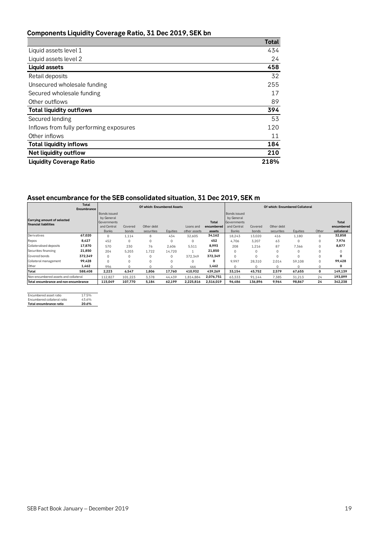## **Components Liquidity Coverage Ratio, 31 Dec 2019, SEK bn**

|                                         | <b>Total</b> |
|-----------------------------------------|--------------|
| Liquid assets level 1                   | 434          |
| Liquid assets level 2                   | 24           |
| <b>Liquid assets</b>                    | 458          |
| Retail deposits                         | 32           |
| Unsecured wholesale funding             | 255          |
| Secured wholesale funding               | 17           |
| Other outflows                          | 89           |
| <b>Total liquidity outflows</b>         | 394          |
| Secured lending                         | 53           |
| Inflows from fully performing exposures | 120          |
| Other inflows                           | 11           |
| <b>Total liquidity inflows</b>          | 184          |
| <b>Net liquidity outflow</b>            | 210          |
| <b>Liquidity Coverage Ratio</b>         | 218%         |

## **Asset encumbrance for the SEB consolidated situation, 31 Dec 2019, SEK m**

|                                       | <b>Total</b><br><b>Encumbrance</b> |                                            |                  | <b>Of which: Encumbered Assets</b> |          |                           |                               | Of which: Encumbered Collateral            |                  |                          |              |             |                                   |
|---------------------------------------|------------------------------------|--------------------------------------------|------------------|------------------------------------|----------|---------------------------|-------------------------------|--------------------------------------------|------------------|--------------------------|--------------|-------------|-----------------------------------|
| <b>Carrying amount of selected</b>    |                                    | <b>Bonds</b> issued<br>by General          |                  |                                    |          |                           |                               | Bonds issued<br>by General                 |                  |                          |              |             |                                   |
| financial liabilities                 |                                    | Governments<br>and Central<br><b>Banks</b> | Covered<br>bonds | Other debt<br>securities           | Equities | Loans and<br>other assets | Total<br>encumbered<br>assets | Governments<br>and Central<br><b>Banks</b> | Covered<br>bonds | Other debt<br>securities | Equities     | Other       | Total<br>encumbered<br>collateral |
| Derivatives                           | 67,020                             | 0                                          | 1,114            | 8                                  | 434      | 32,605                    | 34,162                        | 18,243                                     | 13,020           | 416                      | 1,180        | $\mathbf 0$ | 32,858                            |
| Repos                                 | 8,427                              | 452                                        | $\Omega$         | 0                                  | $\Omega$ | $\Omega$                  | 452                           | 4.706                                      | 3.207            | 63                       | 0            | 0           | 7,976                             |
| Collateralised deposits               | 17,870                             | 570                                        | 230              | 76                                 | 2.606    | 5,511                     | 8.993                         | 208                                        | 1,216            | 87                       | 7,366        | $\Omega$    | 8,877                             |
| Securities financing                  | 21,850                             | 204                                        | 5,203            | 1,722                              | 14,720   |                           | 21,850                        | 0                                          | $\Omega$         | $\mathbf 0$              | 0            |             |                                   |
| Covered bonds                         | 372,349                            | 0                                          | $\Omega$         | 0                                  | $\Omega$ | 372.349                   | 372,349                       | 0                                          | $\Omega$         | $\Omega$                 | $\Omega$     |             | 0                                 |
| Collateral management                 | 99,428                             | $\Omega$                                   | $\Omega$         | $\Omega$                           | $\Omega$ | $\Omega$                  | O                             | 9.997                                      | 28.310           | 2.014                    | 59.108       | $\Omega$    | 99,428                            |
| Other                                 | 1,462                              | 996                                        |                  | U                                  |          | 466                       | 1,462                         |                                            | 0                | $\Omega$                 | <sup>0</sup> |             | 0                                 |
| Total                                 | 588.408                            | 2,223                                      | 6,547            | 1,806                              | 17,760   | 410,932                   | 439,269                       | 33,154                                     | 45,752           | 2,579                    | 67,655       | 0           | 149,139                           |
| Non-encumbered assets and collateral  |                                    | 112.827                                    | 101.223          | 3.378                              | 44.439   | 1.814.884                 | 2,076,751                     | 63.333                                     | 91,144           | 7.385                    | 31.213       | 24          | 193,099                           |
| Total encumbrance and non-encumbrance |                                    | 115,049                                    | 107,770          | 5,184                              | 62,199   | 2,225,816                 | 2,516,019                     | 96,486                                     | 136,896          | 9,964                    | 98,867       | 24          | 342,238                           |

| Encumbered asset ratio      | 17.5% |
|-----------------------------|-------|
| Encumbered collateral ratio | 43.6% |
| Total encumbrance ratio     | 20.6% |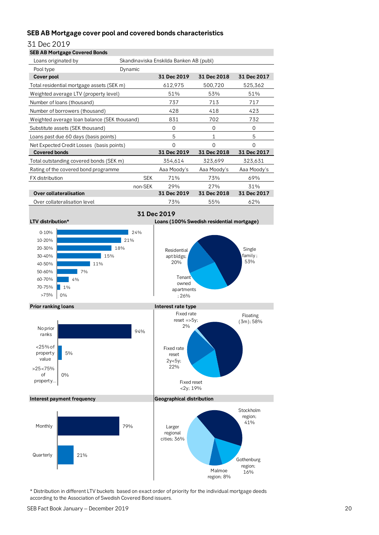## **SEB AB Mortgage cover pool and covered bonds characteristics**

31 Dec 2019

| <b>SEB AB Mortgage Covered Bonds</b>         |            |                                         |             |             |
|----------------------------------------------|------------|-----------------------------------------|-------------|-------------|
| Loans originated by                          |            | Skandinaviska Enskilda Banken AB (publ) |             |             |
| Pool type                                    | Dynamic    |                                         |             |             |
| <b>Cover pool</b>                            |            | 31 Dec 2019                             | 31 Dec 2018 | 31 Dec 2017 |
| Total residential mortgage assets (SEK m)    |            | 612,975                                 | 500,720     | 525,362     |
| Weighted average LTV (property level)        |            | 51%                                     | 53%         | 51%         |
| Number of loans (thousand)                   |            | 737                                     | 713         | 717         |
| Number of borrowers (thousand)               |            | 428                                     | 418         | 423         |
| Weighted average loan balance (SEK thousand) |            | 831                                     | 702         | 732         |
| Substitute assets (SEK thousand)             |            | $\Omega$                                | 0           | $\Omega$    |
| Loans past due 60 days (basis points)        |            | 5                                       | 1           | 5           |
| Net Expected Credit Losses (basis points)    |            | $\Omega$                                | $\Omega$    | $\Omega$    |
| <b>Covered bonds</b>                         |            | 31 Dec 2019                             | 31 Dec 2018 | 31 Dec 2017 |
| Total outstanding covered bonds (SEK m)      |            | 354,614                                 | 323,699     | 323,631     |
| Rating of the covered bond programme         |            | Aaa Moody's                             | Aaa Moody's | Aaa Moody's |
| <b>FX</b> distribution                       | <b>SEK</b> | 71%                                     | 73%         | 69%         |
|                                              | non-SEK    | 29%                                     | 27%         | 31%         |
| Over collateralisation                       |            | 31 Dec 2019                             | 31 Dec 2018 | 31 Dec 2017 |
| Over collateralisation level                 |            | 73%                                     | 55%         | 62%         |









\* Distribution in different LTV buckets based on exact order of priority for the individual mortgage deeds according to the Association of Swedish Covered Bond issuers.

**Gothenburg** region;<br>16%

Malmoe region; 8%

21%

**Quarterly**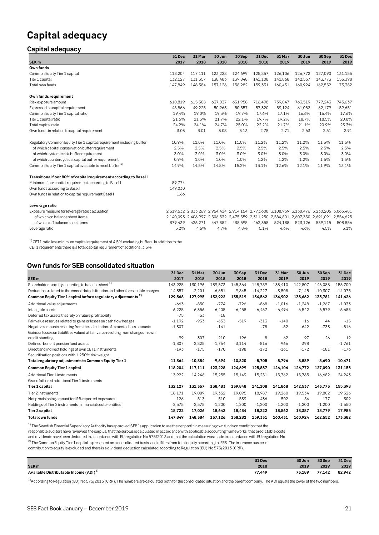## **Capital adequacy**

## **Capital adequacy**

|                                                                      | 31 Dec  | 31 Mar  | 30 Jun  | 30 Sep  | 31 Dec  | 31 Mar  | 30 Jun                                                                                    | 30 Sep  | 31 Dec  |
|----------------------------------------------------------------------|---------|---------|---------|---------|---------|---------|-------------------------------------------------------------------------------------------|---------|---------|
| SEK <sub>m</sub>                                                     | 2017    | 2018    | 2018    | 2018    | 2018    | 2019    | 2019                                                                                      | 2019    | 2019    |
| Own funds                                                            |         |         |         |         |         |         |                                                                                           |         |         |
| Common Equity Tier 1 capital                                         | 118.204 | 117,111 | 123,228 | 124,699 | 125,857 | 126,106 | 126,772                                                                                   | 127,090 | 131,155 |
| Tier 1 capital                                                       | 132,127 | 131,357 | 138.483 | 139,848 | 141,108 | 141.868 | 142,537                                                                                   | 143,773 | 155,398 |
| Total own funds                                                      | 147,849 | 148,384 | 157,126 | 158,282 | 159,331 | 160,431 | 160,924                                                                                   | 162,552 | 173,382 |
| Own funds requirement                                                |         |         |         |         |         |         |                                                                                           |         |         |
| Risk exposure amount                                                 | 610,819 | 615,308 | 637,037 | 631,958 | 716,498 | 739,047 | 763,519                                                                                   | 777,243 | 745,637 |
| Expressed as capital requirement                                     | 48.866  | 49,225  | 50.963  | 50,557  | 57,320  | 59,124  | 61,082                                                                                    | 62,179  | 59,651  |
| Common Equity Tier 1 capital ratio                                   | 19.4%   | 19.0%   | 19.3%   | 19.7%   | 17.6%   | 17.1%   | 16.6%                                                                                     | 16.4%   | 17.6%   |
| Tier 1 capital ratio                                                 | 21.6%   | 21.3%   | 21.7%   | 22.1%   | 19.7%   | 19.2%   | 18.7%                                                                                     | 18.5%   | 20.8%   |
| Total capital ratio                                                  | 24.2%   | 24.1%   | 24.7%   | 25.0%   | 22.2%   | 21.7%   | 21.1%                                                                                     | 20.9%   | 23.3%   |
| Own funds in relation to capital requirement                         | 3.03    | 3.01    | 3.08    | 3.13    | 2.78    | 2.71    | 2.63                                                                                      | 2.61    | 2.91    |
| Regulatory Common Equity Tier 1 capital requirement including buffer | 10.9%   | 11.0%   | 11.0%   | 11.0%   | 11.2%   | 11.2%   | 11.2%                                                                                     | 11.5%   | 11.5%   |
| of which capital conservation buffer requirement                     | 2.5%    | 2.5%    | 2.5%    | 2.5%    | 2.5%    | 2.5%    | 2.5%                                                                                      | 2.5%    | 2.5%    |
| of which systemic risk buffer requirement                            | 3.0%    | 3.0%    | 3.0%    | 3.0%    | 3.0%    | 3.0%    | 3.0%                                                                                      | 3.0%    | 3.0%    |
| of which countercyclical capital buffer requirement                  | 0.9%    | 1.0%    | 1.0%    | 1.0%    | 1.2%    | 1.2%    | 1.2%                                                                                      | 1.5%    | 1.5%    |
| Common Equity Tier 1 capital available to meet buffer <sup>1)</sup>  | 14.9%   | 14.5%   | 14.8%   | 15.2%   | 13.1%   | 12.6%   | 12.1%                                                                                     | 11.9%   | 13.1%   |
| Transitional floor 80% of capital requirement according to Basel I   |         |         |         |         |         |         |                                                                                           |         |         |
| Minimum floor capital requirement according to Basel I               | 89,774  |         |         |         |         |         |                                                                                           |         |         |
| Own funds according to Basel I                                       | 149.030 |         |         |         |         |         |                                                                                           |         |         |
| Own funds in relation to capital requirement Basel I                 | 1.66    |         |         |         |         |         |                                                                                           |         |         |
| Leverage ratio                                                       |         |         |         |         |         |         |                                                                                           |         |         |
| Exposure measure for leverage ratio calculation                      |         |         |         |         |         |         | 2,519,532 2,833,269 2,954,414 2,914,154 2,773,608 3,108,939 3,130,476 3,230,206 3,063,481 |         |         |
| of which on balance sheet items                                      |         |         |         |         |         |         | 2,140,093 2,406,997 2,506,532 2,475,559 2,311,250 2,584,801 2,607,350 2,691,091 2,554,625 |         |         |
| of which off balance sheet items                                     | 379.439 | 426.271 | 447,882 | 438,595 | 462,358 | 524,138 | 523.126                                                                                   | 539,115 | 508,856 |
| Leverage ratio                                                       | 5.2%    | 4.6%    | 4.7%    | 4.8%    | 5.1%    | 4.6%    | 4.6%                                                                                      | 4.5%    | 5.1%    |

 $1)$  CET1 ratio less minimum capital requirement of 4.5% excluding buffers. In addition to the CET1 requirements there is a total capital requirement of additional 3.5%.

## **Own funds for SEB consolidated situation**

|                                                                                   | 31 Dec    | 31 Mar    | 30 Jun   | 30Sep     | 31 Dec    | 31 Mar   | 30 Jun   | 30Sep     | 31 Dec    |
|-----------------------------------------------------------------------------------|-----------|-----------|----------|-----------|-----------|----------|----------|-----------|-----------|
| SEK <sub>m</sub>                                                                  | 2017      | 2018      | 2018     | 2018      | 2018      | 2019     | 2019     | 2019      | 2019      |
| Shareholder's equity according to balance sheet <sup>1)</sup>                     | 143,925   | 130,196   | 139,573  | 145,364   | 148.789   | 138,410  | 142,807  | 146,088   | 155,700   |
| Deductions related to the consolidated situation and other foreseeable charges    | $-14,357$ | $-2,201$  | $-6,651$ | $-9,845$  | $-14.227$ | $-3,508$ | $-7,145$ | $-10,307$ | $-14,075$ |
| Common Equity Tier 1 capital before regulatory adjustments <sup>2)</sup>          | 129,568   | 127,995   | 132,922  | 135,519   | 134,562   | 134,902  | 135,662  | 135,781   | 141,626   |
| Additional value adjustments                                                      | $-663$    | $-850$    | $-774$   | $-726$    | $-868$    | $-1.016$ | $-1,248$ | $-1,267$  | $-1,033$  |
| Intangible assets                                                                 | $-6,225$  | $-6,356$  | $-6.405$ | $-6.458$  | $-6,467$  | $-6,494$ | $-6,542$ | $-6,579$  | $-6,688$  |
| Deferred tax assets that rely on future profitability                             | $-75$     | $-53$     | $-18$    |           |           |          |          |           |           |
| Fair value reserves related to gains or losses on cash flow hedges                | $-1,192$  | $-933$    | $-633$   | $-519$    | $-313$    | $-140$   | 16       | 44        | $-15$     |
| Negative amounts resulting from the calculation of expected loss amounts          | $-1,307$  |           | $-141$   |           | $-78$     | $-82$    | $-642$   | $-733$    | $-816$    |
| Gains or losses on liabilities valued at fair value resulting from changes in own |           |           |          |           |           |          |          |           |           |
| credit standing                                                                   | 99        | 307       | 210      | 196       | 8         | 62       | 97       | 26        | 19        |
| Defined-benefit pension fund assets                                               | $-1.807$  | $-2,825$  | $-1.764$ | $-3,114$  | $-816$    | $-966$   | $-398$   |           | $-1,761$  |
| Direct and indirect holdings of own CET1 instruments                              | $-193$    | $-175$    | $-170$   | $-198$    | $-172$    | $-161$   | $-172$   | $-181$    | $-176$    |
| Securitisation positions with 1.250% risk weight                                  |           |           |          |           |           |          |          |           |           |
| Total regulatory adjustments to Common Equity Tier 1                              | $-11.364$ | $-10.884$ | $-9.694$ | $-10.820$ | $-8.705$  | $-8.796$ | $-8,889$ | $-8,690$  | $-10,471$ |
| <b>Common Equity Tier 1 capital</b>                                               | 118.204   | 117,111   | 123.228  | 124,699   | 125,857   | 126,106  | 126.772  | 127,090   | 131,155   |
| Additional Tier 1 instruments                                                     | 13,922    | 14,246    | 15,255   | 15,149    | 15,251    | 15,762   | 15,765   | 16,682    | 24,243    |
| Grandfathered additional Tier 1 instruments                                       |           |           |          |           |           |          |          |           |           |
| Tier 1 capital                                                                    | 132,127   | 131,357   | 138,483  | 139,848   | 141,108   | 141,868  | 142,537  | 143,773   | 155,398   |
| Tier 2 instruments                                                                | 18.171    | 19.089    | 19.332   | 19.095    | 18.987    | 19.260   | 19.534   | 19.802    | 19.326    |
| Net provisioning amount for IRB-reported exposures                                | 126       | 513       | 510      | 539       | 436       | 502      | 54       | 177       | 309       |
| Holdings of Tier 2 instruments in financial sector entities                       | $-2,575$  | $-2,575$  | $-1,200$ | $-1,200$  | $-1,200$  | $-1,200$ | $-1,200$ | $-1,200$  | $-1,650$  |
| Tier 2 capital                                                                    | 15,722    | 17,026    | 18.642   | 18,434    | 18,222    | 18,562   | 18,387   | 18,779    | 17,985    |
| <b>Total own funds</b>                                                            | 147,849   | 148,384   | 157,126  | 158,282   | 159,331   | 160,431  | 160,924  | 162,552   | 173,382   |

 $1)$  The Swedish Financial Supervisory Authority has approved SEB's application to use the net profit in measuring own funds on condition that the

responsible auditors have reviewed the surplus, that the surplus is calculated in accordance with applicable accounting frameworks, that predictable costs

and dividends have been deducted in accordance with EU regulation No 575/2013 and that the calculation was made in accordance with EU regulation No

2) The Common Equity Tier 1 capital is presented on a consolidated basis, and differs from total equity according to IFRS. The insurance business

contribution to equity is excluded and there is a dividend deduction calculated according to Regulation (EU) No 575/2013 (CRR).

| . .<br>-- |      |        |                  |        |
|-----------|------|--------|------------------|--------|
|           |      | 30 Jun | 30 Sep           | 31 Dec |
|           | 2018 | 2019   | 2019             | 2019   |
|           |      | 73.189 | 77.142           | 82,942 |
|           |      | 31 Dec | ______<br>77.449 |        |

<sup>1)</sup>According to Regulation (EU) No 575/2013 (CRR). The numbers are calculated both for the consolidated situation and the parent company. The ADI equals the lower of the two numbers.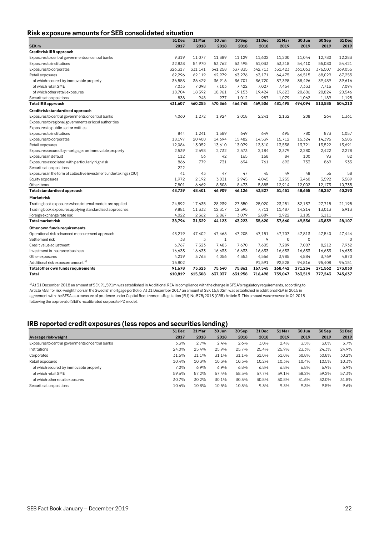## **Risk exposure amounts for SEB consolidated situation**

|                                                                   | 31 Dec  | 31 Mar  | 30 Jun       | 30Sep   | 31 Dec  | 31 Mar      | 30 Jun      | 30 Sep  | 31 Dec  |
|-------------------------------------------------------------------|---------|---------|--------------|---------|---------|-------------|-------------|---------|---------|
| SEK <sub>m</sub>                                                  | 2017    | 2018    | 2018         | 2018    | 2018    | 2019        | 2019        | 2019    | 2019    |
| Credit risk IRB approach                                          |         |         |              |         |         |             |             |         |         |
| Exposures to central governments or central banks                 | 9,319   | 11,077  | 11,389       | 11,129  | 11,602  | 11,200      | 11,044      | 12,780  | 12,283  |
| Exposures to institutions                                         | 32,838  | 54,970  | 53,762       | 53,495  | 51,033  | 53,318      | 54,410      | 55,080  | 54,421  |
| Exposures to corporates                                           | 326,317 | 331,141 | 341,258      | 337,835 | 342,713 | 351,423     | 361,063     | 376,507 | 369,055 |
| Retail exposures                                                  | 62,296  | 62,119  | 62,979       | 63,276  | 63,171  | 64,475      | 66,515      | 68,029  | 67,255  |
| of which secured by immovable property                            | 36,558  | 36,429  | 36,916       | 36,701  | 36,720  | 37,398      | 38,496      | 39,489  | 39,616  |
| of which retail SME                                               | 7,033   | 7,098   | 7,103        | 7,422   | 7,027   | 7,454       | 7,333       | 7,716   | 7,094   |
| of which other retail exposures                                   | 18.704  | 18.592  | 18,961       | 19,153  | 19,424  | 19,623      | 20,686      | 20,824  | 20,546  |
| Securitisation positions                                          | 838     | 948     | 977          | 1,012   | 987     | 1,079       | 1,062       | 1,189   | 1,195   |
| <b>Total IRB</b> approach                                         | 431,607 | 460,255 | 470,366      | 466,748 | 469,506 | 481,495     | 494,094     | 513,585 | 504,210 |
| Credit risk standardised approach                                 |         |         |              |         |         |             |             |         |         |
| Exposures to central governments or central banks                 | 4,060   | 1,272   | 1,924        | 2,018   | 2,241   | 2,132       | 208         | 264     | 1,361   |
| Exposures to regional governments or local authorities            |         |         |              |         |         |             |             |         |         |
| Exposures to public sector entities                               |         |         |              |         |         |             |             |         |         |
| Exposures to institutions                                         | 844     | 1,241   | 1,589        | 649     | 649     | 695         | 780         | 873     | 1,057   |
| Exposures to corporates                                           | 18,197  | 20,400  | 14,694       | 15,482  | 14,539  | 15,712      | 15,324      | 14,395  | 6,505   |
| Retail exposures                                                  | 12,084  | 13,052  | 13,610       | 13,079  | 13,310  | 13,538      | 13,721      | 13,522  | 13,691  |
| Exposures secured by mortgages on immovable property              | 2,539   | 2.698   | 2.732        | 2,573   | 2,184   | 2.379       | 2,280       | 2.422   | 2,278   |
| Exposures in default                                              | 112     | 56      | 42           | 165     | 168     | 84          | 100         | 93      | 82      |
| Exposures associated with particularly high risk                  | 866     | 779     | 731          | 694     | 761     | 692         | 733         | 869     | 933     |
| Securitisation positions                                          | 222     |         |              |         |         |             |             |         |         |
| Exposures in the form of collective investment undertakings (CIU) | 41      | 43      | 47           | 47      | 45      | 49          | 48          | 55      | 58      |
| Equity exposures                                                  | 1,972   | 2,192   | 3,031        | 2,945   | 4,045   | 3,255       | 3,460       | 3,592   | 3,589   |
| Other items                                                       | 7,801   | 6,669   | 8,508        | 8,473   | 5,885   | 12,914      | 12,002      | 12,173  | 10,735  |
| Total standardised approach                                       | 48,739  | 48,401  | 46,909       | 46,126  | 43,827  | 51,451      | 48,655      | 48,257  | 40,290  |
| Marketrisk                                                        |         |         |              |         |         |             |             |         |         |
| Trading book exposures where internal models are applied          | 24,892  | 17,635  | 28,939       | 27,550  | 25,020  | 23,251      | 32,137      | 27,715  | 21,195  |
| Trading book exposures applying standardised approaches           | 9,881   | 11,332  | 12,317       | 12,595  | 7,711   | 11,487      | 14,214      | 13,013  | 6,913   |
| Foreign exchange rate risk                                        | 4,022   | 2,362   | 2,867        | 3,079   | 2,889   | 2,922       | 3,185       | 3,111   |         |
| <b>Total market risk</b>                                          | 38,794  | 31,329  | 44,123       | 43,223  | 35,620  | 37,660      | 49,536      | 43,839  | 28,107  |
| Other own funds requirements                                      |         |         |              |         |         |             |             |         |         |
| Operational risk advanced measurement approach                    | 48,219  | 47.402  | 47.465       | 47,205  | 47.151  | 47,707      | 47,813      | 47,540  | 47,444  |
| Settlement risk                                                   | 38      | 3       | $\mathbf{1}$ |         | 9       | $\mathbf 0$ | $\mathbf 0$ |         |         |
| Credit value adjustment                                           | 6,767   | 7,523   | 7,485        | 7,670   | 7,605   | 7,289       | 7,087       | 8,212   | 7,932   |
| Investment in insurance business                                  | 16,633  | 16,633  | 16,633       | 16,633  | 16,633  | 16,633      | 16,633      | 16,633  | 16,633  |
| Other exposures                                                   | 4,219   | 3,763   | 4,056        | 4,353   | 4,556   | 3,985       | 4,884       | 3,769   | 4,870   |
| Additional risk exposure amount <sup>1)</sup>                     | 15,802  |         |              |         | 91,591  | 92,828      | 94,816      | 95,408  | 96,151  |
| Total other own funds requirements                                | 91,678  | 75,323  | 75,640       | 75,861  | 167,545 | 168,442     | 171,234     | 171,562 | 173,030 |
| Total                                                             | 610,819 | 615.308 | 637,037      | 631.958 | 716,498 | 739.047     | 763,519     | 777,243 | 745,637 |

<sup>1)</sup>At 31 December 2018 an amount of SEK 91,591m was established in Additional REA in compliance with the change in SFSA's regulatory requirements, according to Article 458, for risk-weight floors in the Swedish mortgage portfolio. At 31 December 2017 an amount of SEK 15,802m was established in additional REA in 2015 in agreement with the SFSA as a measure of prudence under Capital Requirements Regulation (EU) No 575/2013 (CRR) Article 3. This amount was removed in Q1 2018 following the approval of SEB's recalibrated corporate PD model.

## **IRB reported credit exposures (less repos and securities lending)**

|                                                   |        |        | ້      |        |        |        |        |        |        |
|---------------------------------------------------|--------|--------|--------|--------|--------|--------|--------|--------|--------|
|                                                   | 31 Dec | 31 Mar | 30 Jun | 30 Sep | 31 Dec | 31 Mar | 30 Jun | 30 Sep | 31 Dec |
| Average risk-weight                               | 2017   | 2018   | 2018   | 2018   | 2018   | 2019   | 2019   | 2019   | 2019   |
| Exposures to central governments or central banks | 3.3%   | 2.7%   | 2.4%   | 2.6%   | 3.0%   | 2.4%   | 3.5%   | 3.0%   | 3.7%   |
| Institutions                                      | 24.0%  | 25.4%  | 25.9%  | 25.7%  | 25.4%  | 25.9%  | 23.3%  | 24.3%  | 24.9%  |
| Corporates                                        | 31.6%  | 31.1%  | 31.1%  | 31.1%  | 31.0%  | 31.0%  | 30.8%  | 30.8%  | 30.2%  |
| Retail exposures                                  | 10.4%  | 10.3%  | 10.3%  | 10.3%  | 10.2%  | 10.3%  | 10.4%  | 10.5%  | 10.3%  |
| of which secured by immovable property            | 7.0%   | 6.9%   | 6.9%   | 6.8%   | 6.8%   | 6.8%   | 6.8%   | 6.9%   | 6.9%   |
| of which retail SME                               | 59.6%  | 57.2%  | 57.4%  | 58.5%  | 57.7%  | 59.1%  | 58.2%  | 59.2%  | 57.3%  |
| of which other retail exposures                   | 30.7%  | 30.2%  | 30.1%  | 30.3%  | 30.8%  | 30.8%  | 31.6%  | 32.0%  | 31.8%  |
| Securitisation positions                          | 10.6%  | 10.3%  | 10.5%  | 10.3%  | 9.3%   | 9.3%   | 9.3%   | 9.5%   | 9.6%   |
|                                                   |        |        |        |        |        |        |        |        |        |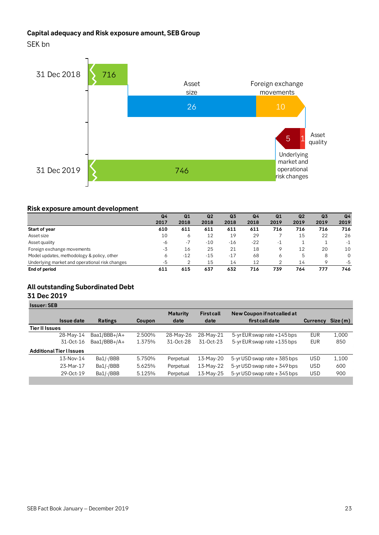## **Capital adequacy and Risk exposure amount, SEB Group**

SEK bn



### **Risk exposure amount development**

| Risk exposure amount development               |                |       |                |                |                |                |                |                |                |
|------------------------------------------------|----------------|-------|----------------|----------------|----------------|----------------|----------------|----------------|----------------|
|                                                | Q <sub>4</sub> | Q1    | Q <sub>2</sub> | Q <sub>3</sub> | Q <sub>4</sub> | Q <sub>1</sub> | Q <sub>2</sub> | Q <sub>3</sub> | Q <sub>4</sub> |
|                                                | 2017           | 2018  | 2018           | 2018           | 2018           | 2019           | 2019           | 2019           | 2019           |
| <b>Start of year</b>                           | 610            | 611   | 611            | 611            | 611            | 716            | 716            | 716            | 716            |
| Asset size                                     | 10             | 6     | 12             | 19             | 29             | ℸ              | 15             | 22             | 26             |
| Asset quality                                  | -6             | $-7$  | $-10$          | $-16$          | $-22$          | -1             |                |                | -1             |
| Foreign exchange movements                     | -3             | 16    | 25             | 21             | 18             | 9              | 12             | 20             | 10             |
| Model updates, methodology & policy, other     | 6              | $-12$ | $-15$          | $-17$          | 68             | 6              | 5              | 8              | 0              |
| Underlying market and operational risk changes | $-5$           | 2     | 15             | 14             | 12             | $\mathcal{P}$  | 14             | 9              | -5             |
| End of period                                  | 611            | 615   | 637            | 632            | 716            | 739            | 764            | 777            | 746            |

## **All outstanding Subordinated Debt**

## **31 Dec 2019**

| <b>Issuer: SEB</b>              |                |               |                 |                  |                                   |                 |         |
|---------------------------------|----------------|---------------|-----------------|------------------|-----------------------------------|-----------------|---------|
|                                 |                |               | <b>Maturity</b> | <b>Firstcall</b> | New Coupon if not called at       |                 |         |
| <b>Issue date</b>               | <b>Ratings</b> | <b>Coupon</b> | date            | date             | first call date                   | <b>Currency</b> | Size(m) |
| <b>Tier II Issues</b>           |                |               |                 |                  |                                   |                 |         |
| 28-May-14                       | Baa1/BBB+/A+   | 2.500%        | 28-May-26       | 28-May-21        | 5-yr EUR swap rate $+145$ bps     | <b>EUR</b>      | 1,000   |
| 31-Oct-16                       | Baa1/BBB+/A+   | 1.375%        | 31-Oct-28       | 31-Oct-23        | 5-yr EUR swap rate +135 bps       | <b>EUR</b>      | 850     |
| <b>Additional Tier I Issues</b> |                |               |                 |                  |                                   |                 |         |
| 13-Nov-14                       | Ba1/-/BBB      | 5.750%        | Perpetual       | 13-May-20        | $5$ -yr USD swap rate $+$ 385 bps | <b>USD</b>      | 1,100   |
| 23-Mar-17                       | Ba1/-/BBB      | 5.625%        | Perpetual       | 13-May-22        | $5$ -yr USD swap rate $+$ 349 bps | <b>USD</b>      | 600     |
| 29-0ct-19                       | Ba1/-/BBB      | 5.125%        | Perpetual       | 13-May-25        | $5$ -yr USD swap rate $+345$ bps  | USD             | 900     |
|                                 |                |               |                 |                  |                                   |                 |         |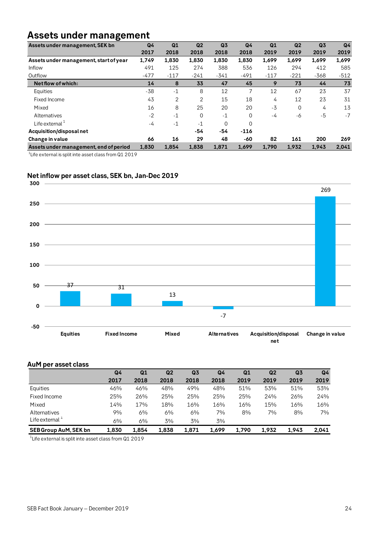## **Assets under management**

| Assets under management, SEK bn        | Q4     | Q1     | Q <sub>2</sub> | Q <sub>3</sub> | Q <sub>4</sub> | Q1     | Q <sub>2</sub> | Q <sub>3</sub> | Q <sub>4</sub> |
|----------------------------------------|--------|--------|----------------|----------------|----------------|--------|----------------|----------------|----------------|
|                                        | 2017   | 2018   | 2018           | 2018           | 2018           | 2019   | 2019           | 2019           | 2019           |
| Assets under management, start of year | 1,749  | 1,830  | 1,830          | 1,830          | 1,830          | 1.699  | 1,699          | 1,699          | 1,699          |
| Inflow                                 | 491    | 125    | 274            | 388            | 536            | 126    | 294            | 412            | 585            |
| Outflow                                | $-477$ | $-117$ | $-241$         | $-341$         | $-491$         | $-117$ | $-221$         | $-368$         | $-512$         |
| Net flow of which:                     | 14     | 8      | 33             | 47             | 45             | 9      | 73             | 44             | 73             |
| Equities                               | $-38$  | $-1$   | 8              | 12             | 7              | 12     | 67             | 23             | 37             |
| Fixed Income                           | 43     | 2      | 2              | 15             | 18             | 4      | 12             | 23             | 31             |
| Mixed                                  | 16     | 8      | 25             | 20             | 20             | $-3$   | $\Omega$       | 4              | 13             |
| Alternatives                           | $-2$   | $-1$   | $\Omega$       | $-1$           | $\Omega$       | -4     | -6             | -5             | $-7$           |
| Life external $1$                      | $-4$   | $-1$   | $-1$           | $\Omega$       | $\Omega$       |        |                |                |                |
| Acquisition/disposalnet                |        |        | -54            | -54            | $-116$         |        |                |                |                |
| Change in value                        | 66     | 16     | 29             | 48             | -60            | 82     | 161            | 200            | 269            |
| Assets under management, end of period | 1,830  | 1,854  | 1,838          | 1,871          | 1,699          | 1,790  | 1,932          | 1,943          | 2,041          |

 $^{\rm 1}$ Life external is split inte asset class from Q1 2019

## **Net inflow per asset class, SEK bn, Jan-Dec 2019**



### **AuM per asset class**

|                              | Q4    | Q1    | Q <sub>2</sub> | Q <sub>3</sub> | Q4    | Q1    | Q <sub>2</sub> | Q <sub>3</sub> | Q4    |
|------------------------------|-------|-------|----------------|----------------|-------|-------|----------------|----------------|-------|
|                              | 2017  | 2018  | 2018           | 2018           | 2018  | 2019  | 2019           | 2019           | 2019  |
| Equities                     | 46%   | 46%   | 48%            | 49%            | 48%   | 51%   | 53%            | 51%            | 53%   |
| Fixed Income                 | 25%   | 26%   | 25%            | 25%            | 25%   | 25%   | 24%            | 26%            | 24%   |
| Mixed                        | 14%   | 17%   | 18%            | 16%            | 16%   | 16%   | 15%            | 16%            | 16%   |
| Alternatives                 | 9%    | 6%    | 6%             | 6%             | 7%    | 8%    | 7%             | 8%             | 7%    |
| Life external $^{\perp}$     | 6%    | 6%    | 3%             | 3%             | 3%    |       |                |                |       |
| <b>SEB Group AuM, SEK bn</b> | 1,830 | 1.854 | 1,838          | 1.871          | 1.699 | 1,790 | 1,932          | 1.943          | 2,041 |

 $^{\rm 1}$ Life external is split inte asset class from Q1 2019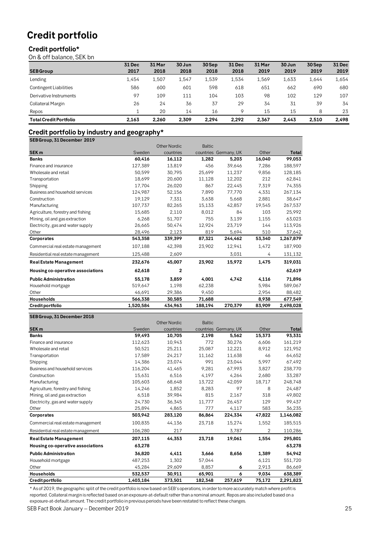## **Credit portfolio**

## **Credit portfolio\***

On & off balance, SEK bn

|                               | <b>31 Dec</b> | 31 Mar | 30 Jun | 30 Sep | 31 Dec  | 31 Mar | 30 Jun | 30 Sep | <b>31 Dec</b> |
|-------------------------------|---------------|--------|--------|--------|---------|--------|--------|--------|---------------|
| <b>SEB Group</b>              | 2017          | 2018   | 2018   | 2018   | 2018    | 2019   | 2019   | 2019   | 2019          |
| Lending                       | 1.454         | 1.507  | 1.547  | 1.539  | 1.534   | 1,569  | 1,633  | 1,644  | 1,654         |
| <b>Contingent Liabilities</b> | 586           | 600    | 601    | 598    | 618     | 651    | 662    | 690    | 680           |
| Derivative Instruments        | 97            | 109    | 111    | 104    | 103     | 98     | 102    | 129    | 107           |
| Collateral Margin             | 26            | 24     | 36     | 37     | 29      | 34     | 31     | 39     | 34            |
| Repos                         |               | 20     | 14     | 16     | $\circ$ | 15     | 15     | 8      | 23            |
| <b>Total Credit Portfolio</b> | 2.163         | 2.260  | 2.309  | 2.294  | 2.292   | 2.367  | 2.443  | 2.510  | 2.498         |

# **Credit portfolio by industry and geography\***<br>SEBGroup 31 December 2018

|                                    |           | <b>Other Nordic</b> | <b>Baltic</b> |                       |        |           |
|------------------------------------|-----------|---------------------|---------------|-----------------------|--------|-----------|
| <b>SEK m</b>                       | Sweden    | countries           |               | countries Germany, UK | Other  | Total     |
| <b>Banks</b>                       | 60,416    | 16,112              | 1,282         | 5,203                 | 16,040 | 99,053    |
| Finance and insurance              | 127,389   | 13,819              | 456           | 39,646                | 7,286  | 188,597   |
| Wholesale and retail               | 50,599    | 30,795              | 25,699        | 11,237                | 9,856  | 128,185   |
| Transportation                     | 18.699    | 20.600              | 11,128        | 12,202                | 212    | 62.841    |
| Shipping                           | 17,704    | 26,020              | 867           | 22,445                | 7,319  | 74,355    |
| Business and household services    | 124,987   | 52,156              | 7,890         | 77,770                | 4,331  | 267,134   |
| Construction                       | 19,129    | 7,331               | 3,638         | 5,668                 | 2,881  | 38,647    |
| Manufacturing                      | 107.737   | 82,265              | 15,133        | 42,857                | 19,545 | 267,537   |
| Agriculture, forestry and fishing  | 15,685    | 2,110               | 8,012         | 84                    | 103    | 25,992    |
| Mining, oil and gas extraction     | 6,268     | 51,707              | 755           | 3,139                 | 1,155  | 63,023    |
| Electricity, gas and water supply  | 26,665    | 50,474              | 12,924        | 23,719                | 144    | 113,926   |
| Other                              | 28,496    | 2,123               | 819           | 5,694                 | 510    | 37,642    |
| Corporates                         | 543,358   | 339,399             | 87,321        | 244,462               | 53,340 | 1,267,879 |
| Commercial real estate management  | 107,188   | 42,398              | 23,902        | 12,941                | 1,472  | 187,900   |
| Residential real estate management | 125,488   | 2,609               |               | 3,031                 | 4      | 131,132   |
| <b>Real Estate Management</b>      | 232,676   | 45,007              | 23,902        | 15,972                | 1,475  | 319,031   |
| Housing co-operative associations  | 62,618    | $\overline{2}$      |               |                       |        | 62,619    |
| <b>Public Administration</b>       | 55,178    | 3,859               | 4,001         | 4,742                 | 4,116  | 71,896    |
| Household mortgage                 | 519,647   | 1,198               | 62,238        |                       | 5.984  | 589,067   |
| Other                              | 46,691    | 29,386              | 9,450         |                       | 2,954  | 88,482    |
| Households                         | 566,338   | 30,585              | 71,688        |                       | 8,938  | 677,549   |
| Credit portfolio                   | 1,520,584 | 434,963             | 188,194       | 270,379               | 83,909 | 2,498,028 |

### **SEB Group, 31 December 2018**

| Credit portfolio                   | 1,403,184 | 373,501             | 182,348       | 257,619               | 75,172 | 2,291,823 |
|------------------------------------|-----------|---------------------|---------------|-----------------------|--------|-----------|
| Households                         | 532,537   | 30,911              | 65,901        | 6                     | 9,034  | 638,389   |
| Other                              | 45,284    | 29,609              | 8.857         | 6                     | 2,913  | 86,669    |
| Household mortgage                 | 487,253   | 1,302               | 57,044        |                       | 6,121  | 551,720   |
| <b>Public Administration</b>       | 36,820    | 4,411               | 3,666         | 8,656                 | 1,389  | 54,942    |
| Housing co-operative associations  | 63,278    |                     |               |                       |        | 63,278    |
| <b>Real Estate Management</b>      | 207,115   | 44,353              | 23,718        | 19,061                | 1,554  | 295,801   |
| Residential real estate management | 106,280   | 217                 |               | 3,787                 | 2      | 110,286   |
| Commercial real estate management  | 100,835   | 44,136              | 23,718        | 15,274                | 1,552  | 185,515   |
| <b>Corporates</b>                  | 503,942   | 283,120             | 86,864        | 224,334               | 47,822 | 1,146,082 |
| Other                              | 25,894    | 4,865               | 777           | 4,117                 | 583    | 36,235    |
| Electricity, gas and water supply  | 24,730    | 36,345              | 11,777        | 26,457                | 129    | 99,437    |
| Mining, oil and gas extraction     | 6,518     | 39,984              | 815           | 2,167                 | 318    | 49,802    |
| Agriculture, forestry and fishing  | 14,246    | 1,852               | 8,283         | 97                    | 8      | 24,487    |
| Manufacturing                      | 105,603   | 68,648              | 13,722        | 42,059                | 18,717 | 248,748   |
| Construction                       | 15.631    | 6,516               | 4,197         | 4,264                 | 2.680  | 33,287    |
| Business and household services    | 116,204   | 41,465              | 9,281         | 67,993                | 3,827  | 238,770   |
| Shipping                           | 14,386    | 23,074              | 991           | 23,044                | 5,997  | 67,492    |
| Transportation                     | 17,589    | 24,217              | 11,162        | 11,638                | 46     | 64,652    |
| Wholesale and retail               | 50.521    | 25,211              | 25,087        | 12,221                | 8,912  | 121,952   |
| Finance and insurance              | 112,623   | 10,943              | 772           | 30,276                | 6,606  | 161,219   |
| <b>Banks</b>                       | 59,493    | 10,705              | 2,198         | 5,562                 | 15,373 | 93,331    |
| <b>SEK m</b>                       | Sweden    | countries           |               | countries Germany, UK | Other  | Total     |
|                                    |           | <b>Other Nordic</b> | <b>Baltic</b> |                       |        |           |

\* As of 2019, the geographic split of the credit portfolio is now based on SEB's operations, in order to more accurately match where profit is reported. Collateral margin is reflected based on an exposure-at-default rather than a nominal amount. Repos are also included based on a exposure-at-default amount. The credit portfolio in previous periods have been restated to reflect these changes.

SEB Fact Book January – December 2019 25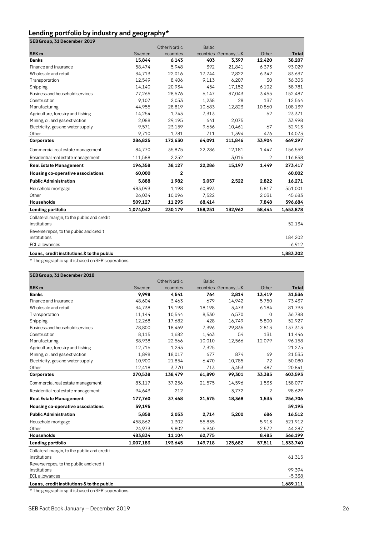## **Lending portfolio by industry and geography\***

| --                          |  |  |
|-----------------------------|--|--|
| SEB Group, 31 December 2019 |  |  |

|                                             |           | <b>Other Nordic</b> | <b>Baltic</b> |                       |        |           |
|---------------------------------------------|-----------|---------------------|---------------|-----------------------|--------|-----------|
| <b>SEK m</b>                                | Sweden    | countries           |               | countries Germany, UK | Other  | Total     |
| <b>Banks</b>                                | 15,844    | 6,143               | 403           | 3,397                 | 12,420 | 38,207    |
| Finance and insurance                       | 58,474    | 5,948               | 392           | 21,841                | 6,373  | 93,029    |
| Wholesale and retail                        | 34,713    | 22,016              | 17,744        | 2,822                 | 6,342  | 83,637    |
| Transportation                              | 12,549    | 8,406               | 9,113         | 6,207                 | 30     | 36,305    |
| Shipping                                    | 14,140    | 20,934              | 454           | 17,152                | 6,102  | 58,781    |
| Business and household services             | 77,265    | 28,576              | 6,147         | 37,043                | 3,455  | 152,487   |
| Construction                                | 9,107     | 2,053               | 1,238         | 28                    | 137    | 12,564    |
| Manufacturing                               | 44,955    | 28,819              | 10,683        | 12,823                | 10,860 | 108,139   |
| Agriculture, forestry and fishing           | 14,254    | 1,743               | 7,313         |                       | 62     | 23,371    |
| Mining, oil and gas extraction              | 2,088     | 29,195              | 641           | 2,075                 |        | 33,998    |
| Electricity, gas and water supply           | 9,571     | 23,159              | 9,656         | 10,461                | 67     | 52,913    |
| Other                                       | 9,710     | 1,781               | 711           | 1,394                 | 476    | 14,073    |
| Corporates                                  | 286,825   | 172,630             | 64,091        | 111,846               | 33,904 | 669,297   |
| Commercial real estate management           | 84,770    | 35,875              | 22,286        | 12,181                | 1,447  | 156,559   |
| Residential real estate management          | 111,588   | 2,252               |               | 3,016                 | 2      | 116,858   |
| <b>Real Estate Management</b>               | 196,358   | 38,127              | 22,286        | 15,197                | 1,449  | 273,417   |
| Housing co-operative associations           | 60,000    | 2                   |               |                       |        | 60,002    |
| <b>Public Administration</b>                | 5,888     | 1,982               | 3,057         | 2,522                 | 2,822  | 16,271    |
| Household mortgage                          | 483,093   | 1,198               | 60,893        |                       | 5,817  | 551,001   |
| Other                                       | 26,034    | 10,096              | 7,522         |                       | 2,031  | 45,683    |
| Households                                  | 509,127   | 11,295              | 68,414        |                       | 7,848  | 596,684   |
| Lending portfolio                           | 1,074,042 | 230,179             | 158,251       | 132,962               | 58,444 | 1,653,878 |
| Collateral margin, to the public and credit |           |                     |               |                       |        |           |
| institutions                                |           |                     |               |                       |        | 52,134    |
| Reverse repos, to the public and credit     |           |                     |               |                       |        |           |
| institutions                                |           |                     |               |                       |        | 184,202   |
| <b>ECL</b> allowances                       |           |                     |               |                       |        | $-6,912$  |
| Loans, credit institutions & to the public  |           |                     |               |                       |        | 1,883,302 |

\* The geographic split is based on SEB's operations.

## **SEB Group, 31 December 2018**

|                                                             |           | <b>Other Nordic</b> | <b>Baltic</b> |                       |        |           |
|-------------------------------------------------------------|-----------|---------------------|---------------|-----------------------|--------|-----------|
| <b>SEK m</b>                                                | Sweden    | countries           |               | countries Germany, UK | Other  | Total     |
| <b>Banks</b>                                                | 9,998     | 4,541               | 764           | 2,814                 | 13,419 | 31,536    |
| Finance and insurance                                       | 48,604    | 3,463               | 679           | 14,942                | 5,750  | 73,437    |
| Wholesale and retail                                        | 34,738    | 19,198              | 18,198        | 3,473                 | 6,184  | 81,793    |
| Transportation                                              | 11,144    | 10,544              | 8,530         | 6,570                 | 0      | 36,788    |
| Shipping                                                    | 12,268    | 17,682              | 428           | 16,749                | 5,800  | 52,927    |
| Business and household services                             | 78,800    | 18,469              | 7,396         | 29,835                | 2,813  | 137,313   |
| Construction                                                | 8,115     | 1,682               | 1,463         | 54                    | 131    | 11,446    |
| Manufacturing                                               | 38,938    | 22,566              | 10,010        | 12,566                | 12,079 | 96,158    |
| Agriculture, forestry and fishing                           | 12,716    | 1,233               | 7,325         |                       |        | 21,275    |
| Mining, oil and gas extraction                              | 1,898     | 18,017              | 677           | 874                   | 69     | 21,535    |
| Electricity, gas and water supply                           | 10,900    | 21,854              | 6,470         | 10,785                | 72     | 50,080    |
| Other                                                       | 12,418    | 3,770               | 713           | 3,453                 | 487    | 20,841    |
| Corporates                                                  | 270,538   | 138,479             | 61,890        | 99,301                | 33,385 | 603,593   |
| Commercial real estate management                           | 83,117    | 37,256              | 21,575        | 14,596                | 1,533  | 158,077   |
| Residential real estate management                          | 94,643    | 212                 |               | 3,772                 | 2      | 98,629    |
| <b>Real Estate Management</b>                               | 177,760   | 37,468              | 21,575        | 18,368                | 1,535  | 256,706   |
| Housing co-operative associations                           | 59,195    |                     |               |                       |        | 59,195    |
| <b>Public Administration</b>                                | 5.858     | 2,053               | 2,714         | 5,200                 | 686    | 16,512    |
| Household mortgage                                          | 458,862   | 1,302               | 55,835        |                       | 5,913  | 521,912   |
| Other                                                       | 24,973    | 9,802               | 6,940         |                       | 2,572  | 44,287    |
| Households                                                  | 483,834   | 11,104              | 62,775        |                       | 8,485  | 566,199   |
| Lending portfolio                                           | 1,007,183 | 193,645             | 149,718       | 125,682               | 57,511 | 1,533,740 |
| Collateral margin, to the public and credit<br>institutions |           |                     |               |                       |        | 61,315    |
| Reverse repos, to the public and credit                     |           |                     |               |                       |        |           |
| institutions                                                |           |                     |               |                       |        | 99,394    |
| <b>ECL</b> allowances                                       |           |                     |               |                       |        | $-5,338$  |
| Loans, credit institutions & to the public                  |           |                     |               |                       |        | 1,689,111 |

\* The geographic split is based on SEB's operations.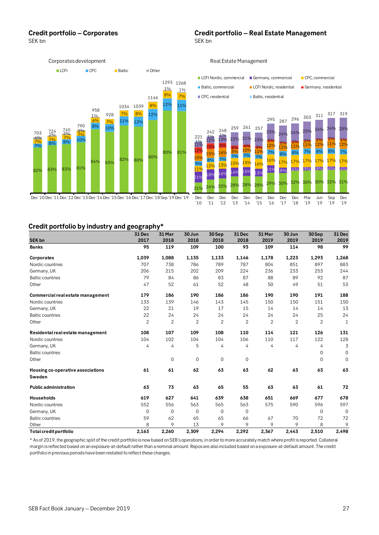### **Credit portfolio – Corporates**<br>SEK bn<br>SEK bn SEK bn SEK bn SEK bn SEK bn SEK bn SEK bn SEK bn SEK bn SEK bn SEK bn SEK bn SEK bn SEK bn SEK bn SEK bn SEK bn



## **Credit portfolio by industry and geography\***

|                                             | 31 Dec         | 31 Mar         | 30 Jun         | 30Sep       | <b>31 Dec</b> | 31 Mar         | 30 Jun         | 30Sep          | 31 Dec       |
|---------------------------------------------|----------------|----------------|----------------|-------------|---------------|----------------|----------------|----------------|--------------|
| <b>SEK bn</b>                               | 2017           | 2018           | 2018           | 2018        | 2018          | 2019           | 2019           | 2019           | 2019         |
| <b>Banks</b>                                | 95             | 119            | 109            | 100         | 93            | 109            | 114            | 98             | 99           |
| Corporates                                  | 1,039          | 1,088          | 1,135          | 1,133       | 1,146         | 1,178          | 1,223          | 1,293          | 1,268        |
| Nordic countries                            | 707            | 738            | 786            | 789         | 787           | 804            | 851            | 897            | 883          |
| Germany, UK                                 | 206            | 215            | 202            | 209         | 224           | 236            | 233            | 253            | 244          |
| <b>Baltic countries</b>                     | 79             | 84             | 86             | 83          | 87            | 88             | 89             | 92             | 87           |
| Other                                       | 47             | 52             | 61             | 52          | 48            | 50             | 49             | 51             | 53           |
| Commercial real estate management           | 179            | 186            | 190            | 186         | 186           | 190            | 190            | 191            | 188          |
| Nordic countries                            | 133            | 139            | 146            | 143         | 145           | 150            | 150            | 151            | 150          |
| Germany, UK                                 | 22             | 21             | 19             | 17          | 15            | 14             | 14             | 14             | 13           |
| <b>Baltic countries</b>                     | 22             | 24             | 24             | 24          | 24            | 24             | 24             | 25             | 24           |
| Other                                       | $\overline{2}$ | $\overline{2}$ | $\overline{2}$ | 2           | $\mathbf{2}$  | $\overline{2}$ | $\overline{2}$ | $\overline{2}$ | 1            |
| Residental real estate management           | 108            | 107            | 109            | 108         | 110           | 114            | 121            | 126            | 131          |
| Nordic countries                            | 104            | 102            | 104            | 104         | 106           | 110            | 117            | 122            | 128          |
| Germany, UK                                 | 4              | 4              | 5              | 4           | 4             | 4              | 4              | 4              | 3            |
| <b>Baltic countries</b>                     |                |                |                |             |               |                |                | 0              | $\mathbf 0$  |
| Other                                       |                | $\mathbf 0$    | $\mathbf 0$    | $\mathbf 0$ | $\mathbf{O}$  |                |                | $\mathbf 0$    | $\mathbf{0}$ |
| Housing co-operative associations<br>Sweden | 61             | 61             | 62             | 63          | 63            | 62             | 63             | 63             | 63           |
| <b>Public administration</b>                | 63             | 73             | 63             | 65          | 55            | 63             | 63             | 61             | 72           |
| <b>Households</b>                           | 619            | 627            | 641            | 639         | 638           | 651            | 669            | 677            | 678          |
| Nordic countries                            | 552            | 556            | 563            | 565         | 563           | 575            | 590            | 596            | 597          |
| Germany, UK                                 | $\Omega$       | $\Omega$       | $\mathbf 0$    | $\mathbf 0$ | $\Omega$      |                |                | $\mathbf 0$    | $\mathbf{0}$ |
| <b>Baltic countries</b>                     | 59             | 62             | 65             | 65          | 66            | 67             | 70             | 72             | 72           |
| Other                                       | 8              | 9              | 13             | 9           | 9             | 9              | 9              | 8              | 9            |
| Total credit portfolio                      | 2,163          | 2,260          | 2,309          | 2,294       | 2,292         | 2,367          | 2,443          | 2,510          | 2,498        |

\* As of 2019, the geographic split of the credit portfolio is now based on SEB's operations, in order to more accurately match where profit is reported. Collateral margin is reflected based on an exposure-at-default rather than a nominal amount. Repos are also included based on a exposure-at-default amount. The credit portfolio in previous periods have been restated to reflect these changes.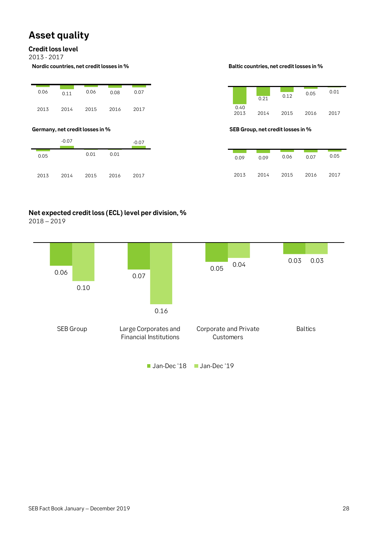# **Asset quality**

## **Credit loss level**

2013 - 2017

**Nordic countries, net credit losses in % Baltic countries, net credit losses in %**

| 0.06 | 0.11 | 0.06 | 0.08 | 0.07 |
|------|------|------|------|------|
| 2013 | 2014 | 2015 | 2016 | 2017 |

|      | $-0.07$ |      |      | $-0.07$ |
|------|---------|------|------|---------|
| 0.05 |         | 0.01 | 0.01 |         |
| 2013 | 2014    | 2015 | 2016 | 2017    |

|              | 0.21 | 0.12 | 0.05 | 0.01 |
|--------------|------|------|------|------|
| 0.40<br>2013 | 2014 | 2015 | 2016 | 2017 |

## **Germany, net credit losses in % SEB Group, net credit losses in %**

| 0.09 | 0.09 | 0.06 | 0.07 | 0.05 |
|------|------|------|------|------|
| 2013 | 2014 | 2015 | 2016 | 2017 |

# **Net expected credit loss (ECL) level per division, %**

2018 – 2019

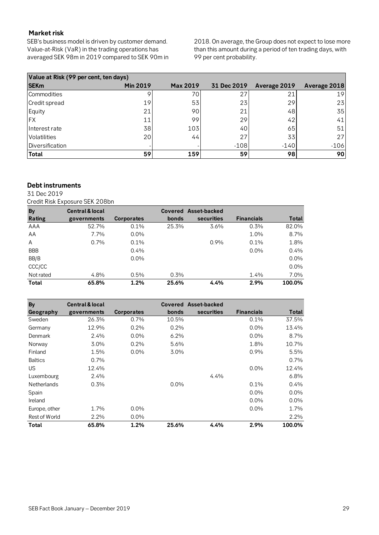## **Market risk**

SEB's business model is driven by customer demand. Value-at-Risk (VaR) in the trading operations has averaged SEK 98m in 2019 compared to SEK 90m in

2018. On average, the Group does not expect to lose more than this amount during a period of ten trading days, with 99 per cent probability.

| Value at Risk (99 per cent, ten days) |                 |                 |             |              |              |  |  |  |  |  |
|---------------------------------------|-----------------|-----------------|-------------|--------------|--------------|--|--|--|--|--|
| <b>SEKm</b>                           | <b>Min 2019</b> | <b>Max 2019</b> | 31 Dec 2019 | Average 2019 | Average 2018 |  |  |  |  |  |
| Commodities                           |                 | 70              | 27          | 21           | 19           |  |  |  |  |  |
| Credit spread                         | 19              | 53              | 23          | 29           | 23           |  |  |  |  |  |
| Equity                                | 21              | 90              | 21          | 48           | 35           |  |  |  |  |  |
| <b>IFX</b>                            | 11              | 99              | 29          | 42           | 41           |  |  |  |  |  |
| Interest rate                         | 38              | 103             | 40          | 65           | 51           |  |  |  |  |  |
| Volatilities                          | 20              | 44              | 27          | 33           | 27           |  |  |  |  |  |
| Diversification                       |                 |                 | $-108$      | $-140$       | $-106$       |  |  |  |  |  |
| Total                                 | 59              | 159             | 59          | 98           | 90           |  |  |  |  |  |

## **Debt instruments**

31 Dec 2019

Credit Risk Exposure SEK 208bn

| <b>By</b>     | <b>Central &amp; local</b> |                   |       | Covered Asset-backed |                   |         |
|---------------|----------------------------|-------------------|-------|----------------------|-------------------|---------|
| <b>Rating</b> | governments                | <b>Corporates</b> | bonds | securities           | <b>Financials</b> | Total   |
| AAA           | 52.7%                      | 0.1%              | 25.3% | 3.6%                 | 0.3%              | 82.0%   |
| AA            | 7.7%                       | $0.0\%$           |       |                      | $1.0\%$           | 8.7%    |
| A             | 0.7%                       | 0.1%              |       | 0.9%                 | $0.1\%$           | 1.8%    |
| <b>BBB</b>    |                            | $0.4\%$           |       |                      | $0.0\%$           | 0.4%    |
| BB/B          |                            | $0.0\%$           |       |                      |                   | $0.0\%$ |
| CCC/CC        |                            |                   |       |                      |                   | 0.0%    |
| Not rated     | 4.8%                       | 0.5%              | 0.3%  |                      | $1.4\%$           | 7.0%    |
| Total         | 65.8%                      | 1.2%              | 25.6% | 4.4%                 | 2.9%              | 100.0%  |

| <b>By</b>            | <b>Central &amp; local</b> |                   |         | Covered Asset-backed |                   |         |
|----------------------|----------------------------|-------------------|---------|----------------------|-------------------|---------|
| Geography            | governments                | <b>Corporates</b> | bonds   | securities           | <b>Financials</b> | Total   |
| Sweden               | 26.3%                      | $0.7\%$           | 10.5%   |                      | 0.1%              | 37.5%   |
| Germany              | 12.9%                      | 0.2%              | 0.2%    |                      | $0.0\%$           | 13.4%   |
| Denmark              | 2.4%                       | $0.0\%$           | $6.2\%$ |                      | $0.0\%$           | 8.7%    |
| Norway               | 3.0%                       | 0.2%              | 5.6%    |                      | 1.8%              | 10.7%   |
| Finland              | 1.5%                       | $0.0\%$           | 3.0%    |                      | 0.9%              | 5.5%    |
| <b>Baltics</b>       | $0.7\%$                    |                   |         |                      |                   | 0.7%    |
| <b>US</b>            | 12.4%                      |                   |         |                      | $0.0\%$           | 12.4%   |
| Luxembourg           | 2.4%                       |                   |         | 4.4%                 |                   | 6.8%    |
| <b>Netherlands</b>   | 0.3%                       |                   | 0.0%    |                      | 0.1%              | 0.4%    |
| Spain                |                            |                   |         |                      | $0.0\%$           | $0.0\%$ |
| Ireland              |                            |                   |         |                      | $0.0\%$           | $0.0\%$ |
| Europe, other        | 1.7%                       | $0.0\%$           |         |                      | $0.0\%$           | 1.7%    |
| <b>Rest of World</b> | 2.2%                       | $0.0\%$           |         |                      |                   | 2.2%    |
| Total                | 65.8%                      | 1.2%              | 25.6%   | 4.4%                 | 2.9%              | 100.0%  |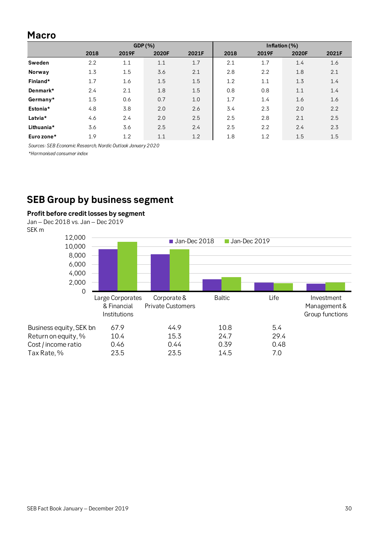## **Macro**

|            |      |       | GDP(%) |       |      |       | Inflation (%) |       |
|------------|------|-------|--------|-------|------|-------|---------------|-------|
|            | 2018 | 2019F | 2020F  | 2021F | 2018 | 2019F | 2020F         | 2021F |
| Sweden     | 2.2  | 1.1   | 1.1    | 1.7   | 2.1  | 1.7   | 1.4           | 1.6   |
| Norway     | 1.3  | 1.5   | 3.6    | 2.1   | 2.8  | 2.2   | 1.8           | 2.1   |
| Finland*   | 1.7  | 1.6   | 1.5    | 1.5   | 1.2  | 1.1   | 1.3           | 1.4   |
| Denmark*   | 2.4  | 2.1   | 1.8    | 1.5   | 0.8  | 0.8   | 1.1           | 1.4   |
| Germany*   | 1.5  | 0.6   | 0.7    | 1.0   | 1.7  | 1.4   | 1.6           | 1.6   |
| Estonia*   | 4.8  | 3.8   | 2.0    | 2.6   | 3.4  | 2.3   | 2.0           | 2.2   |
| Latvia*    | 4.6  | 2.4   | 2.0    | 2.5   | 2.5  | 2.8   | 2.1           | 2.5   |
| Lithuania* | 3.6  | 3.6   | 2.5    | 2.4   | 2.5  | 2.2   | 2.4           | 2.3   |
| Euro zone* | 1.9  | 1.2   | 1.1    | 1.2   | 1.8  | 1.2   | 1.5           | 1.5   |

*Sources: SEB Economic Research, Nordic Outlook January 2020*

*\*Harmonised consumer index*

# **SEB Group by business segment**

## **Profit before credit losses by segment**

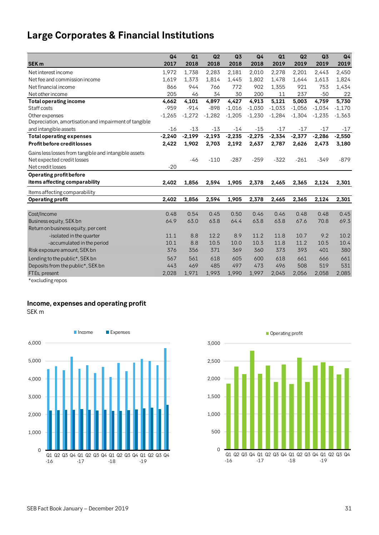# **Large Corporates & Financial Institutions**

|                                                       | Q <sub>4</sub> | Q1       | Q2       | Q <sub>3</sub> | Q <sub>4</sub> | Q1       | Q <sub>2</sub> | Q <sub>3</sub> | Q <sub>4</sub> |
|-------------------------------------------------------|----------------|----------|----------|----------------|----------------|----------|----------------|----------------|----------------|
| <b>SEK m</b>                                          | 2017           | 2018     | 2018     | 2018           | 2018           | 2019     | 2019           | 2019           | 2019           |
| Net interest income                                   | 1,972          | 1,738    | 2,283    | 2,181          | 2,010          | 2,278    | 2,201          | 2,443          | 2,450          |
| Net fee and commission income                         | 1,619          | 1,373    | 1,814    | 1,445          | 1,802          | 1,478    | 1,644          | 1,613          | 1,824          |
| Net financial income                                  | 866            | 944      | 766      | 772            | 902            | 1,355    | 921            | 753            | 1,434          |
| Net other income                                      | 205            | 46       | 34       | 30             | 200            | 11       | 237            | $-50$          | 22             |
| <b>Total operating income</b>                         | 4,662          | 4,101    | 4,897    | 4,427          | 4.913          | 5,121    | 5.003          | 4.759          | 5,730          |
| Staff costs                                           | $-959$         | $-914$   | $-898$   | $-1,016$       | $-1,030$       | $-1,033$ | $-1,056$       | $-1,034$       | $-1,170$       |
| Other expenses                                        | $-1,265$       | $-1,272$ | $-1,282$ | $-1,205$       | $-1,230$       | $-1,284$ | $-1,304$       | $-1,235$       | $-1,363$       |
| Depreciation, amortisation and impairment of tangible |                |          |          |                |                |          |                |                |                |
| and intangible assets                                 | $-16$          | $-13$    | $-13$    | $-14$          | $-15$          | $-17$    | $-17$          | $-17$          | $-17$          |
| <b>Total operating expenses</b>                       | $-2,240$       | $-2,199$ | $-2,193$ | $-2,235$       | $-2,275$       | $-2,334$ | $-2,377$       | $-2,286$       | $-2,550$       |
| <b>Profit before credit losses</b>                    | 2,422          | 1,902    | 2,703    | 2,192          | 2,637          | 2,787    | 2,626          | 2,473          | 3,180          |
| Gains less losses from tangible and intangible assets |                |          |          |                |                |          |                |                |                |
| Net expected credit losses                            |                | -46      | $-110$   | $-287$         | $-259$         | $-322$   | $-261$         | $-349$         | $-879$         |
| Net credit losses                                     | $-20$          |          |          |                |                |          |                |                |                |
| Operating profit before                               |                |          |          |                |                |          |                |                |                |
| items affecting comparability                         | 2,402          | 1,856    | 2,594    | 1,905          | 2,378          | 2,465    | 2,365          | 2,124          | 2,301          |
| Items affecting comparability                         |                |          |          |                |                |          |                |                |                |
| <b>Operating profit</b>                               | 2,402          | 1,856    | 2,594    | 1,905          | 2,378          | 2,465    | 2,365          | 2,124          | 2,301          |
|                                                       |                |          |          |                |                |          |                |                |                |
| Cost/Income                                           | 0.48           | 0.54     | 0.45     | 0.50           | 0.46           | 0.46     | 0.48           | 0.48           | 0.45           |
| Business equity, SEK bn                               | 64.9           | 63.0     | 63.8     | 64.4           | 63.8           | 63.8     | 67.6           | 70.8           | 69.3           |
| Return on business equity, per cent                   |                |          |          |                |                |          |                |                |                |
| -isolated in the quarter                              | 11.1           | 8.8      | 12.2     | 8.9            | 11.2           | 11.8     | 10.7           | 9.2            | 10.2           |
| -accumulated in the period                            | 10.1           | 8.8      | 10.5     | 10.0           | 10.3           | 11.8     | 11.2           | 10.5           | 10.4           |
| Risk exposure amount, SEK bn                          | 376            | 356      | 371      | 369            | 360            | 373      | 393            | 401            | 380            |
| Lending to the public*, SEK bn                        | 567            | 561      | 618      | 605            | 600            | 618      | 661            | 666            | 661            |
| Deposits from the public*, SEK bn                     | 443            | 469      | 485      | 497            | 473            | 496      | 508            | 519            | 531            |
| FTEs, present                                         | 2,028          | 1,971    | 1,993    | 1,990          | 1,997          | 2,045    | 2,056          | 2,058          | 2,085          |

\*excluding repos

## **Income, expenses and operating profit**

SEK m



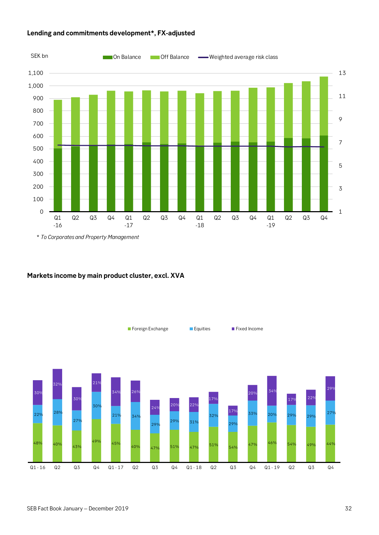

## **Lending and commitments development\*, FX-adjusted**

## **Markets income by main product cluster, excl. XVA**

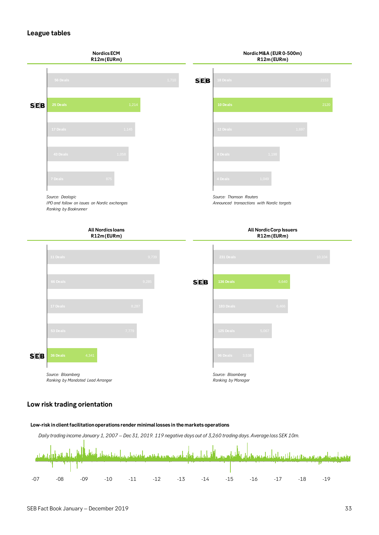## **League tables**



### **Low risk trading orientation**

### **Low-risk in client facilitation operations render minimal losses in the markets operations**

*Daily trading income January 1, 2007 – Dec 31, 2019. 119 negative days out of 3,260 trading days. Average loss SEK 10m.*

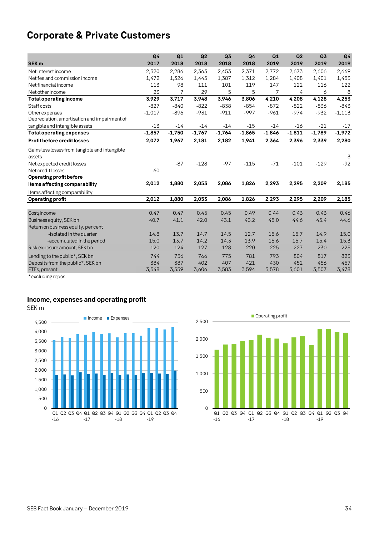# **Corporate & Private Customers**

|                                                | Q <sub>4</sub> | Q1       | Q2       | Q <sub>3</sub> | Q4       | Q1       | Q2       | Q3       | Q <sub>4</sub> |
|------------------------------------------------|----------------|----------|----------|----------------|----------|----------|----------|----------|----------------|
| <b>SEK m</b>                                   | 2017           | 2018     | 2018     | 2018           | 2018     | 2019     | 2019     | 2019     | 2019           |
| Net interest income                            | 2,320          | 2,286    | 2,363    | 2,453          | 2,371    | 2,772    | 2,673    | 2,606    | 2,669          |
| Net fee and commission income                  | 1,472          | 1,326    | 1,445    | 1,387          | 1,312    | 1,284    | 1,408    | 1,401    | 1,453          |
| Net financial income                           | 113            | 98       | 111      | 101            | 119      | 147      | 122      | 116      | 122            |
| Net other income                               | 23             | 7        | 29       | 5              | 5        | 7        | 4        | 6        | 8              |
| <b>Total operating income</b>                  | 3,929          | 3,717    | 3,948    | 3,946          | 3,806    | 4,210    | 4,208    | 4,128    | 4,253          |
| Staff costs                                    | $-827$         | $-840$   | $-822$   | $-838$         | $-854$   | $-872$   | $-822$   | $-836$   | $-843$         |
| Other expenses                                 | $-1,017$       | $-896$   | $-931$   | $-911$         | $-997$   | $-961$   | $-974$   | $-932$   | $-1,113$       |
| Depreciation, amortisation and impairment of   |                |          |          |                |          |          |          |          |                |
| tangible and intangible assets                 | $-13$          | $-14$    | $-14$    | $-14$          | $-15$    | $-14$    | $-16$    | $-21$    | $-17$          |
| <b>Total operating expenses</b>                | $-1,857$       | $-1,750$ | $-1,767$ | $-1,764$       | $-1,865$ | $-1,846$ | $-1,811$ | $-1,789$ | $-1,972$       |
| Profit before credit losses                    | 2,072          | 1,967    | 2,181    | 2,182          | 1,941    | 2,364    | 2,396    | 2,339    | 2,280          |
| Gains less losses from tangible and intangible |                |          |          |                |          |          |          |          |                |
| assets                                         |                |          |          |                |          |          |          |          | $-3$           |
| Net expected credit losses                     |                | $-87$    | $-128$   | $-97$          | $-115$   | $-71$    | $-101$   | $-129$   | $-92$          |
| Net credit losses                              | $-60$          |          |          |                |          |          |          |          |                |
| Operating profit before                        |                |          |          |                |          |          |          |          |                |
| items affecting comparability                  | 2,012          | 1,880    | 2,053    | 2,086          | 1,826    | 2,293    | 2,295    | 2,209    | 2,185          |
| Items affecting comparability                  |                |          |          |                |          |          |          |          |                |
| <b>Operating profit</b>                        | 2,012          | 1,880    | 2,053    | 2,086          | 1,826    | 2,293    | 2,295    | 2,209    | 2,185          |
|                                                |                |          |          |                |          |          |          |          |                |
| Cost/Income                                    | 0.47           | 0.47     | 0.45     | 0.45           | 0.49     | 0.44     | 0.43     | 0.43     | 0.46           |
| Business equity, SEK bn                        | 40.7           | 41.1     | 42.0     | 43.1           | 43.2     | 45.0     | 44.6     | 45.4     | 44.6           |
| Return on business equity, per cent            |                |          |          |                |          |          |          |          |                |
| -isolated in the quarter                       | 14.8           | 13.7     | 14.7     | 14.5           | 12.7     | 15.6     | 15.7     | 14.9     | 15.0           |
| -accumulated in the period                     | 15.0           | 13.7     | 14.2     | 14.3           | 13.9     | 15.6     | 15.7     | 15.4     | 15.3           |
| Risk exposure amount, SEK bn                   | 120            | 124      | 127      | 128            | 220      | 225      | 227      | 230      | 225            |
| Lending to the public*, SEK bn                 | 744            | 756      | 766      | 775            | 781      | 793      | 804      | 817      | 823            |
| Deposits from the public*, SEK bn              | 384            | 387      | 402      | 407            | 421      | 430      | 452      | 456      | 457            |
| FTEs, present                                  | 3,548          | 3,559    | 3,606    | 3,583          | 3,594    | 3,578    | 3,601    | 3,507    | 3,478          |
| ***************                                |                |          |          |                |          |          |          |          |                |

\*excluding repos

## **Income, expenses and operating profit**

SEK m



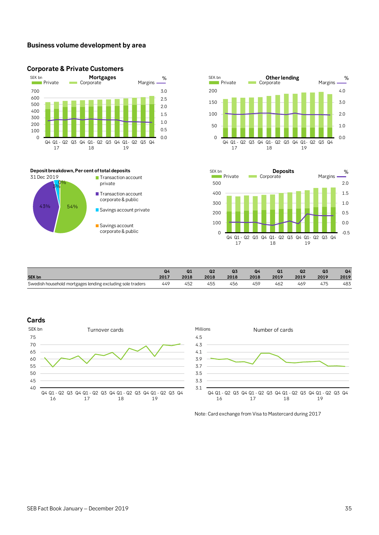## **Business volume development by area**



**Transaction account** private

**T** Transaction account corporate & public Savings account private

Savings account corporate & public







|                                                            | Q4   | Q <sub>1</sub> | Q2   | Q <sub>3</sub> | Q4   | Q1   | Q <sub>2</sub> | Q3   | Q4   |
|------------------------------------------------------------|------|----------------|------|----------------|------|------|----------------|------|------|
| <b>SEK bn</b>                                              | 2017 | 2018           | 2018 | 2018           | 2018 | 2019 | 2019           | 2019 | 2019 |
| Swedish household mortgages lending excluding sole traders | 449  | 452            | 455  | 456            | 459  | 462  | 469            | 475  | 483  |

### **Cards**





Note: Card exchange from Visa to Mastercard during 2017

**Deposit breakdown, Per cent of total deposits**

43% 54%

31 Dec 2019

 $0\%$ 3%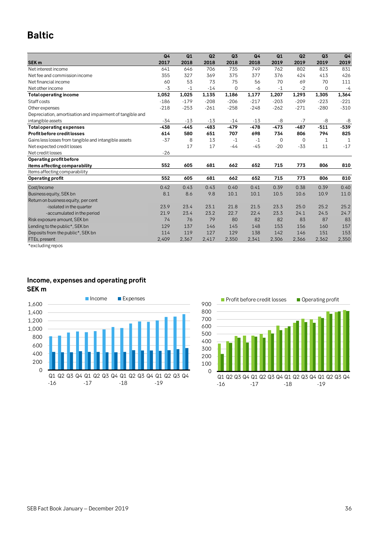# **Baltic**

|                                                           | Q <sub>4</sub> | Q1     | Q <sub>2</sub> | Q <sub>3</sub> | Q <sub>4</sub> | Q1     | Q <sub>2</sub> | Q3     | Q <sub>4</sub> |
|-----------------------------------------------------------|----------------|--------|----------------|----------------|----------------|--------|----------------|--------|----------------|
| <b>SEK m</b>                                              | 2017           | 2018   | 2018           | 2018           | 2018           | 2019   | 2019           | 2019   | 2019           |
| Net interest income                                       | 641            | 646    | 706            | 735            | 749            | 762    | 802            | 823    | 831            |
| Net fee and commission income                             | 355            | 327    | 369            | 375            | 377            | 376    | 424            | 413    | 426            |
| Net financial income                                      | 60             | 53     | 73             | 75             | 56             | 70     | 69             | 70     | 111            |
| Net other income                                          | $-3$           | $-1$   | $-14$          | 0              | -6             | $-1$   | $-2$           | 0      | $-4$           |
| <b>Total operating income</b>                             | 1,052          | 1,025  | 1,135          | 1,186          | 1,177          | 1,207  | 1,293          | 1,305  | 1,364          |
| Staff costs                                               | $-186$         | $-179$ | $-208$         | $-206$         | $-217$         | $-203$ | $-209$         | $-223$ | $-221$         |
| Other expenses                                            | $-218$         | $-253$ | $-261$         | $-258$         | $-248$         | $-262$ | $-271$         | $-280$ | $-310$         |
| Depreciation, amortisation and impairment of tangible and |                |        |                |                |                |        |                |        |                |
| intangible assets                                         | $-34$          | $-13$  | $-13$          | $-14$          | $-13$          | -8     | $-7$           | -8     | -8             |
| <b>Total operating expenses</b>                           | $-438$         | -445   | $-483$         | $-479$         | $-478$         | $-473$ | $-487$         | $-511$ | $-539$         |
| Profit before credit losses                               | 614            | 580    | 651            | 707            | 698            | 734    | 806            | 794    | 825            |
| Gains less losses from tangible and intangible assets     | $-37$          | 8      | 13             | $-1$           | $-1$           | 0      | $\mathbf 0$    | 1      | 1              |
| Net expected credit losses                                |                | 17     | 17             | $-44$          | $-45$          | $-20$  | $-33$          | 11     | $-17$          |
| Net credit losses                                         | $-26$          |        |                |                |                |        |                |        |                |
| Operating profit before                                   |                |        |                |                |                |        |                |        |                |
| items affecting comparability                             | 552            | 605    | 681            | 662            | 652            | 715    | 773            | 806    | 810            |
| Items affecting comparability                             |                |        |                |                |                |        |                |        |                |
| <b>Operating profit</b>                                   | 552            | 605    | 681            | 662            | 652            | 715    | 773            | 806    | 810            |
| Cost/Income                                               | 0.42           | 0.43   | 0.43           | 0.40           | 0.41           | 0.39   | 0.38           | 0.39   | 0.40           |
| Business equity, SEK bn                                   | 8.1            | 8.6    | 9.8            | 10.1           | 10.1           | 10.5   | 10.6           | 10.9   | 11.0           |
| Return on business equity, per cent                       |                |        |                |                |                |        |                |        |                |
| -isolated in the quarter                                  | 23.9           | 23.4   | 23.1           | 21.8           | 21.5           | 23.3   | 25.0           | 25.2   | 25.2           |
| -accumulated in the period                                | 21.9           | 23.4   | 23.2           | 22.7           | 22.4           | 23.3   | 24.1           | 24.5   | 24.7           |
| Risk exposure amount, SEK bn                              | 74             | 76     | 79             | 80             | 82             | 82     | 83             | 87     | 83             |
| Lending to the public*, SEK bn                            | 129            | 137    | 146            | 145            | 148            | 153    | 156            | 160    | 157            |
| Deposits from the public*, SEK bn                         | 114            | 119    | 127            | 129            | 138            | 142    | 146            | 151    | 153            |
| FTEs, present                                             | 2,409          | 2,367  | 2,417          | 2,350          | 2,341          | 2,306  | 2,366          | 2,362  | 2,350          |
| $*$ gyoluding ronog                                       |                |        |                |                |                |        |                |        |                |

\*excluding repos

## **Income, expenses and operating profit SEK m**



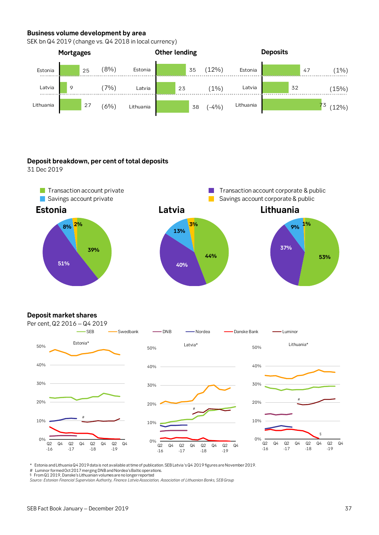## **Business volume development by area**

SEK bn Q4 2019 (change vs. Q4 2018 in local currency)



## **Deposit breakdown, per cent of total deposits**

31 Dec 2019



## **Deposit market shares**



\* Estonia andLithuania Q42019data is notavailable at time of publication. SEB Latvia 's Q4 2019figures are November2019.

Luminor formed Oct 2017 merging DNB and Nordea's Baltic operations.

§ From Q1 2019, Danske's Lithuanian volumes are no longer reported *Source: Estonian Financial Supervision Authority, Finance Latvia Association, Association of Lithuanian Banks, SEB Group*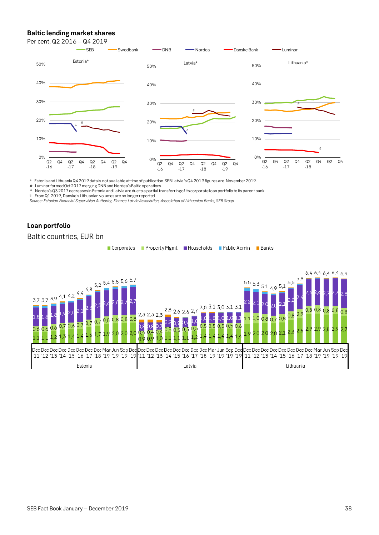## **Baltic lending market shares**

Per cent, Q2 2016 – Q4 2019



\* Estonia andLithuania Q42019data is notavailable at time of publication. SEB Latvia 's Q4 2019figures are November2019.

# Luminor formed Oct 2017 merging DNB and Nordea's Baltic operations.<br>^ Nordea's Q3 2017 decreasesin Estonia and Latvia are due to a partial transferringof its corporate loan portfolio to its parent bank.

§ From Q1 2019, Danske's Lithuanian volumes are no longer reported

*Source: Estonian Financial Supervision Authority, Finance Latvia Association, Association of Lithuanian Banks, SEB Group*

## **Loan portfolio**

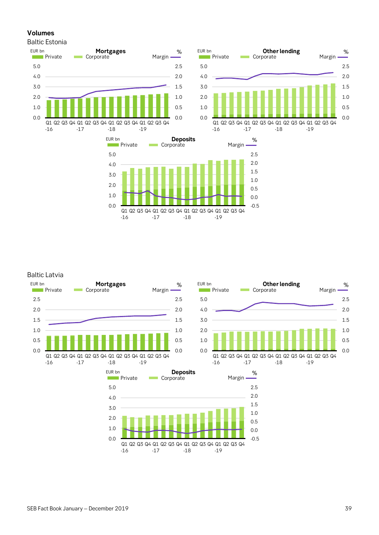## **Volumes**

Baltic Estonia







### Baltic Latvia







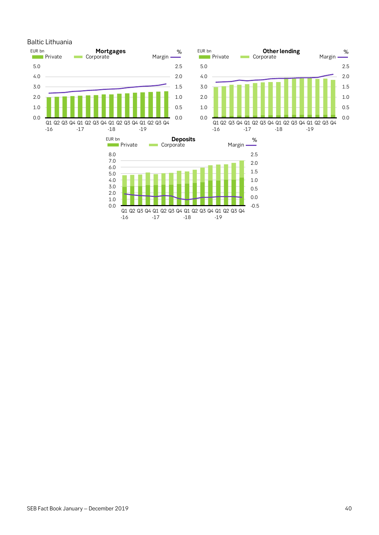



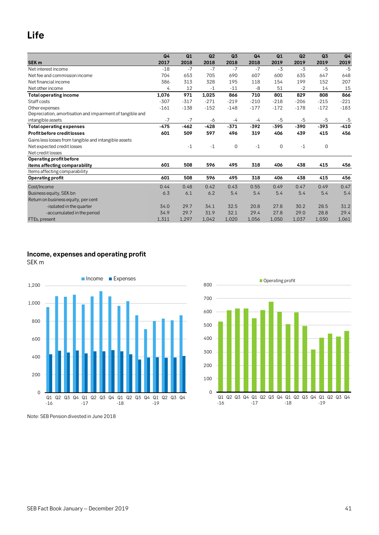# **Life**

|                                                           | Q <sub>4</sub> | Q1     | Q2     | Q3     | Q <sub>4</sub> | Q1          | Q <sub>2</sub> | Q3     | Q <sub>4</sub> |
|-----------------------------------------------------------|----------------|--------|--------|--------|----------------|-------------|----------------|--------|----------------|
| <b>SEK m</b>                                              | 2017           | 2018   | 2018   | 2018   | 2018           | 2019        | 2019           | 2019   | 2019           |
| Net interest income                                       | $-18$          | $-7$   | $-7$   | $-7$   | $-7$           | $-3$        | $-3$           | $-5$   | $-5$           |
| Net fee and commission income                             | 704            | 653    | 705    | 690    | 607            | 600         | 635            | 647    | 648            |
| Net financial income                                      | 386            | 313    | 328    | 195    | 118            | 154         | 199            | 152    | 207            |
| Net other income                                          | 4              | 12     | $-1$   | $-11$  | -8             | 51          | $-2$           | 14     | 15             |
| <b>Total operating income</b>                             | 1,076          | 971    | 1,025  | 866    | 710            | 801         | 829            | 808    | 866            |
| Staff costs                                               | $-307$         | $-317$ | $-271$ | $-219$ | $-210$         | $-218$      | $-206$         | $-215$ | $-221$         |
| Other expenses                                            | $-161$         | $-138$ | $-152$ | $-148$ | $-177$         | $-172$      | $-178$         | $-172$ | $-183$         |
| Depreciation, amortisation and impairment of tangible and |                |        |        |        |                |             |                |        |                |
| intangible assets                                         | $-7$           | $-7$   | -6     | $-4$   | $-4$           | $-5$        | $-5$           | -5     | $-5$           |
| <b>Total operating expenses</b>                           | $-475$         | $-462$ | $-428$ | $-371$ | $-392$         | $-395$      | $-390$         | $-393$ | $-410$         |
| <b>Profit before credit losses</b>                        | 601            | 509    | 597    | 496    | 319            | 406         | 439            | 415    | 456            |
| Gains less losses from tangible and intangible assets     |                |        |        |        |                |             |                |        |                |
| Net expected credit losses                                |                | $-1$   | $-1$   | 0      | $-1$           | $\mathbf 0$ | $-1$           | 0      |                |
| Net credit losses                                         |                |        |        |        |                |             |                |        |                |
| Operating profit before                                   |                |        |        |        |                |             |                |        |                |
| items affecting comparability                             | 601            | 508    | 596    | 495    | 318            | 406         | 438            | 415    | 456            |
| Items affecting comparability                             |                |        |        |        |                |             |                |        |                |
| Operating profit                                          | 601            | 508    | 596    | 495    | 318            | 406         | 438            | 415    | 456            |
| Cost/Income                                               | 0.44           | 0.48   | 0.42   | 0.43   | 0.55           | 0.49        | 0.47           | 0.49   | 0.47           |
| Business equity, SEK bn                                   | 6.3            | 6.1    | 6.2    | 5.4    | 5.4            | 5.4         | 5.4            | 5.4    | 5.4            |
| Return on business equity, per cent                       |                |        |        |        |                |             |                |        |                |
| -isolated in the quarter                                  | 34.0           | 29.7   | 34.1   | 32.5   | 20.8           | 27.8        | 30.2           | 28.5   | 31.2           |
| -accumulated in the period                                | 34.9           | 29.7   | 31.9   | 32.1   | 29.4           | 27.8        | 29.0           | 28.8   | 29.4           |
| FTEs, present                                             | 1,311          | 1,297  | 1,042  | 1,020  | 1,056          | 1,050       | 1,037          | 1,030  | 1,061          |

## **Income, expenses and operating profit**

SEK m





Note: SEB Pension divested in June 2018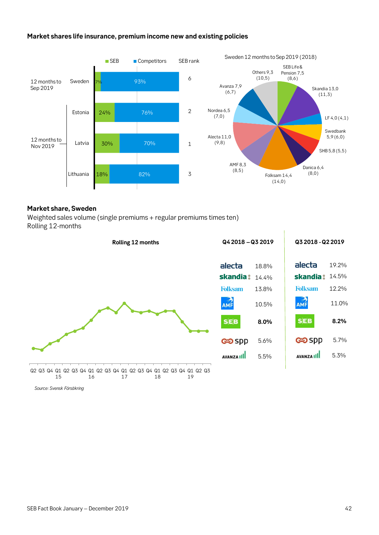## **Market shares life insurance, premium income new and existing policies**



### **Market share, Sweden**

Weighted sales volume (single premiums + regular premiums times ten) Rolling 12-months



*Source: Svensk Försäkring*

5.7%

5.3%

**8.2%**

11.0%

12.2%

19.2%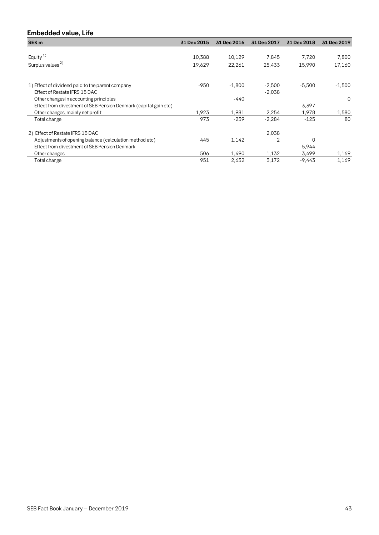## **Embedded value, Life**

| SEK <sub>m</sub>                                                 | 31 Dec 2015 | 31 Dec 2016 | 31 Dec 2017    | 31 Dec 2018 | 31 Dec 2019 |
|------------------------------------------------------------------|-------------|-------------|----------------|-------------|-------------|
|                                                                  |             |             |                |             |             |
| Equity <sup>1)</sup>                                             | 10,388      | 10,129      | 7,845          | 7,720       | 7,800       |
| Surplus values <sup>2)</sup>                                     | 19,629      | 22,261      | 25,433         | 15,990      | 17,160      |
| 1) Effect of dividend paid to the parent company                 | $-950$      | $-1,800$    | $-2,500$       | $-5,500$    | $-1,500$    |
| Effect of Restate IFRS 15 DAC                                    |             |             | $-2,038$       |             |             |
| Other changes in accounting principles                           |             | $-440$      |                |             | $\Omega$    |
| Effect from divestment of SEB Pension Denmark (capital gain etc) |             |             |                | 3,397       |             |
| Other changes, mainly net profit                                 | 1,923       | 1,981       | 2,254          | 1,978       | 1,580       |
| Total change                                                     | 973         | $-259$      | $-2,284$       | $-125$      | 80          |
| 2) Effect of Restate IFRS 15 DAC                                 |             |             | 2,038          |             |             |
| Adjustments of opening balance (calculation method etc)          | 445         | 1,142       | $\overline{2}$ | 0           |             |
| Effect from divestment of SEB Pension Denmark                    |             |             |                | $-5,944$    |             |
| Other changes                                                    | 506         | 1,490       | 1,132          | $-3,499$    | 1,169       |
| Total change                                                     | 951         | 2,632       | 3,172          | -9,443      | 1,169       |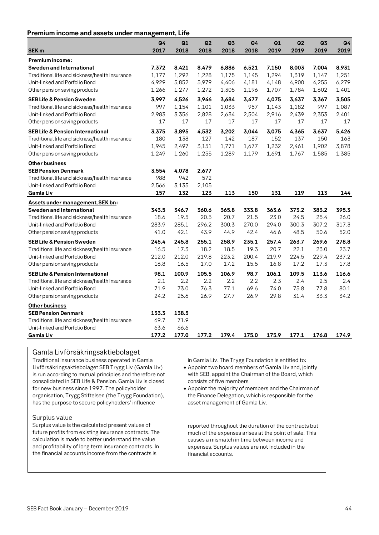## **Premium income and assets under management, Life**

|                                                | Q4    | Q1    | Q2    | Q <sub>3</sub> | Q4    | Q1    | Q <sub>2</sub> | Q3    | Q4    |
|------------------------------------------------|-------|-------|-------|----------------|-------|-------|----------------|-------|-------|
| <b>SEK m</b>                                   | 2017  | 2018  | 2018  | 2018           | 2018  | 2019  | 2019           | 2019  | 2019  |
| Premium income:                                |       |       |       |                |       |       |                |       |       |
| Sweden and International                       | 7,372 | 8,421 | 8,479 | 6,886          | 6,521 | 7,150 | 8,003          | 7,004 | 8,931 |
| Traditional life and sickness/health insurance | 1,177 | 1,292 | 1,228 | 1,175          | 1,145 | 1,294 | 1,319          | 1,147 | 1,251 |
| Unit-linked and Porfolio Bond                  | 4,929 | 5,852 | 5,979 | 4,406          | 4,181 | 4,148 | 4,900          | 4,255 | 6,279 |
| Other pension saving products                  | 1,266 | 1,277 | 1,272 | 1,305          | 1,196 | 1,707 | 1,784          | 1,602 | 1,401 |
| <b>SEB Life &amp; Pension Sweden</b>           | 3,997 | 4,526 | 3,946 | 3,684          | 3,477 | 4,075 | 3,637          | 3,367 | 3,505 |
| Traditional life and sickness/health insurance | 997   | 1,154 | 1,101 | 1,033          | 957   | 1,143 | 1,182          | 997   | 1,087 |
| Unit-linked and Porfolio Bond                  | 2,983 | 3,356 | 2,828 | 2,634          | 2,504 | 2,916 | 2,439          | 2,353 | 2,401 |
| Other pension saving products                  | 17    | 17    | 17    | 17             | 17    | 17    | 17             | 17    | 17    |
| <b>SEB Life &amp; Pension International</b>    | 3,375 | 3,895 | 4,532 | 3,202          | 3,044 | 3,075 | 4,365          | 3,637 | 5,426 |
| Traditional life and sickness/health insurance | 180   | 138   | 127   | 142            | 187   | 152   | 137            | 150   | 163   |
| Unit-linked and Porfolio Bond                  | 1,945 | 2,497 | 3,151 | 1,771          | 1,677 | 1,232 | 2,461          | 1,902 | 3,878 |
| Other pension saving products                  | 1,249 | 1,260 | 1,255 | 1,289          | 1,179 | 1,691 | 1,767          | 1,585 | 1,385 |
| Other business                                 |       |       |       |                |       |       |                |       |       |
| <b>SEB Pension Denmark</b>                     | 3,554 | 4,078 | 2,677 |                |       |       |                |       |       |
| Traditional life and sickness/health insurance | 988   | 942   | 572   |                |       |       |                |       |       |
| Unit-linked and Porfolio Bond                  | 2,566 | 3,135 | 2,105 |                |       |       |                |       |       |
| <b>Gamla Liv</b>                               | 157   | 132   | 123   | 113            | 150   | 131   | 119            | 113   | 144   |
| Assets under management, SEK bn:               |       |       |       |                |       |       |                |       |       |
| Sweden and International                       | 343.5 | 346.7 | 360.6 | 365.8          | 333.8 | 363.6 | 373.2          | 383.2 | 395.3 |
| Traditional life and sickness/health insurance | 18.6  | 19.5  | 20.5  | 20.7           | 21.5  | 23.0  | 24.5           | 25.4  | 26.0  |
| Unit-linked and Porfolio Bond                  | 283.9 | 285.1 | 296.2 | 300.3          | 270.0 | 294.0 | 300.3          | 307.2 | 317.3 |
| Other pension saving products                  | 41.0  | 42.1  | 43.9  | 44.9           | 42.4  | 46.6  | 48.5           | 50.6  | 52.0  |
| <b>SEB Life &amp; Pension Sweden</b>           | 245.4 | 245.8 | 255.1 | 258.9          | 235.1 | 257.4 | 263.7          | 269.6 | 278.8 |
| Traditional life and sickness/health insurance | 16.5  | 17.3  | 18.2  | 18.5           | 19.3  | 20.7  | 22.1           | 23.0  | 23.7  |
| Unit-linked and Porfolio Bond                  | 212.0 | 212.0 | 219.8 | 223.2          | 200.4 | 219.9 | 224.5          | 229.4 | 237.2 |
| Other pension saving products                  | 16.8  | 16.5  | 17.0  | 17.2           | 15.5  | 16.8  | 17.2           | 17.3  | 17.8  |
| <b>SEB Life &amp; Pension International</b>    | 98.1  | 100.9 | 105.5 | 106.9          | 98.7  | 106.1 | 109.5          | 113.6 | 116.6 |
| Traditional life and sickness/health insurance | 2.1   | 2.2   | 2.2   | 2.2            | 2.2   | 2.3   | 2.4            | 2.5   | 2.4   |
| Unit-linked and Porfolio Bond                  | 71.9  | 73.0  | 76.3  | 77.1           | 69.6  | 74.0  | 75.8           | 77.8  | 80.1  |
| Other pension saving products                  | 24.2  | 25.6  | 26.9  | 27.7           | 26.9  | 29.8  | 31.4           | 33.3  | 34.2  |
| <b>Other business</b>                          |       |       |       |                |       |       |                |       |       |
| <b>SEB Pension Denmark</b>                     | 133.3 | 138.5 |       |                |       |       |                |       |       |
| Traditional life and sickness/health insurance | 69.7  | 71.9  |       |                |       |       |                |       |       |
| Unit-linked and Porfolio Bond                  | 63.6  | 66.6  |       |                |       |       |                |       |       |
| Gamla Liv                                      | 177.2 | 177.0 | 177.2 | 179.4          | 175.0 | 175.9 | 177.1          | 176.8 | 174.9 |

### Gamla Livförsäkringsaktiebolaget

Traditional insurance business operated in Gamla Livförsäkringsaktiebolaget SEB Trygg Liv (Gamla Liv) is run according to mutual principles and therefore not consolidated in SEB Life & Pension. Gamla Liv is closed for new business since 1997. The policyholder organisation, Trygg Stiftelsen (the Trygg Foundation), has the purpose to secure policyholders' influence

Surplus value

 $\overline{\phantom{a}}$ 

Surplus value is the calculated present values of future profits from existing insurance contracts. The calculation is made to better understand the value and profitability of long term insurance contracts. In the financial accounts income from the contracts is

in Gamla Liv. The Trygg Foundation is entitled to:

• Appoint two board members of Gamla Liv and, jointly with SEB, appoint the Chairman of the Board, which consists of five members.

• Appoint the majority of members and the Chairman of the Finance Delegation, which is responsible for the asset management of Gamla Liv.

reported throughout the duration of the contracts but much of the expenses arises at the point of sale. This causes a mismatch in time between income and expenses. Surplus values are not included in the financial accounts.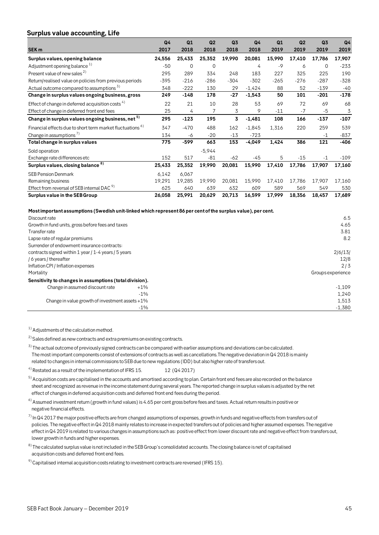### **Surplus value accounting, Life**

| ັ<br>SEK <sub>m</sub>                                                 | Q <sub>4</sub><br>2017 | Q1<br>2018 | Q2<br>2018 | Q <sub>3</sub><br>2018 | Q <sub>4</sub><br>2018 | Q1<br>2019 | Q <sub>2</sub><br>2019 | Q3<br>2019 | Q4<br>2019 |
|-----------------------------------------------------------------------|------------------------|------------|------------|------------------------|------------------------|------------|------------------------|------------|------------|
| Surplus values, opening balance                                       | 24,556                 | 25,433     | 25,352     | 19,990                 | 20,081                 | 15,990     | 17,410                 | 17,786     | 17,907     |
| Adjustment opening balance <sup>1)</sup>                              | $-50$                  | $\Omega$   | 0          |                        | 4                      | $-9$       | 6                      | $\Omega$   | $-233$     |
| Present value of new sales <sup>2)</sup>                              | 295                    | 289        | 334        | 248                    | 183                    | 227        | 325                    | 225        | 190        |
| Return/realised value on policies from previous periods               | $-395$                 | $-216$     | $-286$     | $-304$                 | $-302$                 | $-265$     | $-276$                 | $-287$     | $-328$     |
| Actual outcome compared to assumptions <sup>5)</sup>                  | 348                    | $-222$     | 130        | 29                     | $-1,424$               | 88         | 52                     | $-139$     | $-40$      |
| Change in surplus values ongoing business, gross                      | 249                    | $-148$     | 178        | $-27$                  | $-1,543$               | 50         | 101                    | $-201$     | $-178$     |
| Effect of change in deferred acquisition costs $4)$                   | 22                     | 21         | 10         | 28                     | 53                     | 69         | 72                     | 69         | 68         |
| Effect of change in deferred front end fees                           | 25                     | 4          | 7          | 3                      | 9                      | $-11$      | $-7$                   | $-5$       | 3          |
| Change in surplus values ongoing business, net 5)                     | 295                    | $-123$     | 195        | 3                      | $-1,481$               | 108        | 166                    | $-137$     | $-107$     |
| Financial effects due to short term market fluctuations <sup>6)</sup> | 347                    | $-470$     | 488        | 162                    | $-1,845$               | 1,316      | 220                    | 259        | 539        |
| Change in assumptions <sup>7)</sup>                                   | 134                    | -6         | $-20$      | $-13$                  | $-723$                 |            |                        | $-1$       | $-837$     |
| Total change in surplus values                                        | 775                    | -599       | 663        | 153                    | $-4,049$               | 1,424      | 386                    | 121        | $-406$     |
| Sold operation                                                        |                        |            | $-5,944$   |                        |                        |            |                        |            |            |
| Exchange rate differences etc                                         | 152                    | 517        | $-81$      | $-62$                  | -45                    | 5          | $-15$                  | $-1$       | $-109$     |
| Surplus values, closing balance 8)                                    | 25,433                 | 25,352     | 19,990     | 20,081                 | 15,990                 | 17,410     | 17,786                 | 17,907     | 17,160     |
| <b>SEB Pension Denmark</b>                                            | 6,142                  | 6,067      |            |                        |                        |            |                        |            |            |
| Remaining business                                                    | 19,291                 | 19,285     | 19,990     | 20,081                 | 15,990                 | 17,410     | 17,786                 | 17,907     | 17,160     |
| Effect from reversal of SEB internal DAC <sup>9)</sup>                | 625                    | 640        | 639        | 632                    | 609                    | 589        | 569                    | 549        | 530        |
| Surplus value in the SEB Group                                        | 26,058                 | 25,991     | 20,629     | 20,713                 | 16,599                 | 17,999     | 18,356                 | 18,457     | 17,689     |

#### **Most important assumptions (Swedish unit-linked which represent 86 per cent of the surplus value), per cent.**

| Discount rate                                           |        | 6.5               |
|---------------------------------------------------------|--------|-------------------|
| Growth in fund units, gross before fees and taxes       |        | 4.65              |
| Transfer rate                                           |        | 3.81              |
| Lapse rate of regular premiums                          |        | 8.2               |
| Surrender of endowment insurance contracts:             |        |                   |
| contracts signed within 1 year / 1-4 years / 5 years    |        | 2/6/13/           |
| / 6 years / thereafter                                  |        | 12/8              |
| Inflation CPI / Inflation expenses                      |        | 2/3               |
| Mortality                                               |        | Groups experience |
| Sensitivity to changes in assumptions (total division). |        |                   |
| Change in assumed discount rate                         | $+1\%$ | $-1.109$          |
|                                                         | $-1\%$ | 1,240             |
| Change in value growth of investment assets $+1\%$      |        | 1,513             |
|                                                         | $-1%$  | $-1.380$          |

<sup>1)</sup> Adjustments of the calculation method.

 $2)$  Sales defined as new contracts and extra premiums on existing contracts.

<sup>3)</sup> The actual outcome of previously signed contracts can be compared with earlier assumptions and deviations can be calculated. The most important components consist of extensions of contracts as well as cancellations.The negative deviation in Q4 2018 is mainly related to changes in internal commissions to SEB due to new regulations (IDD) but also higher rate of transfers out.

<sup>4)</sup> Restated as a result of the implementation of IFRS 15.  $12 (Q4 2017)$ 

<sup>5)</sup> Acquisition costs are capitalised in the accounts and amortised according to plan. Certain front end fees are also recorded on the balance sheet and recognized as revenue in the income statement during several years. The reported change in surplus values is adjusted by the net effect of changes in deferred acquisition costs and deferred front end fees during the period. Requisition costs are capitalised in the accounts and amortised according to pian. Certain front end rees are also recorded on the b<br>sheet and recognized as revenue in the income statement during several years. The reporte

<sup>6)</sup> Assumed investment return (growth in fund values) is 4.65 per cent gross before fees and taxes. Actual return results in positive or<br>negative financial effects.<br><sup>7)</sup> In Q4 2017 the major positive effects are from cha negative financial effects.

 policies. The negative effect in Q4 2018 mainly relates to increase in expected transfers out of policies and higher assumed expenses. The negative effect in Q4 2019 is related to various changes in assumptions such as: positive effect from lower discount rate and negative effect from transfers out, lower growth in funds and higher expenses.

8) The calculated surplus value is not included in the SEB Group's consolidated accounts. The closing balance is net of capitalised acquisition costs and deferred front end fees.

 $9)$  Capitalised internal acquisition costs relating to investment contracts are reversed (IFRS 15).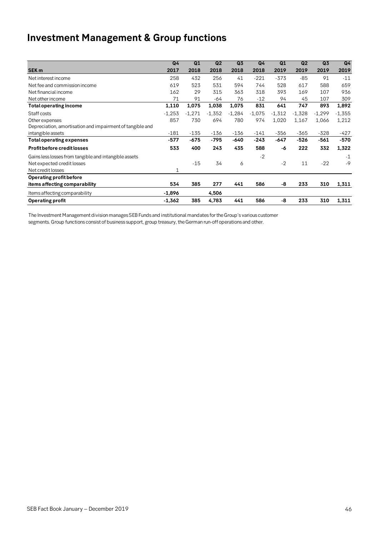# **Investment Management & Group functions**

|                                                           | Q <sub>4</sub> | Q1       | Q2       | Q <sub>3</sub> | Q4       | Q1       | Q2       | Q <sub>3</sub> | Q <sub>4</sub> |
|-----------------------------------------------------------|----------------|----------|----------|----------------|----------|----------|----------|----------------|----------------|
| SEK <sub>m</sub>                                          | 2017           | 2018     | 2018     | 2018           | 2018     | 2019     | 2019     | 2019           | 2019           |
| Net interest income                                       | 258            | 432      | 256      | 41             | $-221$   | $-373$   | $-85$    | 91             | $-11$          |
| Net fee and commission income                             | 619            | 523      | 531      | 594            | 744      | 528      | 617      | 588            | 659            |
| Net financial income                                      | 162            | 29       | 315      | 363            | 318      | 393      | 169      | 107            | 936            |
| Net other income                                          | 71             | 91       | $-64$    | 76             | $-12$    | 94       | 45       | 107            | 309            |
| Total operating income                                    | 1,110          | 1,075    | 1,038    | 1,075          | 831      | 641      | 747      | 893            | 1,892          |
| Staff costs                                               | $-1,253$       | $-1,271$ | $-1,352$ | $-1,284$       | $-1,075$ | $-1,312$ | $-1,328$ | $-1,299$       | $-1,355$       |
| Other expenses                                            | 857            | 730      | 694      | 780            | 974      | 1,020    | 1,167    | 1,066          | 1,212          |
| Depreciation, amortisation and impairment of tangible and |                |          |          |                |          |          |          |                |                |
| intangible assets                                         | $-181$         | $-135$   | $-136$   | $-136$         | $-141$   | $-356$   | $-365$   | $-328$         | $-427$         |
| Total operating expenses                                  | $-577$         | -675     | -795     | -640           | $-243$   | $-647$   | $-526$   | $-561$         | $-570$         |
| <b>Profit before credit losses</b>                        | 533            | 400      | 243      | 435            | 588      | -6       | 222      | 332            | 1,322          |
| Gains less losses from tangible and intangible assets     |                |          |          |                | $-2$     |          |          |                | $-1$           |
| Net expected credit losses                                |                | $-15$    | 34       | 6              |          | $-2$     | 11       | $-22$          | $-9$           |
| Net credit losses                                         | 1              |          |          |                |          |          |          |                |                |
| Operating profit before                                   |                |          |          |                |          |          |          |                |                |
| items affecting comparability                             | 534            | 385      | 277      | 441            | 586      | -8       | 233      | 310            | 1,311          |
| Items affecting comparability                             | $-1,896$       |          | 4,506    |                |          |          |          |                |                |
| <b>Operating profit</b>                                   | $-1,362$       | 385      | 4,783    | 441            | 586      | -8       | 233      | 310            | 1,311          |
|                                                           |                |          |          |                |          |          |          |                |                |

The Investment Management division manages SEB Funds and institutional mandates for the Group's various customer segments. Group functions consist of business support, group treasury, the German run-off operations and other.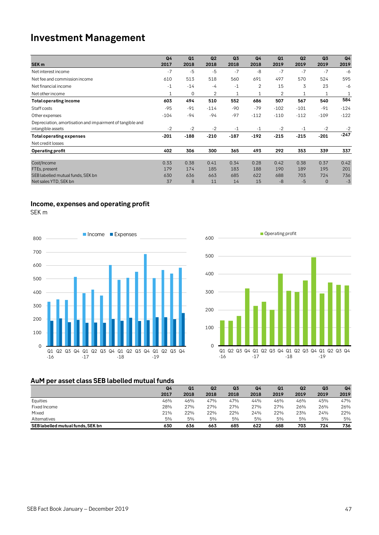## **Investment Management**

|                                                           | Q <sub>4</sub> | Q1       | Q <sub>2</sub> | Q <sub>3</sub> | Q <sub>4</sub> | Q1     | Q <sub>2</sub> | Q <sub>3</sub> | Q <sub>4</sub> |
|-----------------------------------------------------------|----------------|----------|----------------|----------------|----------------|--------|----------------|----------------|----------------|
| SEK <sub>m</sub>                                          | 2017           | 2018     | 2018           | 2018           | 2018           | 2019   | 2019           | 2019           | 2019           |
| Net interest income                                       | $-7$           | $-5$     | $-5$           | $-7$           | $-8$           | $-7$   | $-7$           | $-7$           | $-6$           |
| Net fee and commission income                             | 610            | 513      | 518            | 560            | 691            | 497    | 570            | 524            | 595            |
| Net financial income                                      | $-1$           | $-14$    | $-4$           | $-1$           | 2              | 15     | 3              | 23             | $-6$           |
| Net other income                                          | 1              | $\Omega$ | 2              | $\mathbf{1}$   | 1              | 2      | 1              | 1              | 1              |
| <b>Total operating income</b>                             | 603            | 494      | 510            | 552            | 686            | 507    | 567            | 540            | 584            |
| Staff costs                                               | $-95$          | $-91$    | $-114$         | $-90$          | $-79$          | $-102$ | $-101$         | $-91$          | $-124$         |
| Other expenses                                            | $-104$         | $-94$    | $-94$          | $-97$          | $-112$         | $-110$ | $-112$         | $-109$         | $-122$         |
| Depreciation, amortisation and impairment of tangible and |                |          |                |                |                |        |                |                |                |
| intangible assets                                         | $-2$           | $-2$     | $-2$           | $-1$           | $-1$           | $-2$   | $-1$           | $-2$           | $-2$           |
| <b>Total operating expenses</b>                           | $-201$         | $-188$   | $-210$         | $-187$         | $-192$         | $-215$ | $-215$         | $-201$         | $-247$         |
| Net credit losses                                         |                |          |                |                |                |        |                |                |                |
| Operating profit                                          | 402            | 306      | 300            | 365            | 493            | 292    | 353            | 339            | 337            |
|                                                           |                |          |                |                |                |        |                |                |                |
| Cost/Income                                               | 0.33           | 0.38     | 0.41           | 0.34           | 0.28           | 0.42   | 0.38           | 0.37           | 0.42           |
| FTEs, present                                             | 179            | 174      | 185            | 183            | 188            | 190    | 189            | 195            | 201            |
| SEB labelled mutual funds, SEK bn                         | 630            | 636      | 663            | 685            | 622            | 688    | 703            | 724            | 736            |
| Net sales YTD, SEK bn                                     | 37             | 8        | 11             | 14             | 15             | $-8$   | $-5$           | $\overline{0}$ | $-3$           |

## **Income, expenses and operating profit**

SEK m





## **AuM per asset class SEB labelled mutual funds**

|                                   | Q4   | Q1   | Q2   | Q3   | Q4   | Q <sub>1</sub> | Q2   | Q3   | Q4   |
|-----------------------------------|------|------|------|------|------|----------------|------|------|------|
|                                   | 2017 | 2018 | 2018 | 2018 | 2018 | 2019           | 2019 | 2019 | 2019 |
| Equities                          | 46%  | 46%  | 47%  | 47%  | 44%  | 46%            | 46%  | 45%  | 47%  |
| Fixed Income                      | 28%  | 27%  | 27%  | 27%  | 27%  | 27%            | 26%  | 26%  | 26%  |
| Mixed                             | 21%  | 22%  | 22%  | 22%  | 24%  | 22%            | 23%  | 24%  | 22%  |
| Alternatives                      | 5%   | 5%   | 5%   | 5%   | 5%   | 5%             | 5%   | 5%   | 5%   |
| SEB labelled mutual funds, SEK bn | 630  | 636  | 663  | 685  | 622  | 688            | 703  | 724  | 736  |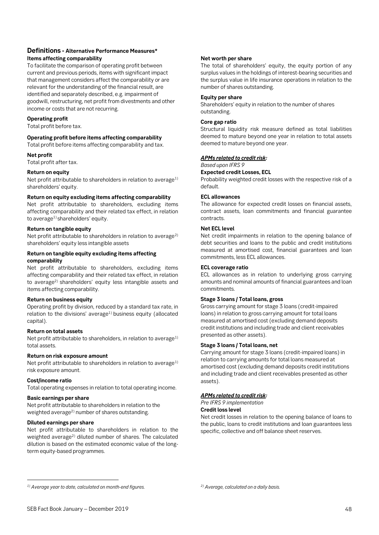### **Definitions - Alternative Performance Measures\* Items affecting comparability**

To facilitate the comparison of operating profit between current and previous periods, items with significant impact that management considers affect the comparability or are relevant for the understanding of the financial result, are identified and separately described, e.g. impairment of goodwill, restructuring, net profit from divestments and other income or costs that are not recurring.

### **Operating profit**

Total profit before tax.

### **Operating profit before items affecting comparability**

Total profit before items affecting comparability and tax.

### **Net profit**

Total profit after tax.

### **Return on equity**

Net profit attributable to shareholders in relation to average $1$ ) shareholders' equity.

### **Return on equity excluding items affecting comparability**

Net profit attributable to shareholders, excluding items affecting comparability and their related tax effect, in relation to average<sup>1)</sup> shareholders' equity.

### **Return on tangible equity**

Net profit attributable to shareholders in relation to average<sup>2)</sup> shareholders' equity less intangible assets

### **Return on tangible equity excluding items affecting comparability**

Net profit attributable to shareholders, excluding items affecting comparability and their related tax effect, in relation to average2) shareholders' equity less intangible assets and items affecting comparability.

### **Return on business equity**

Operating profit by division, reduced by a standard tax rate, in relation to the divisions' average<sup>1)</sup> business equity (allocated capital).

### **Return on total assets**

Net profit attributable to shareholders, in relation to average $1$ ) total assets.

### **Return on risk exposure amount**

Net profit attributable to shareholders in relation to average $1$ ) risk exposure amount.

### **Cost/income ratio**

 $\overline{a}$ 

Total operating expenses in relation to total operating income.

### **Basic earnings per share**

Net profit attributable to shareholders in relation to the weighted average<sup>2)</sup> number of shares outstanding.

### **Diluted earnings per share**

Net profit attributable to shareholders in relation to the weighted average<sup>2)</sup> diluted number of shares. The calculated dilution is based on the estimated economic value of the longterm equity-based programmes.

### **Net worth per share**

The total of shareholders' equity, the equity portion of any surplus values in the holdings of interest-bearing securities and the surplus value in life insurance operations in relation to the number of shares outstanding.

#### **Equity per share**

Shareholders' equity in relation to the number of shares outstanding.

### **Core gap ratio**

Structural liquidity risk measure defined as total liabilities deemed to mature beyond one year in relation to total assets deemed to mature beyond one year.

### *APMs related to credit risk:*

*Based upon IFRS 9*

**Expected credit Losses, ECL**

Probability weighted credit losses with the respective risk of a default.

### **ECL allowances**

The allowance for expected credit losses on financial assets, contract assets, loan commitments and financial guarantee contracts.

### **Net ECL level**

Net credit impairments in relation to the opening balance of debt securities and loans to the public and credit institutions measured at amortised cost, financial guarantees and loan commitments, less ECL allowances.

### **ECL coverage ratio**

ECL allowances as in relation to underlying gross carrying amounts and nominal amounts of financial guarantees and loan commitments.

### **Stage 3 loans / Total loans, gross**

Gross carrying amount for stage 3 loans (credit-impaired loans) in relation to gross carrying amount for total loans measured at amortised cost (excluding demand deposits credit institutions and including trade and client receivables presented as other assets).

### **Stage 3 loans / Total loans, net**

Carrying amount for stage 3 loans (credit-impaired loans) in relation to carrying amounts for total loans measured at amortised cost (excluding demand deposits credit institutions and including trade and client receivables presented as other assets).

### *APMs related to credit risk:*

*Pre IFRS 9 implementation*

### **Credit loss level**

Net credit losses in relation to the opening balance of loans to the public, loans to credit institutions and loan guarantees less specific, collective and off balance sheet reserves.

*<sup>1)</sup> Average year to date, calculated on month-end figures.* 

*<sup>2)</sup> Average, calculated on a daily basis.*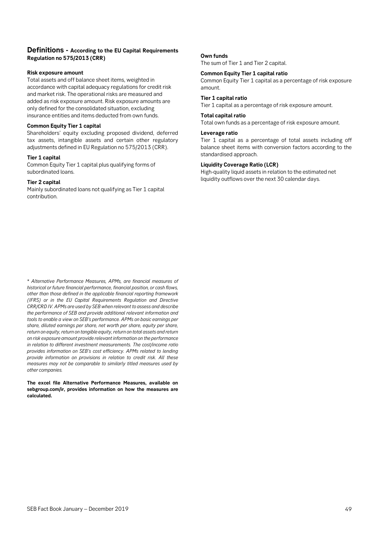### **Definitions - According to the EU Capital Requirements Regulation no 575/2013 (CRR)**

#### **Risk exposure amount**

Total assets and off balance sheet items, weighted in accordance with capital adequacy regulations for credit risk and market risk. The operational risks are measured and added as risk exposure amount. Risk exposure amounts are only defined for the consolidated situation, excluding insurance entities and items deducted from own funds.

#### **Common Equity Tier 1 capital**

Shareholders' equity excluding proposed dividend, deferred tax assets, intangible assets and certain other regulatory adjustments defined in EU Regulation no 575/2013 (CRR).

#### **Tier 1 capital**

Common Equity Tier 1 capital plus qualifying forms of subordinated loans.

### **Tier 2 capital**

Mainly subordinated loans not qualifying as Tier 1 capital contribution.

### **Own funds**

The sum of Tier 1 and Tier 2 capital.

### **Common Equity Tier 1 capital ratio**

Common Equity Tier 1 capital as a percentage of risk exposure amount.

#### **Tier 1 capital ratio**

Tier 1 capital as a percentage of risk exposure amount.

#### **Total capital ratio**

Total own funds as a percentage of risk exposure amount.

#### **Leverage ratio**

Tier 1 capital as a percentage of total assets including off balance sheet items with conversion factors according to the standardised approach.

### **Liquidity Coverage Ratio (LCR)**

High-quality liquid assets in relation to the estimated net liquidity outflows over the next 30 calendar days.

\* *Alternative Performance Measures, APMs, are financial measures of historical or future financial performance, financial position, or cash flows, other than those defined in the applicable financial reporting framework (IFRS) or in the EU Capital Requirements Regulation and Directive CRR/CRD IV. APMs are used by SEB when relevant to assess and describe the performance of SEB and provide additional relevant information and tools to enable a view on SEB's performance. APMs on basic earnings per share, diluted earnings per share, net worth per share, equity per share, return on equity, return on tangible equity, return on total assets and return on risk exposure amount provide relevant information on the performance in relation to different investment measurements. The cost/income ratio provides information on SEB's cost efficiency. APMs related to lending provide information on provisions in relation to credit risk. All these measures may not be comparable to similarly titled measures used by other companies.* 

**The excel file Alternative Performance Measures, available on sebgroup.com/ir, provides information on how the measures are calculated.**